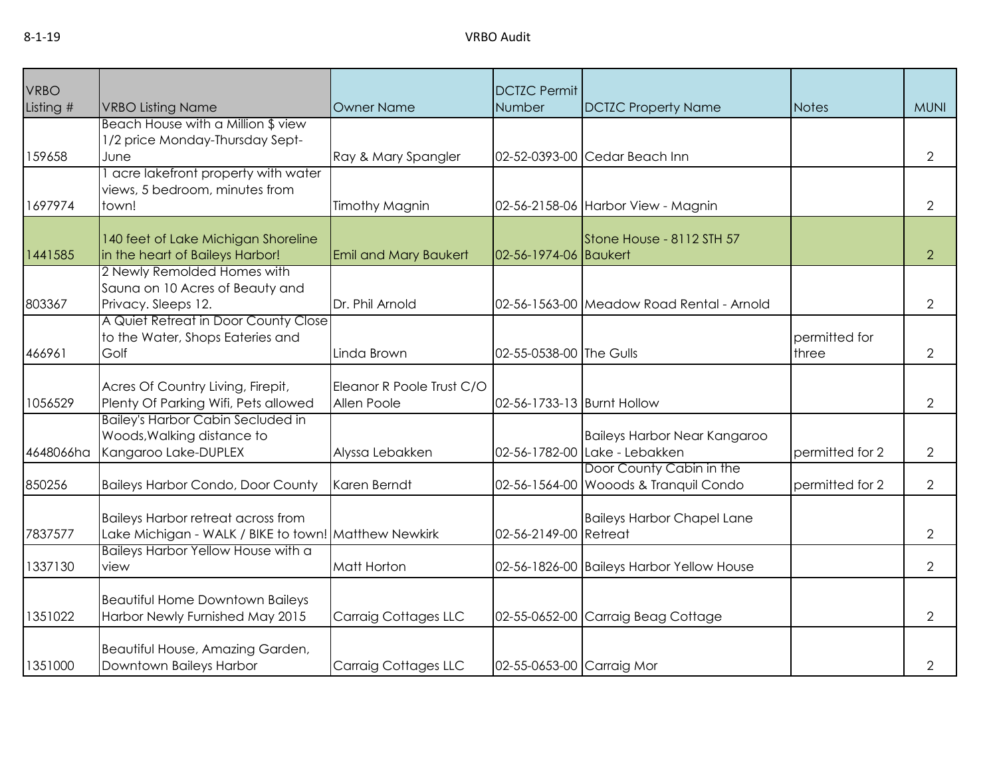| <b>VRBO</b> |                                                                           |                              | <b>DCTZC Permit</b>        |                                           |                 |                |
|-------------|---------------------------------------------------------------------------|------------------------------|----------------------------|-------------------------------------------|-----------------|----------------|
| Listing #   | <b>VRBO Listing Name</b>                                                  | <b>Owner Name</b>            | Number                     | <b>DCTZC Property Name</b>                | <b>Notes</b>    | <b>MUNI</b>    |
|             | Beach House with a Million \$ view                                        |                              |                            |                                           |                 |                |
|             | 1/2 price Monday-Thursday Sept-                                           |                              |                            |                                           |                 |                |
| 159658      | June                                                                      | Ray & Mary Spangler          |                            | 02-52-0393-00 Cedar Beach Inn             |                 | $\overline{2}$ |
|             | acre lakefront property with water                                        |                              |                            |                                           |                 |                |
|             | views, 5 bedroom, minutes from                                            |                              |                            |                                           |                 |                |
| 1697974     | town!                                                                     | <b>Timothy Magnin</b>        |                            | 02-56-2158-06 Harbor View - Magnin        |                 | $\overline{2}$ |
|             |                                                                           |                              |                            |                                           |                 |                |
| 1441585     | 140 feet of Lake Michigan Shoreline<br>in the heart of Baileys Harbor!    | <b>Emil and Mary Baukert</b> | 02-56-1974-06 Baukert      | Stone House - 8112 STH 57                 |                 | $\overline{2}$ |
|             | 2 Newly Remolded Homes with                                               |                              |                            |                                           |                 |                |
|             | Sauna on 10 Acres of Beauty and                                           |                              |                            |                                           |                 |                |
| 803367      | Privacy. Sleeps 12.                                                       | Dr. Phil Arnold              |                            | 02-56-1563-00 Meadow Road Rental - Arnold |                 | $\overline{2}$ |
|             | A Quiet Retreat in Door County Close                                      |                              |                            |                                           |                 |                |
|             | to the Water, Shops Eateries and                                          |                              |                            |                                           | permitted for   |                |
| 466961      | Golf                                                                      | Linda Brown                  | 02-55-0538-00 The Gulls    |                                           | three           | $\overline{2}$ |
|             |                                                                           |                              |                            |                                           |                 |                |
|             | Acres Of Country Living, Firepit,                                         | Eleanor R Poole Trust C/O    |                            |                                           |                 |                |
| 1056529     | Plenty Of Parking Wifi, Pets allowed                                      | Allen Poole                  | 02-56-1733-13 Burnt Hollow |                                           |                 | $\overline{2}$ |
|             | <b>Bailey's Harbor Cabin Secluded in</b><br>Woods, Walking distance to    |                              |                            | <b>Baileys Harbor Near Kangaroo</b>       |                 |                |
| 4648066ha   | Kangaroo Lake-DUPLEX                                                      | Alyssa Lebakken              |                            | 02-56-1782-00 Lake - Lebakken             | permitted for 2 | $\overline{2}$ |
|             |                                                                           |                              |                            | Door County Cabin in the                  |                 |                |
| 850256      | <b>Baileys Harbor Condo, Door County</b>                                  | Karen Berndt                 |                            | 02-56-1564-00 Wooods & Tranquil Condo     | permitted for 2 | $\overline{2}$ |
|             |                                                                           |                              |                            |                                           |                 |                |
|             | <b>Baileys Harbor retreat across from</b>                                 |                              |                            | <b>Baileys Harbor Chapel Lane</b>         |                 |                |
| 7837577     | Lake Michigan - WALK / BIKE to town! Matthew Newkirk                      |                              | 02-56-2149-00 Retreat      |                                           |                 | $\overline{2}$ |
|             | Baileys Harbor Yellow House with a                                        |                              |                            |                                           |                 |                |
| 1337130     | view                                                                      | Matt Horton                  |                            | 02-56-1826-00 Baileys Harbor Yellow House |                 | $\overline{2}$ |
|             |                                                                           |                              |                            |                                           |                 |                |
| 1351022     | <b>Beautiful Home Downtown Baileys</b><br>Harbor Newly Furnished May 2015 | <b>Carraig Cottages LLC</b>  |                            | 02-55-0652-00 Carraig Beag Cottage        |                 | $\overline{2}$ |
|             |                                                                           |                              |                            |                                           |                 |                |
|             | Beautiful House, Amazing Garden,                                          |                              |                            |                                           |                 |                |
| 1351000     | Downtown Baileys Harbor                                                   | <b>Carraig Cottages LLC</b>  | 02-55-0653-00 Carraig Mor  |                                           |                 | $\mathbf{2}$   |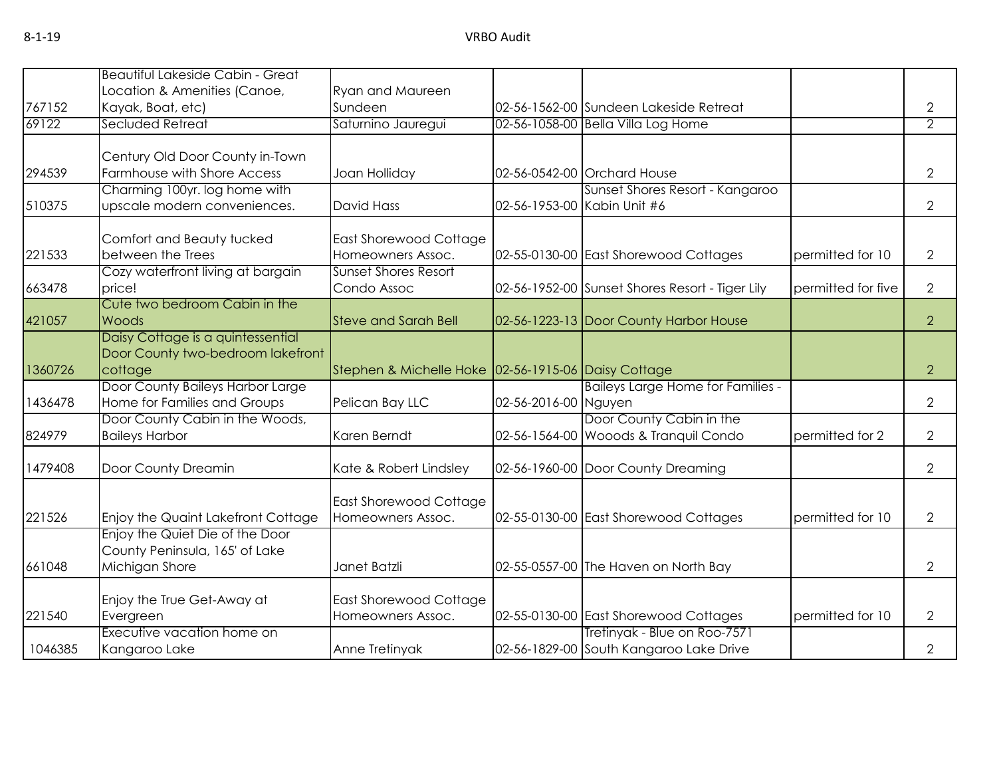| 767152  | <b>Beautiful Lakeside Cabin - Great</b><br>Location & Amenities (Canoe,<br>Kayak, Boat, etc) | <b>Ryan and Maureen</b><br>Sundeen                  |                      | 02-56-1562-00 Sundeen Lakeside Retreat                                  |                    | $\overline{2}$ |
|---------|----------------------------------------------------------------------------------------------|-----------------------------------------------------|----------------------|-------------------------------------------------------------------------|--------------------|----------------|
| 69122   | Secluded Retreat                                                                             | Saturnino Jauregui                                  |                      | 02-56-1058-00 Bella Villa Log Home                                      |                    | $\overline{2}$ |
| 294539  | Century Old Door County in-Town<br>Farmhouse with Shore Access                               | Joan Holliday                                       |                      | 02-56-0542-00 Orchard House                                             |                    | $\overline{2}$ |
| 510375  | Charming 100yr. log home with<br>upscale modern conveniences.                                | David Hass                                          |                      | Sunset Shores Resort - Kangaroo<br>02-56-1953-00 Kabin Unit #6          |                    | 2              |
| 221533  | Comfort and Beauty tucked<br>between the Trees                                               | <b>East Shorewood Cottage</b><br>Homeowners Assoc.  |                      | 02-55-0130-00 East Shorewood Cottages                                   | permitted for 10   | 2              |
| 663478  | Cozy waterfront living at bargain<br>price!                                                  | <b>Sunset Shores Resort</b><br>Condo Assoc          |                      | 02-56-1952-00 Sunset Shores Resort - Tiger Lily                         | permitted for five | 2              |
| 421057  | Cute two bedroom Cabin in the<br>Woods                                                       | <b>Steve and Sarah Bell</b>                         |                      | 02-56-1223-13 Door County Harbor House                                  |                    | $\overline{2}$ |
| 1360726 | Daisy Cottage is a quintessential<br>Door County two-bedroom lakefront<br>cottage            | Stephen & Michelle Hoke 02-56-1915-06 Daisy Cottage |                      |                                                                         |                    | $\overline{2}$ |
| 1436478 | Door County Baileys Harbor Large<br>Home for Families and Groups                             | Pelican Bay LLC                                     | 02-56-2016-00 Nguyen | <b>Baileys Large Home for Families -</b>                                |                    | $\overline{2}$ |
| 824979  | Door County Cabin in the Woods,<br><b>Baileys Harbor</b>                                     | Karen Berndt                                        |                      | Door County Cabin in the<br>02-56-1564-00 Wooods & Tranquil Condo       | permitted for 2    | 2              |
| 1479408 | Door County Dreamin                                                                          | Kate & Robert Lindsley                              |                      | 02-56-1960-00 Door County Dreaming                                      |                    | $\overline{2}$ |
| 221526  | Enjoy the Quaint Lakefront Cottage                                                           | <b>East Shorewood Cottage</b><br>Homeowners Assoc.  |                      | 02-55-0130-00 East Shorewood Cottages                                   | permitted for 10   | $\overline{2}$ |
| 661048  | Enjoy the Quiet Die of the Door<br>County Peninsula, 165' of Lake<br>Michigan Shore          | Janet Batzli                                        |                      | 02-55-0557-00 The Haven on North Bay                                    |                    | 2              |
| 221540  | Enjoy the True Get-Away at<br>Evergreen                                                      | <b>East Shorewood Cottage</b><br>Homeowners Assoc.  |                      | 02-55-0130-00 East Shorewood Cottages                                   | permitted for 10   | 2              |
| 1046385 | Executive vacation home on<br>Kangaroo Lake                                                  | Anne Tretinyak                                      |                      | Tretinyak - Blue on Roo-7571<br>02-56-1829-00 South Kangaroo Lake Drive |                    | 2              |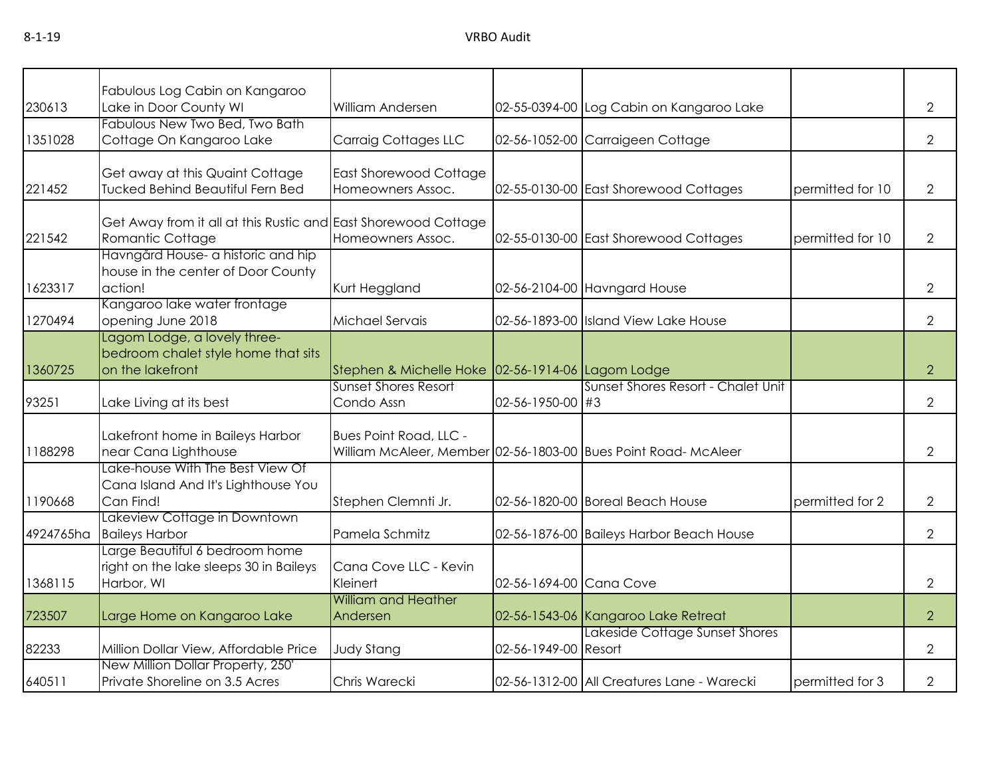|           | Fabulous Log Cabin on Kangaroo                                 |                                                   |                          |                                                                |                  |                |
|-----------|----------------------------------------------------------------|---------------------------------------------------|--------------------------|----------------------------------------------------------------|------------------|----------------|
| 230613    | Lake in Door County WI                                         | William Andersen                                  |                          | 02-55-0394-00 Log Cabin on Kangaroo Lake                       |                  | $\overline{2}$ |
|           | Fabulous New Two Bed, Two Bath                                 |                                                   |                          |                                                                |                  |                |
| 1351028   | Cottage On Kangaroo Lake                                       | Carraig Cottages LLC                              |                          | 02-56-1052-00 Carraigeen Cottage                               |                  | $\overline{2}$ |
|           |                                                                |                                                   |                          |                                                                |                  |                |
|           | Get away at this Quaint Cottage                                | <b>East Shorewood Cottage</b>                     |                          |                                                                |                  |                |
| 221452    | Tucked Behind Beautiful Fern Bed                               | Homeowners Assoc.                                 |                          | 02-55-0130-00 East Shorewood Cottages                          | permitted for 10 | $\overline{2}$ |
|           |                                                                |                                                   |                          |                                                                |                  |                |
|           | Get Away from it all at this Rustic and East Shorewood Cottage |                                                   |                          |                                                                |                  |                |
| 221542    | Romantic Cottage                                               | Homeowners Assoc.                                 |                          | 02-55-0130-00 East Shorewood Cottages                          | permitted for 10 | $\overline{2}$ |
|           | Havngård House- a historic and hip                             |                                                   |                          |                                                                |                  |                |
| 1623317   | house in the center of Door County<br>action!                  |                                                   |                          |                                                                |                  |                |
|           | Kangaroo lake water frontage                                   | Kurt Heggland                                     |                          | 02-56-2104-00 Havngard House                                   |                  | $\mathbf{2}$   |
| 1270494   | opening June 2018                                              | Michael Servais                                   |                          | 02-56-1893-00 Island View Lake House                           |                  | $\mathbf{2}$   |
|           | Lagom Lodge, a lovely three-                                   |                                                   |                          |                                                                |                  |                |
|           | bedroom chalet style home that sits                            |                                                   |                          |                                                                |                  |                |
| 1360725   | on the lakefront                                               | Stephen & Michelle Hoke 02-56-1914-06 Lagom Lodge |                          |                                                                |                  | $\overline{2}$ |
|           |                                                                | <b>Sunset Shores Resort</b>                       |                          | Sunset Shores Resort - Chalet Unit                             |                  |                |
| 93251     | Lake Living at its best                                        | Condo Assn                                        | $02 - 56 - 1950 - 00$ #3 |                                                                |                  | 2              |
|           |                                                                |                                                   |                          |                                                                |                  |                |
|           | Lakefront home in Baileys Harbor                               | <b>Bues Point Road, LLC -</b>                     |                          |                                                                |                  |                |
| 1188298   | near Cana Lighthouse                                           |                                                   |                          | William McAleer, Member 02-56-1803-00 Bues Point Road- McAleer |                  | $\overline{2}$ |
|           | Lake-house With The Best View Of                               |                                                   |                          |                                                                |                  |                |
|           | Cana Island And It's Lighthouse You                            |                                                   |                          |                                                                |                  |                |
| 1190668   | Can Find!                                                      | Stephen Clemnti Jr.                               |                          | 02-56-1820-00 Boreal Beach House                               | permitted for 2  | $\overline{2}$ |
| 4924765ha | Lakeview Cottage in Downtown<br><b>Baileys Harbor</b>          | Pamela Schmitz                                    |                          | 02-56-1876-00 Baileys Harbor Beach House                       |                  | $\overline{2}$ |
|           | Large Beautiful 6 bedroom home                                 |                                                   |                          |                                                                |                  |                |
|           | right on the lake sleeps 30 in Baileys                         | Cana Cove LLC - Kevin                             |                          |                                                                |                  |                |
| 1368115   | Harbor, WI                                                     | Kleinert                                          | 02-56-1694-00 Cana Cove  |                                                                |                  | $\overline{2}$ |
|           |                                                                | <b>William and Heather</b>                        |                          |                                                                |                  |                |
| 723507    | Large Home on Kangaroo Lake                                    | Andersen                                          |                          | 02-56-1543-06 Kangaroo Lake Retreat                            |                  | $\overline{2}$ |
|           |                                                                |                                                   |                          | Lakeside Cottage Sunset Shores                                 |                  |                |
| 82233     | Million Dollar View, Affordable Price                          | <b>Judy Stang</b>                                 | 02-56-1949-00 Resort     |                                                                |                  | $\overline{2}$ |
|           | New Million Dollar Property, 250'                              |                                                   |                          |                                                                |                  |                |
| 640511    | Private Shoreline on 3.5 Acres                                 | Chris Warecki                                     |                          | 02-56-1312-00 All Creatures Lane - Warecki                     | permitted for 3  | $\overline{2}$ |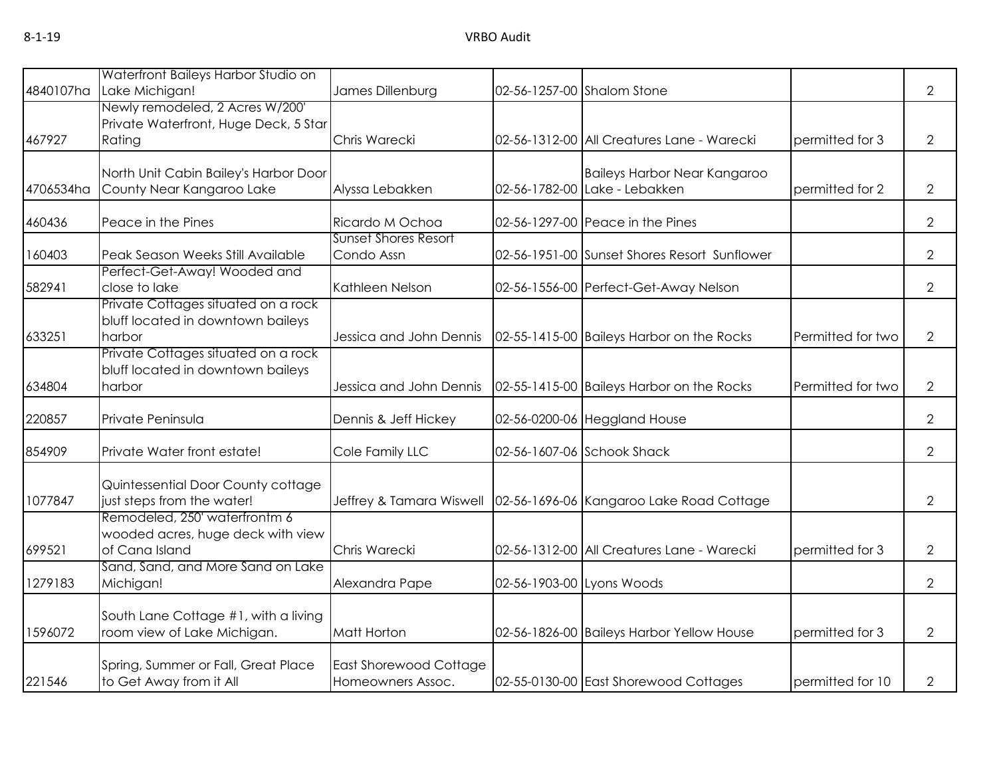| 4840107ha | Waterfront Baileys Harbor Studio on<br>Lake Michigan!                                | James Dillenburg                                   |                           | 02-56-1257-00 Shalom Stone                                           |                   | $\overline{2}$ |
|-----------|--------------------------------------------------------------------------------------|----------------------------------------------------|---------------------------|----------------------------------------------------------------------|-------------------|----------------|
| 467927    | Newly remodeled, 2 Acres W/200'<br>Private Waterfront, Huge Deck, 5 Star<br>Rating   | Chris Warecki                                      |                           | 02-56-1312-00 All Creatures Lane - Warecki                           | permitted for 3   | $\overline{2}$ |
| 4706534ha | North Unit Cabin Bailey's Harbor Door<br>County Near Kangaroo Lake                   | Alyssa Lebakken                                    |                           | <b>Baileys Harbor Near Kangaroo</b><br>02-56-1782-00 Lake - Lebakken | permitted for 2   | $\overline{2}$ |
| 460436    | Peace in the Pines                                                                   | Ricardo M Ochoa                                    |                           | 02-56-1297-00 Peace in the Pines                                     |                   | $\overline{2}$ |
| 160403    | Peak Season Weeks Still Available                                                    | <b>Sunset Shores Resort</b><br>Condo Assn          |                           | 02-56-1951-00 Sunset Shores Resort Sunflower                         |                   | $\overline{2}$ |
| 582941    | Perfect-Get-Away! Wooded and<br>close to lake                                        | Kathleen Nelson                                    |                           | 02-56-1556-00 Perfect-Get-Away Nelson                                |                   | $\overline{2}$ |
| 633251    | Private Cottages situated on a rock<br>bluff located in downtown baileys<br>harbor   | Jessica and John Dennis                            |                           | 02-55-1415-00 Baileys Harbor on the Rocks                            | Permitted for two | $\overline{2}$ |
| 634804    | Private Cottages situated on a rock<br>bluff located in downtown baileys<br>harbor   | Jessica and John Dennis                            |                           | 02-55-1415-00 Baileys Harbor on the Rocks                            | Permitted for two | $\overline{2}$ |
| 220857    | Private Peninsula                                                                    | Dennis & Jeff Hickey                               |                           | 02-56-0200-06 Heggland House                                         |                   | $\overline{2}$ |
| 854909    | Private Water front estate!                                                          | Cole Family LLC                                    |                           | 02-56-1607-06 Schook Shack                                           |                   | $\overline{2}$ |
| 1077847   | Quintessential Door County cottage<br>just steps from the water!                     | Jeffrey & Tamara Wiswell                           |                           | 02-56-1696-06 Kangaroo Lake Road Cottage                             |                   | $\overline{2}$ |
| 699521    | Remodeled, 250' waterfrontm 6<br>wooded acres, huge deck with view<br>of Cana Island | Chris Warecki                                      |                           | 02-56-1312-00 All Creatures Lane - Warecki                           | permitted for 3   | $\overline{2}$ |
| 1279183   | Sand, Sand, and More Sand on Lake<br>Michigan!                                       | Alexandra Pape                                     | 02-56-1903-00 Lyons Woods |                                                                      |                   | $\overline{2}$ |
| 1596072   | South Lane Cottage #1, with a living<br>room view of Lake Michigan.                  | Matt Horton                                        |                           | 02-56-1826-00 Baileys Harbor Yellow House                            | permitted for 3   | $\overline{2}$ |
| 221546    | Spring, Summer or Fall, Great Place<br>to Get Away from it All                       | <b>East Shorewood Cottage</b><br>Homeowners Assoc. |                           | 02-55-0130-00 East Shorewood Cottages                                | permitted for 10  | $\overline{2}$ |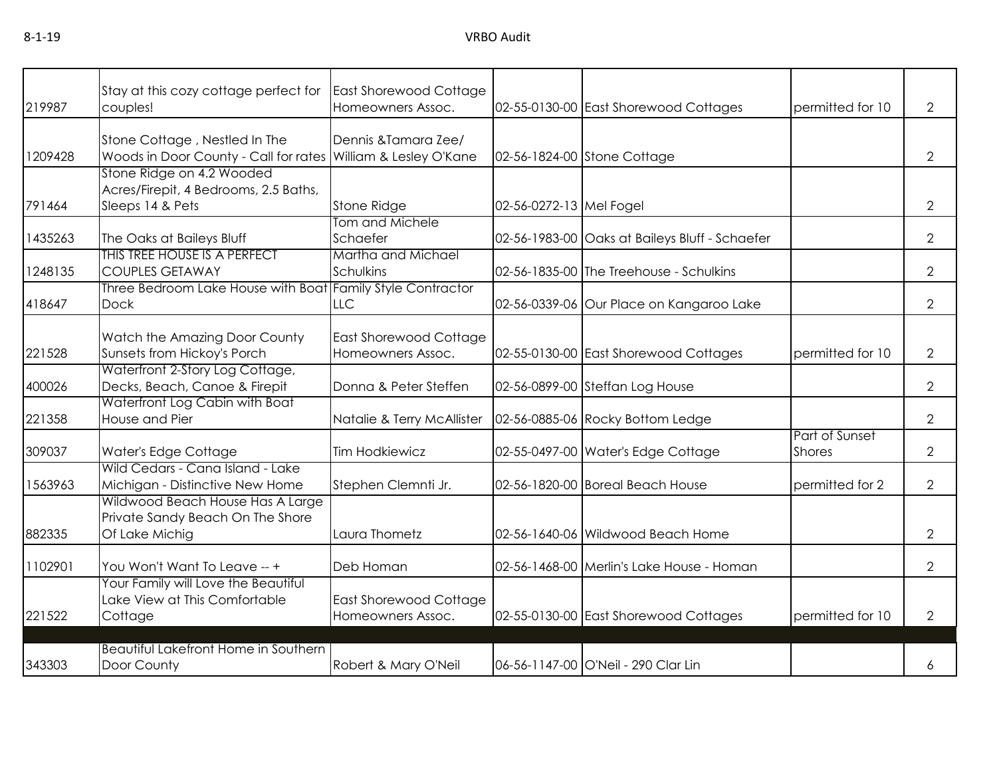| 219987  | Stay at this cozy cottage perfect for<br>couples!                                              | East Shorewood Cottage<br>Homeowners Assoc.        |                         | 02-55-0130-00 East Shorewood Cottages          | permitted for 10                | $\overline{2}$ |
|---------|------------------------------------------------------------------------------------------------|----------------------------------------------------|-------------------------|------------------------------------------------|---------------------------------|----------------|
|         |                                                                                                |                                                    |                         |                                                |                                 |                |
| 1209428 | Stone Cottage, Nestled In The<br>Woods in Door County - Call for rates William & Lesley O'Kane | Dennis & Tamara Zee/                               |                         | 02-56-1824-00 Stone Cottage                    |                                 | $\overline{2}$ |
|         | Stone Ridge on 4.2 Wooded<br>Acres/Firepit, 4 Bedrooms, 2.5 Baths,                             |                                                    |                         |                                                |                                 |                |
| 791464  | Sleeps 14 & Pets                                                                               | Stone Ridge                                        | 02-56-0272-13 Mel Fogel |                                                |                                 | $\overline{2}$ |
| 1435263 | The Oaks at Baileys Bluff                                                                      | Tom and Michele<br>Schaefer                        |                         | 02-56-1983-00 Oaks at Baileys Bluff - Schaefer |                                 | $\overline{2}$ |
| 1248135 | THIS TREE HOUSE IS A PERFECT<br><b>COUPLES GETAWAY</b>                                         | Martha and Michael<br>Schulkins                    |                         | 02-56-1835-00 The Treehouse - Schulkins        |                                 | 2              |
| 418647  | Three Bedroom Lake House with Boat Family Style Contractor<br><b>Dock</b>                      | <b>LLC</b>                                         |                         | 02-56-0339-06 Our Place on Kangaroo Lake       |                                 | $\overline{2}$ |
| 221528  | Watch the Amazing Door County<br>Sunsets from Hickoy's Porch                                   | <b>East Shorewood Cottage</b><br>Homeowners Assoc. |                         | 02-55-0130-00 East Shorewood Cottages          | permitted for 10                | $\overline{2}$ |
| 400026  | Waterfront 2-Story Log Cottage,<br>Decks, Beach, Canoe & Firepit                               | Donna & Peter Steffen                              |                         | 02-56-0899-00 Steffan Log House                |                                 | 2              |
| 221358  | Waterfront Log Cabin with Boat<br>House and Pier                                               | Natalie & Terry McAllister                         |                         | 02-56-0885-06 Rocky Bottom Ledge               |                                 | $\overline{2}$ |
| 309037  | Water's Edge Cottage                                                                           | <b>Tim Hodkiewicz</b>                              |                         | 02-55-0497-00 Water's Edge Cottage             | Part of Sunset<br><b>Shores</b> | $\overline{2}$ |
| 1563963 | Wild Cedars - Cana Island - Lake<br>Michigan - Distinctive New Home                            | Stephen Clemnti Jr.                                |                         | 02-56-1820-00 Boreal Beach House               | permitted for 2                 | 2              |
| 882335  | Wildwood Beach House Has A Large<br>Private Sandy Beach On The Shore<br>Of Lake Michig         | Laura Thometz                                      |                         | 02-56-1640-06 Wildwood Beach Home              |                                 | $\overline{2}$ |
| 1102901 | You Won't Want To Leave -- +                                                                   | Deb Homan                                          |                         | 02-56-1468-00 Merlin's Lake House - Homan      |                                 | $\overline{2}$ |
| 221522  | Your Family will Love the Beautiful<br>Lake View at This Comfortable<br>Cottage                | East Shorewood Cottage<br>Homeowners Assoc.        |                         | 02-55-0130-00 East Shorewood Cottages          | permitted for 10                | $\overline{2}$ |
|         | <b>Beautiful Lakefront Home in Southern</b>                                                    |                                                    |                         |                                                |                                 |                |
| 343303  | Door County                                                                                    | Robert & Mary O'Neil                               |                         | 06-56-1147-00 O'Neil - 290 Clar Lin            |                                 | 6              |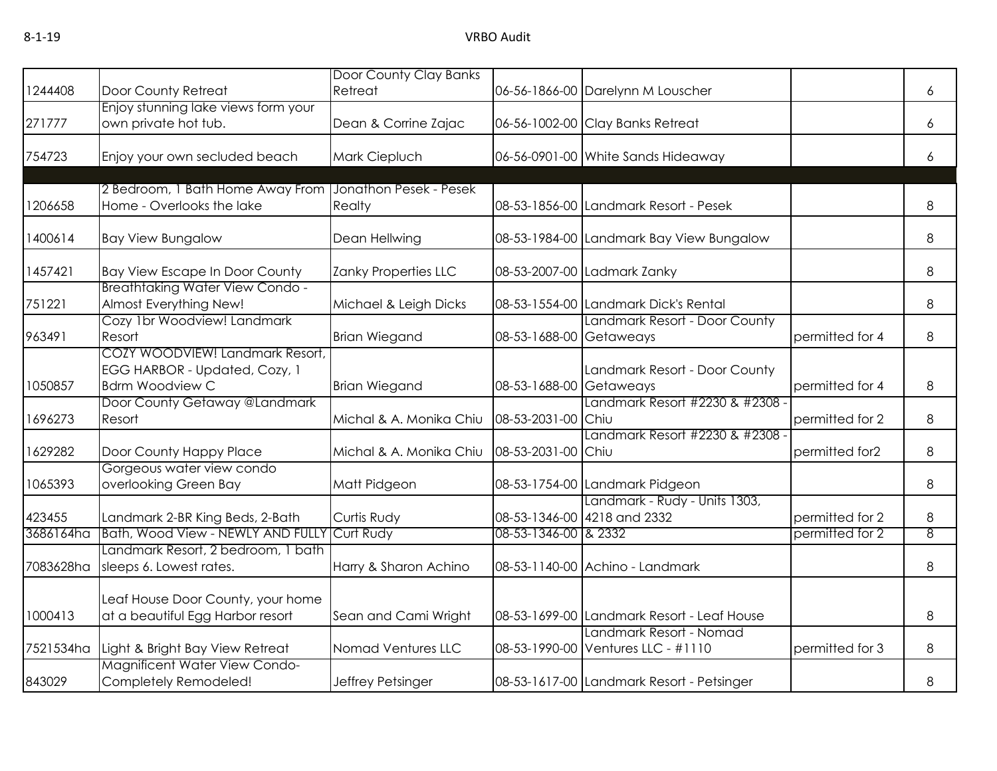| 1244408   | Door County Retreat                                                                        | Door County Clay Banks<br>Retreat |                         | 06-56-1866-00 Darelynn M Louscher                             |                 | 6              |
|-----------|--------------------------------------------------------------------------------------------|-----------------------------------|-------------------------|---------------------------------------------------------------|-----------------|----------------|
| 271777    | Enjoy stunning lake views form your                                                        |                                   |                         |                                                               |                 |                |
|           | own private hot tub.                                                                       | Dean & Corrine Zajac              |                         | 06-56-1002-00 Clay Banks Retreat                              |                 | 6              |
| 754723    | Enjoy your own secluded beach                                                              | Mark Ciepluch                     |                         | 06-56-0901-00 White Sands Hideaway                            |                 | 6              |
|           | 2 Bedroom, 1 Bath Home Away From                                                           | Jonathon Pesek - Pesek            |                         |                                                               |                 |                |
| 1206658   | Home - Overlooks the lake                                                                  | Realty                            |                         | 08-53-1856-00 Landmark Resort - Pesek                         |                 | 8              |
| 1400614   | <b>Bay View Bungalow</b>                                                                   | Dean Hellwing                     |                         | 08-53-1984-00 Landmark Bay View Bungalow                      |                 | 8              |
| 1457421   | <b>Bay View Escape In Door County</b>                                                      | Zanky Properties LLC              |                         | 08-53-2007-00 Ladmark Zanky                                   |                 | 8              |
| 751221    | <b>Breathtaking Water View Condo -</b><br>Almost Everything New!                           | Michael & Leigh Dicks             |                         | 08-53-1554-00 Landmark Dick's Rental                          |                 | 8              |
| 963491    | Cozy 1br Woodview! Landmark<br>Resort                                                      | <b>Brian Wiegand</b>              | 08-53-1688-00 Getaweays | Landmark Resort - Door County                                 | permitted for 4 | 8              |
| 1050857   | COZY WOODVIEW! Landmark Resort,<br>EGG HARBOR - Updated, Cozy, 1<br><b>Bdrm Woodview C</b> | <b>Brian Wiegand</b>              | 08-53-1688-00 Getaweays | Landmark Resort - Door County                                 | permitted for 4 | 8              |
| 1696273   | Door County Getaway @Landmark<br>Resort                                                    | Michal & A. Monika Chiu           | 08-53-2031-00 Chiu      | Landmark Resort #2230 & #2308 -                               | permitted for 2 | 8              |
| 1629282   | Door County Happy Place                                                                    | Michal & A. Monika Chiu           | 08-53-2031-00 Chiu      | Landmark Resort #2230 & #2308 -                               | permitted for2  | 8              |
| 1065393   | Gorgeous water view condo<br>overlooking Green Bay                                         | Matt Pidgeon                      |                         | 08-53-1754-00 Landmark Pidgeon                                |                 | 8              |
| 423455    | Landmark 2-BR King Beds, 2-Bath                                                            | Curtis Rudy                       |                         | Landmark - Rudy - Units 1303,<br>08-53-1346-00 4218 and 2332  | permitted for 2 | 8              |
| 3686164ha | Bath, Wood View - NEWLY AND FULLY                                                          | Curt Rudy                         | 08-53-1346-00 & 2332    |                                                               | permitted for 2 | $\overline{8}$ |
| 7083628ha | Landmark Resort, 2 bedroom, 1 bath<br>sleeps 6. Lowest rates.                              | Harry & Sharon Achino             |                         | 08-53-1140-00 Achino - Landmark                               |                 | 8              |
| 1000413   | Leaf House Door County, your home<br>at a beautiful Egg Harbor resort                      | Sean and Cami Wright              |                         | 08-53-1699-00 Landmark Resort - Leaf House                    |                 | 8              |
| 7521534ha | Light & Bright Bay View Retreat                                                            | Nomad Ventures LLC                |                         | Landmark Resort - Nomad<br>08-53-1990-00 Ventures LLC - #1110 | permitted for 3 | 8              |
| 843029    | Magnificent Water View Condo-<br>Completely Remodeled!                                     | Jeffrey Petsinger                 |                         | 08-53-1617-00 Landmark Resort - Petsinger                     |                 | 8              |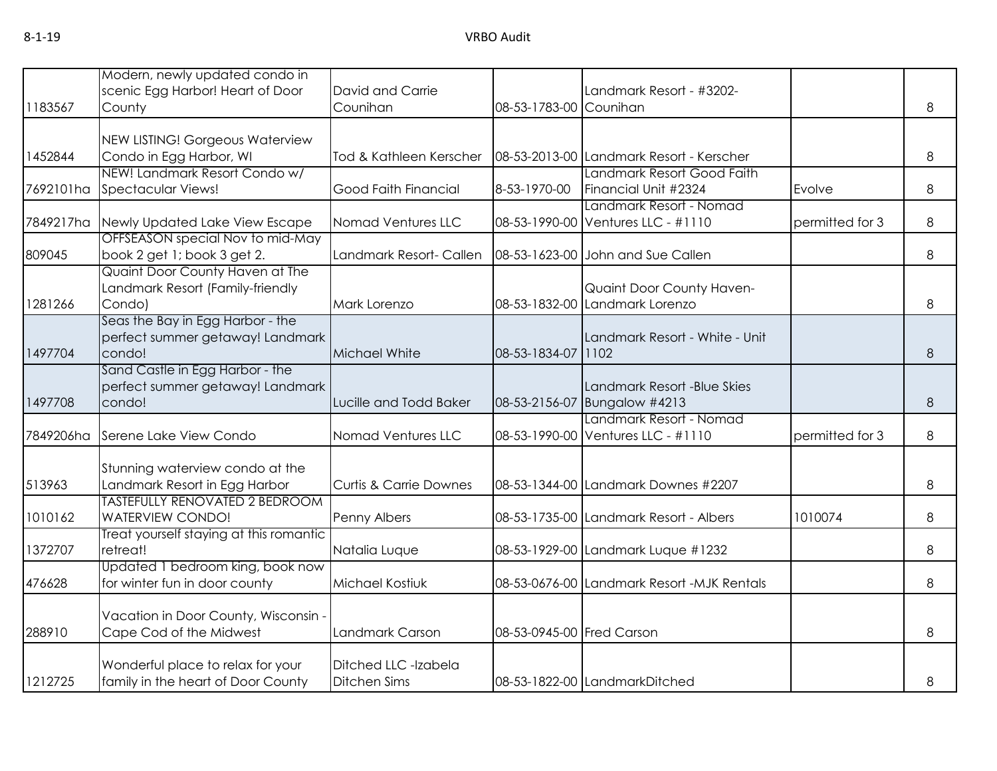|           | Modern, newly updated condo in                                         |                                   |                           |                                                               |                 |          |
|-----------|------------------------------------------------------------------------|-----------------------------------|---------------------------|---------------------------------------------------------------|-----------------|----------|
|           | scenic Egg Harbor! Heart of Door                                       | David and Carrie                  |                           | Landmark Resort - #3202-                                      |                 |          |
| 1183567   | County                                                                 | Counihan                          | 08-53-1783-00 Counihan    |                                                               |                 | 8        |
|           |                                                                        |                                   |                           |                                                               |                 |          |
| 1452844   | NEW LISTING! Gorgeous Waterview<br>Condo in Egg Harbor, WI             | Tod & Kathleen Kerscher           |                           | 08-53-2013-00 Landmark Resort - Kerscher                      |                 | 8        |
|           | NEW! Landmark Resort Condo w/                                          |                                   |                           | Landmark Resort Good Faith                                    |                 |          |
| 7692101ha | Spectacular Views!                                                     | Good Faith Financial              | 8-53-1970-00              | Financial Unit #2324                                          | Evolve          | 8        |
| 7849217ha | Newly Updated Lake View Escape                                         | Nomad Ventures LLC                |                           | Landmark Resort - Nomad<br>08-53-1990-00 Ventures LLC - #1110 | permitted for 3 | 8        |
|           | OFFSEASON special Nov to mid-May                                       |                                   |                           |                                                               |                 |          |
| 809045    | book 2 get 1; book 3 get 2.                                            | Landmark Resort- Callen           |                           | 08-53-1623-00 John and Sue Callen                             |                 | 8        |
|           | Quaint Door County Haven at The                                        |                                   |                           |                                                               |                 |          |
| 1281266   | Landmark Resort (Family-friendly                                       |                                   |                           | Quaint Door County Haven-<br>08-53-1832-00 Landmark Lorenzo   |                 | 8        |
|           | Condo)<br>Seas the Bay in Egg Harbor - the                             | Mark Lorenzo                      |                           |                                                               |                 |          |
|           | perfect summer getaway! Landmark                                       |                                   |                           | Landmark Resort - White - Unit                                |                 |          |
| 1497704   | condo!                                                                 | Michael White                     | 08-53-1834-07 1102        |                                                               |                 | 8        |
|           | Sand Castle in Egg Harbor - the                                        |                                   |                           |                                                               |                 |          |
|           | perfect summer getaway! Landmark                                       |                                   |                           | Landmark Resort -Blue Skies                                   |                 |          |
| 1497708   | condo!                                                                 | Lucille and Todd Baker            |                           | 08-53-2156-07 Bungalow #4213                                  |                 | $\delta$ |
| 7849206ha | Serene Lake View Condo                                                 | Nomad Ventures LLC                |                           | Landmark Resort - Nomad<br>08-53-1990-00 Ventures LLC - #1110 | permitted for 3 | 8        |
|           |                                                                        |                                   |                           |                                                               |                 |          |
|           | Stunning waterview condo at the                                        |                                   |                           |                                                               |                 |          |
| 513963    | Landmark Resort in Egg Harbor<br><b>TASTEFULLY RENOVATED 2 BEDROOM</b> | <b>Curtis &amp; Carrie Downes</b> |                           | 08-53-1344-00 Landmark Downes #2207                           |                 | 8        |
| 1010162   | <b>WATERVIEW CONDO!</b>                                                | Penny Albers                      |                           | 08-53-1735-00 Landmark Resort - Albers                        | 1010074         | 8        |
|           | Treat yourself staying at this romantic                                |                                   |                           |                                                               |                 |          |
| 1372707   | retreat!                                                               | Natalia Luque                     |                           | 08-53-1929-00 Landmark Luque #1232                            |                 | 8        |
|           | Updated 1 bedroom king, book now                                       |                                   |                           |                                                               |                 |          |
| 476628    | for winter fun in door county                                          | Michael Kostiuk                   |                           | 08-53-0676-00 Landmark Resort -MJK Rentals                    |                 | 8        |
|           |                                                                        |                                   |                           |                                                               |                 |          |
| 288910    | Vacation in Door County, Wisconsin -<br>Cape Cod of the Midwest        | Landmark Carson                   | 08-53-0945-00 Fred Carson |                                                               |                 | 8        |
|           |                                                                        |                                   |                           |                                                               |                 |          |
|           | Wonderful place to relax for your                                      | Ditched LLC -Izabela              |                           |                                                               |                 |          |
| 1212725   | family in the heart of Door County                                     | <b>Ditchen Sims</b>               |                           | 08-53-1822-00 LandmarkDitched                                 |                 | 8        |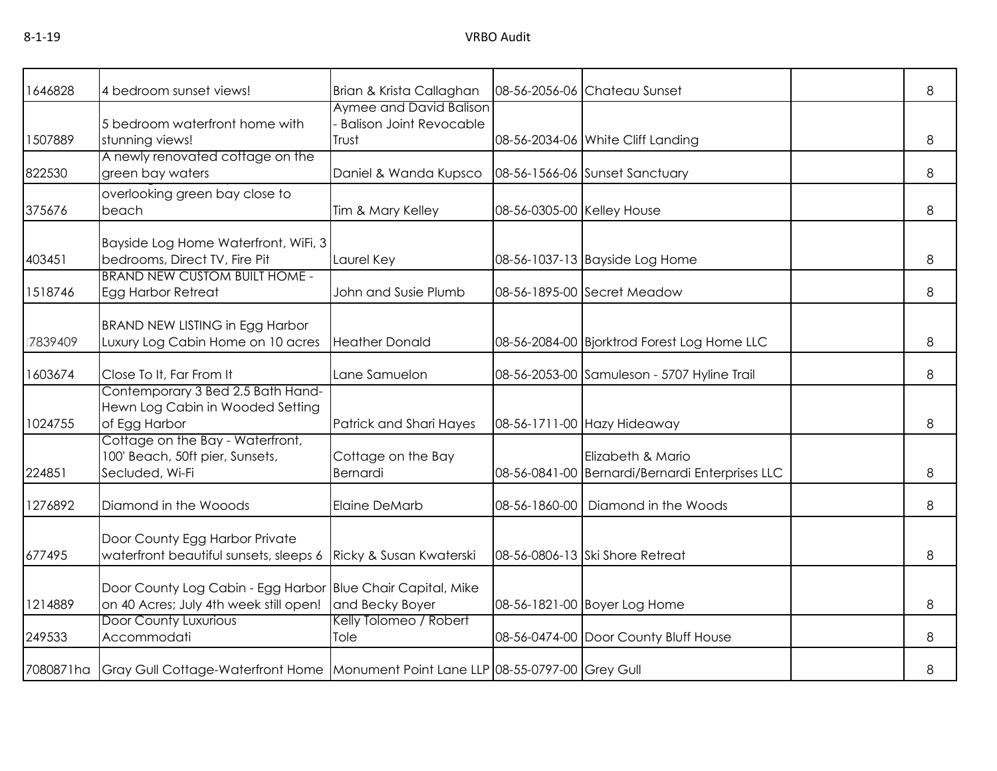| 1646828 | 4 bedroom sunset views!                                                                               | Brian & Krista Callaghan                                           |                            | 08-56-2056-06 Chateau Sunset                                         | 8 |
|---------|-------------------------------------------------------------------------------------------------------|--------------------------------------------------------------------|----------------------------|----------------------------------------------------------------------|---|
| 1507889 | 5 bedroom waterfront home with<br>stunning views!                                                     | Aymee and David Balison<br><b>Balison Joint Revocable</b><br>Trust |                            | 08-56-2034-06 White Cliff Landing                                    | 8 |
| 822530  | A newly renovated cottage on the<br>green bay waters                                                  | Daniel & Wanda Kupsco                                              |                            | 08-56-1566-06 Sunset Sanctuary                                       | 8 |
| 375676  | overlooking green bay close to<br>beach                                                               | Tim & Mary Kelley                                                  | 08-56-0305-00 Kelley House |                                                                      | 8 |
| 403451  | Bayside Log Home Waterfront, WiFi, 3<br>bedrooms, Direct TV, Fire Pit                                 | Laurel Key                                                         |                            | 08-56-1037-13 Bayside Log Home                                       | 8 |
| 1518746 | <b>BRAND NEW CUSTOM BUILT HOME -</b><br><b>Egg Harbor Retreat</b>                                     | John and Susie Plumb                                               |                            | 08-56-1895-00 Secret Meadow                                          | 8 |
| 7839409 | <b>BRAND NEW LISTING in Egg Harbor</b><br>Luxury Log Cabin Home on 10 acres                           | <b>Heather Donald</b>                                              |                            | 08-56-2084-00 Bjorktrod Forest Log Home LLC                          | 8 |
| 1603674 | Close To It, Far From It                                                                              | Lane Samuelon                                                      |                            | 08-56-2053-00 Samuleson - 5707 Hyline Trail                          | 8 |
| 1024755 | Contemporary 3 Bed 2.5 Bath Hand-<br>Hewn Log Cabin in Wooded Setting<br>of Egg Harbor                | Patrick and Shari Hayes                                            |                            | 08-56-1711-00 Hazy Hideaway                                          | 8 |
| 224851  | Cottage on the Bay - Waterfront,<br>100' Beach, 50ft pier, Sunsets,<br>Secluded, Wi-Fi                | Cottage on the Bay<br>Bernardi                                     |                            | Elizabeth & Mario<br>08-56-0841-00 Bernardi/Bernardi Enterprises LLC | 8 |
| 1276892 | Diamond in the Wooods                                                                                 | <b>Elaine DeMarb</b>                                               |                            | 08-56-1860-00   Diamond in the Woods                                 | 8 |
| 677495  | Door County Egg Harbor Private<br>waterfront beautiful sunsets, sleeps 6                              | Ricky & Susan Kwaterski                                            |                            | 08-56-0806-13 Ski Shore Retreat                                      | 8 |
| 1214889 | Door County Log Cabin - Egg Harbor Blue Chair Capital, Mike<br>on 40 Acres; July 4th week still open! | and Becky Boyer                                                    |                            | 08-56-1821-00 Boyer Log Home                                         | 8 |
| 249533  | <b>Door County Luxurious</b><br>Accommodati                                                           | Kelly Tolomeo / Robert<br>Tole                                     |                            | 08-56-0474-00 Door County Bluff House                                | 8 |
|         | 7080871ha Gray Gull Cottage-Waterfront Home Monument Point Lane LLP 08-55-0797-00 Grey Gull           |                                                                    |                            |                                                                      | 8 |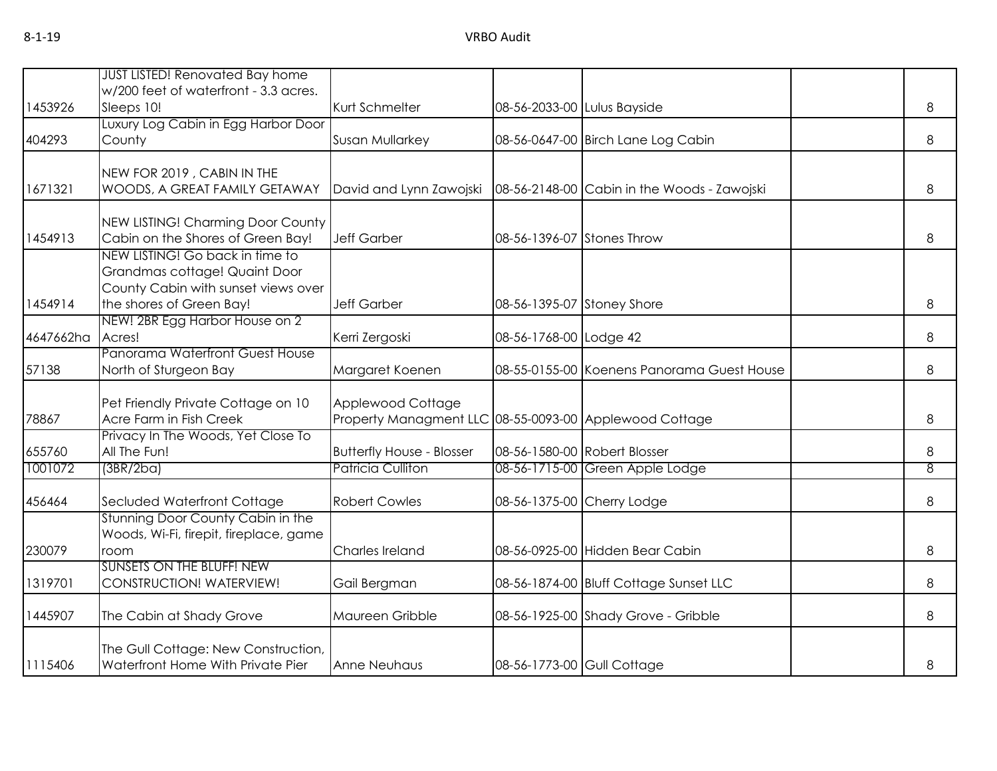| w/200 feet of waterfront - 3.3 acres.<br>Kurt Schmelter<br>1453926<br>Sleeps 10!<br>08-56-2033-00 Lulus Bayside<br>8<br>Luxury Log Cabin in Egg Harbor Door<br>8<br>County<br>Susan Mullarkey<br>08-56-0647-00 Birch Lane Log Cabin<br>NEW FOR 2019, CABIN IN THE<br>1671321<br>WOODS, A GREAT FAMILY GETAWAY<br>David and Lynn Zawojski<br>08-56-2148-00 Cabin in the Woods - Zawojski<br>8<br>NEW LISTING! Charming Door County<br>Cabin on the Shores of Green Bay!<br><b>Jeff Garber</b><br>1454913<br>08-56-1396-07 Stones Throw<br>8<br>NEW LISTING! Go back in time to<br>Grandmas cottage! Quaint Door<br>County Cabin with sunset views over<br>the shores of Green Bay!<br><b>Jeff Garber</b><br>8<br>08-56-1395-07 Stoney Shore<br>NEW! 2BR Egg Harbor House on 2<br>Acres!<br>Kerri Zergoski<br>08-56-1768-00 Lodge 42<br>8<br>Panorama Waterfront Guest House<br>57138<br>North of Sturgeon Bay<br>Margaret Koenen<br>08-55-0155-00 Koenens Panorama Guest House<br>8<br>Applewood Cottage<br>Pet Friendly Private Cottage on 10<br>Acre Farm in Fish Creek<br>Property Managment LLC 08-55-0093-00 Applewood Cottage<br>78867<br>8<br>Privacy In The Woods, Yet Close To<br>655760<br>All The Fun!<br><b>Butterfly House - Blosser</b><br>08-56-1580-00 Robert Blosser<br>8<br>1001072<br>Patricia Culliton<br>08-56-1715-00 Green Apple Lodge<br>8<br>(3BR/2ba)<br>Secluded Waterfront Cottage<br><b>Robert Cowles</b><br>08-56-1375-00 Cherry Lodge<br>8<br>Stunning Door County Cabin in the<br>Woods, Wi-Fi, firepit, fireplace, game<br>08-56-0925-00 Hidden Bear Cabin<br>Charles Ireland<br>8<br>room<br><b>SUNSETS ON THE BLUFF! NEW</b><br>1319701<br>CONSTRUCTION! WATERVIEW!<br>Gail Bergman<br>08-56-1874-00 Bluff Cottage Sunset LLC<br>8<br>1445907<br>The Cabin at Shady Grove<br>Maureen Gribble<br>08-56-1925-00 Shady Grove - Gribble<br>8<br>The Gull Cottage: New Construction,<br>Waterfront Home With Private Pier<br>08-56-1773-00 Gull Cottage<br><b>Anne Neuhaus</b><br>8 |           |                                        |  |  |  |
|------------------------------------------------------------------------------------------------------------------------------------------------------------------------------------------------------------------------------------------------------------------------------------------------------------------------------------------------------------------------------------------------------------------------------------------------------------------------------------------------------------------------------------------------------------------------------------------------------------------------------------------------------------------------------------------------------------------------------------------------------------------------------------------------------------------------------------------------------------------------------------------------------------------------------------------------------------------------------------------------------------------------------------------------------------------------------------------------------------------------------------------------------------------------------------------------------------------------------------------------------------------------------------------------------------------------------------------------------------------------------------------------------------------------------------------------------------------------------------------------------------------------------------------------------------------------------------------------------------------------------------------------------------------------------------------------------------------------------------------------------------------------------------------------------------------------------------------------------------------------------------------------------------------------------------------------------------------------------------------------------------------|-----------|----------------------------------------|--|--|--|
|                                                                                                                                                                                                                                                                                                                                                                                                                                                                                                                                                                                                                                                                                                                                                                                                                                                                                                                                                                                                                                                                                                                                                                                                                                                                                                                                                                                                                                                                                                                                                                                                                                                                                                                                                                                                                                                                                                                                                                                                                  |           | <b>JUST LISTED! Renovated Bay home</b> |  |  |  |
|                                                                                                                                                                                                                                                                                                                                                                                                                                                                                                                                                                                                                                                                                                                                                                                                                                                                                                                                                                                                                                                                                                                                                                                                                                                                                                                                                                                                                                                                                                                                                                                                                                                                                                                                                                                                                                                                                                                                                                                                                  |           |                                        |  |  |  |
|                                                                                                                                                                                                                                                                                                                                                                                                                                                                                                                                                                                                                                                                                                                                                                                                                                                                                                                                                                                                                                                                                                                                                                                                                                                                                                                                                                                                                                                                                                                                                                                                                                                                                                                                                                                                                                                                                                                                                                                                                  |           |                                        |  |  |  |
|                                                                                                                                                                                                                                                                                                                                                                                                                                                                                                                                                                                                                                                                                                                                                                                                                                                                                                                                                                                                                                                                                                                                                                                                                                                                                                                                                                                                                                                                                                                                                                                                                                                                                                                                                                                                                                                                                                                                                                                                                  |           |                                        |  |  |  |
|                                                                                                                                                                                                                                                                                                                                                                                                                                                                                                                                                                                                                                                                                                                                                                                                                                                                                                                                                                                                                                                                                                                                                                                                                                                                                                                                                                                                                                                                                                                                                                                                                                                                                                                                                                                                                                                                                                                                                                                                                  | 404293    |                                        |  |  |  |
|                                                                                                                                                                                                                                                                                                                                                                                                                                                                                                                                                                                                                                                                                                                                                                                                                                                                                                                                                                                                                                                                                                                                                                                                                                                                                                                                                                                                                                                                                                                                                                                                                                                                                                                                                                                                                                                                                                                                                                                                                  |           |                                        |  |  |  |
|                                                                                                                                                                                                                                                                                                                                                                                                                                                                                                                                                                                                                                                                                                                                                                                                                                                                                                                                                                                                                                                                                                                                                                                                                                                                                                                                                                                                                                                                                                                                                                                                                                                                                                                                                                                                                                                                                                                                                                                                                  |           |                                        |  |  |  |
|                                                                                                                                                                                                                                                                                                                                                                                                                                                                                                                                                                                                                                                                                                                                                                                                                                                                                                                                                                                                                                                                                                                                                                                                                                                                                                                                                                                                                                                                                                                                                                                                                                                                                                                                                                                                                                                                                                                                                                                                                  |           |                                        |  |  |  |
|                                                                                                                                                                                                                                                                                                                                                                                                                                                                                                                                                                                                                                                                                                                                                                                                                                                                                                                                                                                                                                                                                                                                                                                                                                                                                                                                                                                                                                                                                                                                                                                                                                                                                                                                                                                                                                                                                                                                                                                                                  |           |                                        |  |  |  |
|                                                                                                                                                                                                                                                                                                                                                                                                                                                                                                                                                                                                                                                                                                                                                                                                                                                                                                                                                                                                                                                                                                                                                                                                                                                                                                                                                                                                                                                                                                                                                                                                                                                                                                                                                                                                                                                                                                                                                                                                                  |           |                                        |  |  |  |
|                                                                                                                                                                                                                                                                                                                                                                                                                                                                                                                                                                                                                                                                                                                                                                                                                                                                                                                                                                                                                                                                                                                                                                                                                                                                                                                                                                                                                                                                                                                                                                                                                                                                                                                                                                                                                                                                                                                                                                                                                  |           |                                        |  |  |  |
|                                                                                                                                                                                                                                                                                                                                                                                                                                                                                                                                                                                                                                                                                                                                                                                                                                                                                                                                                                                                                                                                                                                                                                                                                                                                                                                                                                                                                                                                                                                                                                                                                                                                                                                                                                                                                                                                                                                                                                                                                  |           |                                        |  |  |  |
|                                                                                                                                                                                                                                                                                                                                                                                                                                                                                                                                                                                                                                                                                                                                                                                                                                                                                                                                                                                                                                                                                                                                                                                                                                                                                                                                                                                                                                                                                                                                                                                                                                                                                                                                                                                                                                                                                                                                                                                                                  |           |                                        |  |  |  |
|                                                                                                                                                                                                                                                                                                                                                                                                                                                                                                                                                                                                                                                                                                                                                                                                                                                                                                                                                                                                                                                                                                                                                                                                                                                                                                                                                                                                                                                                                                                                                                                                                                                                                                                                                                                                                                                                                                                                                                                                                  | 1454914   |                                        |  |  |  |
|                                                                                                                                                                                                                                                                                                                                                                                                                                                                                                                                                                                                                                                                                                                                                                                                                                                                                                                                                                                                                                                                                                                                                                                                                                                                                                                                                                                                                                                                                                                                                                                                                                                                                                                                                                                                                                                                                                                                                                                                                  |           |                                        |  |  |  |
|                                                                                                                                                                                                                                                                                                                                                                                                                                                                                                                                                                                                                                                                                                                                                                                                                                                                                                                                                                                                                                                                                                                                                                                                                                                                                                                                                                                                                                                                                                                                                                                                                                                                                                                                                                                                                                                                                                                                                                                                                  | 4647662ha |                                        |  |  |  |
|                                                                                                                                                                                                                                                                                                                                                                                                                                                                                                                                                                                                                                                                                                                                                                                                                                                                                                                                                                                                                                                                                                                                                                                                                                                                                                                                                                                                                                                                                                                                                                                                                                                                                                                                                                                                                                                                                                                                                                                                                  |           |                                        |  |  |  |
|                                                                                                                                                                                                                                                                                                                                                                                                                                                                                                                                                                                                                                                                                                                                                                                                                                                                                                                                                                                                                                                                                                                                                                                                                                                                                                                                                                                                                                                                                                                                                                                                                                                                                                                                                                                                                                                                                                                                                                                                                  |           |                                        |  |  |  |
|                                                                                                                                                                                                                                                                                                                                                                                                                                                                                                                                                                                                                                                                                                                                                                                                                                                                                                                                                                                                                                                                                                                                                                                                                                                                                                                                                                                                                                                                                                                                                                                                                                                                                                                                                                                                                                                                                                                                                                                                                  |           |                                        |  |  |  |
|                                                                                                                                                                                                                                                                                                                                                                                                                                                                                                                                                                                                                                                                                                                                                                                                                                                                                                                                                                                                                                                                                                                                                                                                                                                                                                                                                                                                                                                                                                                                                                                                                                                                                                                                                                                                                                                                                                                                                                                                                  |           |                                        |  |  |  |
|                                                                                                                                                                                                                                                                                                                                                                                                                                                                                                                                                                                                                                                                                                                                                                                                                                                                                                                                                                                                                                                                                                                                                                                                                                                                                                                                                                                                                                                                                                                                                                                                                                                                                                                                                                                                                                                                                                                                                                                                                  |           |                                        |  |  |  |
|                                                                                                                                                                                                                                                                                                                                                                                                                                                                                                                                                                                                                                                                                                                                                                                                                                                                                                                                                                                                                                                                                                                                                                                                                                                                                                                                                                                                                                                                                                                                                                                                                                                                                                                                                                                                                                                                                                                                                                                                                  |           |                                        |  |  |  |
|                                                                                                                                                                                                                                                                                                                                                                                                                                                                                                                                                                                                                                                                                                                                                                                                                                                                                                                                                                                                                                                                                                                                                                                                                                                                                                                                                                                                                                                                                                                                                                                                                                                                                                                                                                                                                                                                                                                                                                                                                  |           |                                        |  |  |  |
|                                                                                                                                                                                                                                                                                                                                                                                                                                                                                                                                                                                                                                                                                                                                                                                                                                                                                                                                                                                                                                                                                                                                                                                                                                                                                                                                                                                                                                                                                                                                                                                                                                                                                                                                                                                                                                                                                                                                                                                                                  |           |                                        |  |  |  |
|                                                                                                                                                                                                                                                                                                                                                                                                                                                                                                                                                                                                                                                                                                                                                                                                                                                                                                                                                                                                                                                                                                                                                                                                                                                                                                                                                                                                                                                                                                                                                                                                                                                                                                                                                                                                                                                                                                                                                                                                                  | 456464    |                                        |  |  |  |
|                                                                                                                                                                                                                                                                                                                                                                                                                                                                                                                                                                                                                                                                                                                                                                                                                                                                                                                                                                                                                                                                                                                                                                                                                                                                                                                                                                                                                                                                                                                                                                                                                                                                                                                                                                                                                                                                                                                                                                                                                  |           |                                        |  |  |  |
|                                                                                                                                                                                                                                                                                                                                                                                                                                                                                                                                                                                                                                                                                                                                                                                                                                                                                                                                                                                                                                                                                                                                                                                                                                                                                                                                                                                                                                                                                                                                                                                                                                                                                                                                                                                                                                                                                                                                                                                                                  |           |                                        |  |  |  |
|                                                                                                                                                                                                                                                                                                                                                                                                                                                                                                                                                                                                                                                                                                                                                                                                                                                                                                                                                                                                                                                                                                                                                                                                                                                                                                                                                                                                                                                                                                                                                                                                                                                                                                                                                                                                                                                                                                                                                                                                                  | 230079    |                                        |  |  |  |
|                                                                                                                                                                                                                                                                                                                                                                                                                                                                                                                                                                                                                                                                                                                                                                                                                                                                                                                                                                                                                                                                                                                                                                                                                                                                                                                                                                                                                                                                                                                                                                                                                                                                                                                                                                                                                                                                                                                                                                                                                  |           |                                        |  |  |  |
|                                                                                                                                                                                                                                                                                                                                                                                                                                                                                                                                                                                                                                                                                                                                                                                                                                                                                                                                                                                                                                                                                                                                                                                                                                                                                                                                                                                                                                                                                                                                                                                                                                                                                                                                                                                                                                                                                                                                                                                                                  |           |                                        |  |  |  |
|                                                                                                                                                                                                                                                                                                                                                                                                                                                                                                                                                                                                                                                                                                                                                                                                                                                                                                                                                                                                                                                                                                                                                                                                                                                                                                                                                                                                                                                                                                                                                                                                                                                                                                                                                                                                                                                                                                                                                                                                                  |           |                                        |  |  |  |
|                                                                                                                                                                                                                                                                                                                                                                                                                                                                                                                                                                                                                                                                                                                                                                                                                                                                                                                                                                                                                                                                                                                                                                                                                                                                                                                                                                                                                                                                                                                                                                                                                                                                                                                                                                                                                                                                                                                                                                                                                  |           |                                        |  |  |  |
|                                                                                                                                                                                                                                                                                                                                                                                                                                                                                                                                                                                                                                                                                                                                                                                                                                                                                                                                                                                                                                                                                                                                                                                                                                                                                                                                                                                                                                                                                                                                                                                                                                                                                                                                                                                                                                                                                                                                                                                                                  |           |                                        |  |  |  |
|                                                                                                                                                                                                                                                                                                                                                                                                                                                                                                                                                                                                                                                                                                                                                                                                                                                                                                                                                                                                                                                                                                                                                                                                                                                                                                                                                                                                                                                                                                                                                                                                                                                                                                                                                                                                                                                                                                                                                                                                                  | 1115406   |                                        |  |  |  |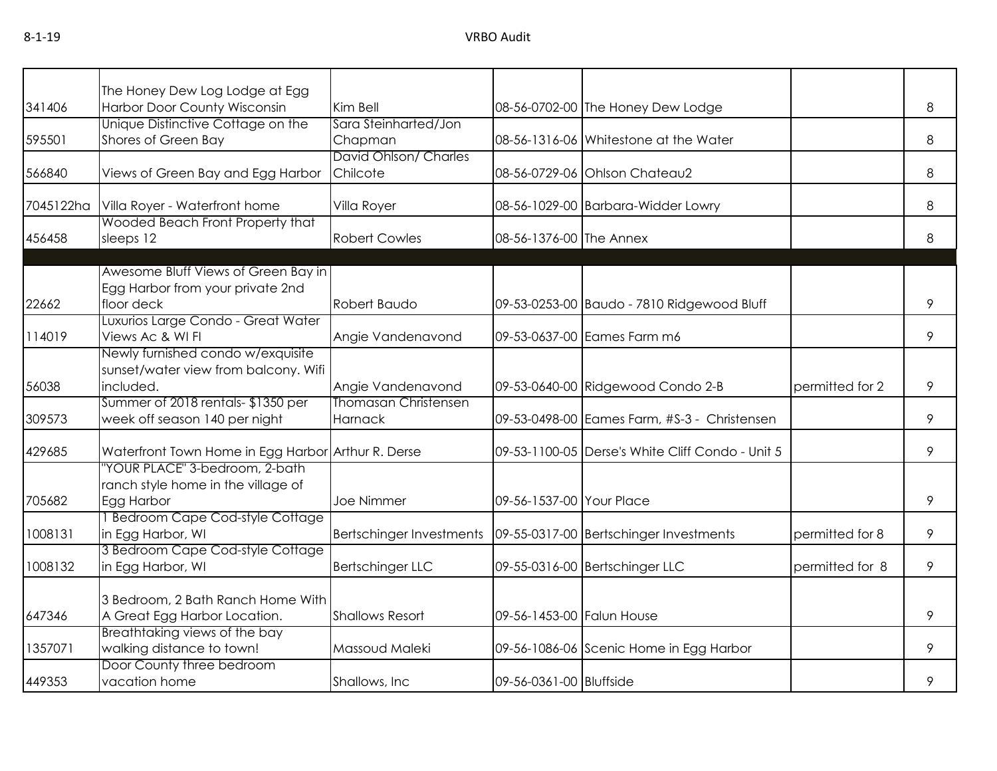|           | The Honey Dew Log Lodge at Egg                     |                                 |                           |                                                  |                 |   |
|-----------|----------------------------------------------------|---------------------------------|---------------------------|--------------------------------------------------|-----------------|---|
| 341406    | Harbor Door County Wisconsin                       | Kim Bell                        |                           | 08-56-0702-00 The Honey Dew Lodge                |                 | 8 |
|           | Unique Distinctive Cottage on the                  | Sara Steinharted/Jon            |                           |                                                  |                 |   |
| 595501    | Shores of Green Bay                                | Chapman                         |                           | 08-56-1316-06 Whitestone at the Water            |                 | 8 |
|           |                                                    | David Ohlson/ Charles           |                           |                                                  |                 |   |
| 566840    | Views of Green Bay and Egg Harbor                  | Chilcote                        |                           | 08-56-0729-06 Ohlson Chateau2                    |                 | 8 |
|           |                                                    |                                 |                           |                                                  |                 |   |
| 7045122ha | Villa Royer - Waterfront home                      | Villa Royer                     |                           | 08-56-1029-00 Barbara-Widder Lowry               |                 | 8 |
|           | Wooded Beach Front Property that                   |                                 |                           |                                                  |                 |   |
| 456458    | sleeps 12                                          | <b>Robert Cowles</b>            | 08-56-1376-00 The Annex   |                                                  |                 | 8 |
|           |                                                    |                                 |                           |                                                  |                 |   |
|           | Awesome Bluff Views of Green Bay in                |                                 |                           |                                                  |                 |   |
|           | Egg Harbor from your private 2nd                   |                                 |                           |                                                  |                 |   |
| 22662     | floor deck                                         | Robert Baudo                    |                           | 09-53-0253-00 Baudo - 7810 Ridgewood Bluff       |                 | 9 |
|           | Luxurios Large Condo - Great Water                 |                                 |                           |                                                  |                 |   |
| 114019    | Views Ac & WI FI                                   | Angie Vandenavond               |                           | 09-53-0637-00 Eames Farm m6                      |                 | 9 |
|           | Newly furnished condo w/exquisite                  |                                 |                           |                                                  |                 |   |
|           | sunset/water view from balcony. Wifi               |                                 |                           |                                                  |                 |   |
| 56038     | included.                                          | Angie Vandenavond               |                           | 09-53-0640-00 Ridgewood Condo 2-B                | permitted for 2 | 9 |
|           | Summer of 2018 rentals-\$1350 per                  | <b>Thomasan Christensen</b>     |                           |                                                  |                 |   |
| 309573    | week off season 140 per night                      | Harnack                         |                           | 09-53-0498-00 Eames Farm, #S-3 - Christensen     |                 | 9 |
| 429685    | Waterfront Town Home in Egg Harbor Arthur R. Derse |                                 |                           | 09-53-1100-05 Derse's White Cliff Condo - Unit 5 |                 | 9 |
|           | "YOUR PLACE" 3-bedroom, 2-bath                     |                                 |                           |                                                  |                 |   |
|           | ranch style home in the village of                 |                                 |                           |                                                  |                 |   |
| 705682    | Egg Harbor                                         | <b>Joe Nimmer</b>               | 09-56-1537-00 Your Place  |                                                  |                 | 9 |
|           | <b>Bedroom Cape Cod-style Cottage</b>              |                                 |                           |                                                  |                 |   |
| 1008131   | in Egg Harbor, WI                                  | <b>Bertschinger Investments</b> |                           | 09-55-0317-00 Bertschinger Investments           | permitted for 8 | 9 |
|           | 3 Bedroom Cape Cod-style Cottage                   |                                 |                           |                                                  |                 |   |
| 1008132   | in Egg Harbor, WI                                  | <b>Bertschinger LLC</b>         |                           | 09-55-0316-00 Bertschinger LLC                   | permitted for 8 | 9 |
|           |                                                    |                                 |                           |                                                  |                 |   |
|           | 3 Bedroom, 2 Bath Ranch Home With                  |                                 |                           |                                                  |                 |   |
| 647346    | A Great Egg Harbor Location.                       | <b>Shallows Resort</b>          | 09-56-1453-00 Falun House |                                                  |                 | 9 |
|           | Breathtaking views of the bay                      |                                 |                           |                                                  |                 |   |
| 1357071   | walking distance to town!                          | Massoud Maleki                  |                           | 09-56-1086-06 Scenic Home in Egg Harbor          |                 | 9 |
|           | Door County three bedroom                          |                                 |                           |                                                  |                 |   |
| 449353    | vacation home                                      | Shallows, Inc.                  | 09-56-0361-00 Bluffside   |                                                  |                 | 9 |
|           |                                                    |                                 |                           |                                                  |                 |   |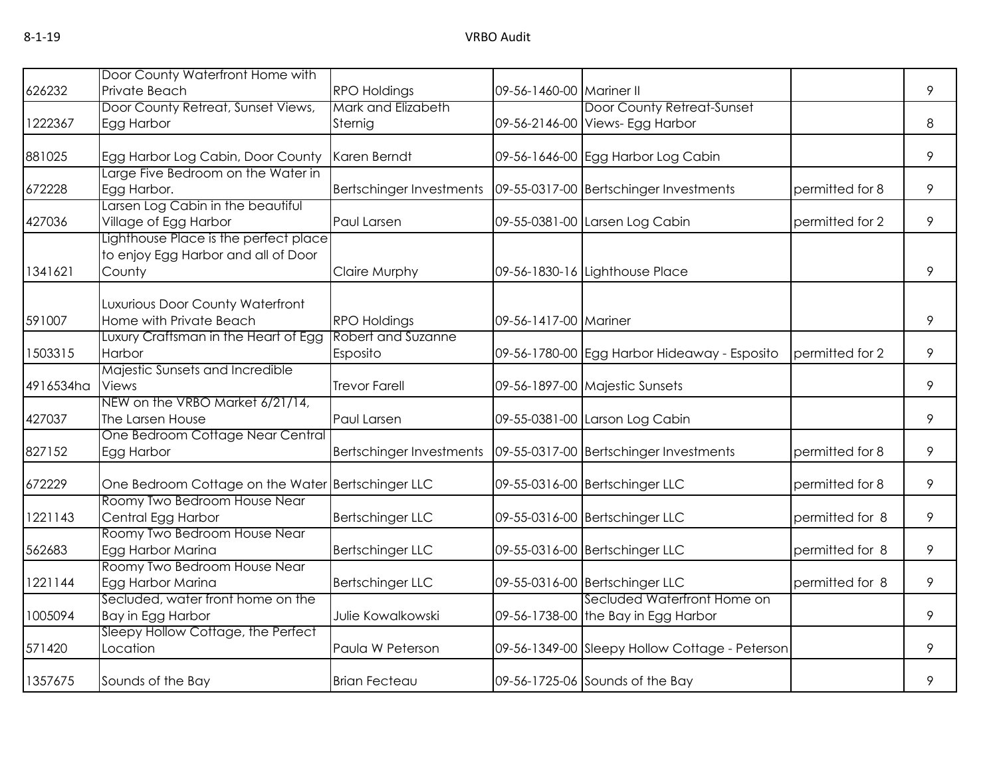|           | Door County Waterfront Home with                  |                          |                          |                                                |                 |   |
|-----------|---------------------------------------------------|--------------------------|--------------------------|------------------------------------------------|-----------------|---|
| 626232    | Private Beach                                     | <b>RPO Holdings</b>      | 09-56-1460-00 Mariner II |                                                |                 | 9 |
|           | Door County Retreat, Sunset Views,                | Mark and Elizabeth       |                          | Door County Retreat-Sunset                     |                 |   |
| 1222367   | Egg Harbor                                        | Sternig                  |                          | 09-56-2146-00 Views- Egg Harbor                |                 | 8 |
| 881025    | Egg Harbor Log Cabin, Door County                 | Karen Berndt             |                          | 09-56-1646-00 Egg Harbor Log Cabin             |                 | 9 |
| 672228    | arge Five Bedroom on the Water in<br>Egg Harbor.  |                          |                          |                                                | permitted for 8 | 9 |
|           | arsen Log Cabin in the beautiful                  | Bertschinger Investments |                          | 09-55-0317-00 Bertschinger Investments         |                 |   |
| 427036    | Village of Egg Harbor                             | Paul Larsen              |                          | 09-55-0381-00 Larsen Log Cabin                 | permitted for 2 | 9 |
|           | Lighthouse Place is the perfect place             |                          |                          |                                                |                 |   |
|           | to enjoy Egg Harbor and all of Door               |                          |                          |                                                |                 |   |
| 1341621   | County                                            | Claire Murphy            |                          | 09-56-1830-16 Lighthouse Place                 |                 | 9 |
|           | Luxurious Door County Waterfront                  |                          |                          |                                                |                 |   |
| 591007    | Home with Private Beach                           | <b>RPO Holdings</b>      | 09-56-1417-00 Mariner    |                                                |                 | 9 |
|           | Luxury Craftsman in the Heart of Egg              | Robert and Suzanne       |                          |                                                |                 |   |
| 1503315   | Harbor                                            | Esposito                 |                          | 09-56-1780-00 Egg Harbor Hideaway - Esposito   | permitted for 2 | 9 |
|           | Majestic Sunsets and Incredible                   |                          |                          |                                                |                 |   |
| 4916534ha | <b>Views</b>                                      | <b>Trevor Farell</b>     |                          | 09-56-1897-00 Majestic Sunsets                 |                 | 9 |
|           | NEW on the VRBO Market 6/21/14,                   |                          |                          |                                                |                 |   |
| 427037    | The Larsen House                                  | Paul Larsen              |                          | 09-55-0381-00 Larson Log Cabin                 |                 | 9 |
|           | One Bedroom Cottage Near Central                  |                          |                          |                                                |                 |   |
| 827152    | Egg Harbor                                        | Bertschinger Investments |                          | 09-55-0317-00 Bertschinger Investments         | permitted for 8 | 9 |
| 672229    | One Bedroom Cottage on the Water Bertschinger LLC |                          |                          | 09-55-0316-00 Bertschinger LLC                 | permitted for 8 | 9 |
|           | Roomy Two Bedroom House Near                      |                          |                          |                                                |                 |   |
| 1221143   | Central Egg Harbor                                | <b>Bertschinger LLC</b>  |                          | 09-55-0316-00 Bertschinger LLC                 | permitted for 8 | 9 |
|           | Roomy Two Bedroom House Near                      |                          |                          |                                                |                 |   |
| 562683    | Egg Harbor Marina                                 | <b>Bertschinger LLC</b>  |                          | 09-55-0316-00 Bertschinger LLC                 | permitted for 8 | 9 |
|           | Roomy Two Bedroom House Near                      |                          |                          |                                                |                 |   |
| 1221144   | Egg Harbor Marina                                 | <b>Bertschinger LLC</b>  |                          | 09-55-0316-00 Bertschinger LLC                 | permitted for 8 | 9 |
|           | Secluded, water front home on the                 |                          |                          | Secluded Waterfront Home on                    |                 |   |
| 1005094   | Bay in Egg Harbor                                 | Julie Kowalkowski        |                          | 09-56-1738-00 the Bay in Egg Harbor            |                 | 9 |
|           | Sleepy Hollow Cottage, the Perfect                |                          |                          |                                                |                 |   |
| 571420    | Location                                          | Paula W Peterson         |                          | 09-56-1349-00 Sleepy Hollow Cottage - Peterson |                 | 9 |
| 1357675   | Sounds of the Bay                                 | <b>Brian Fecteau</b>     |                          | 09-56-1725-06 Sounds of the Bay                |                 | 9 |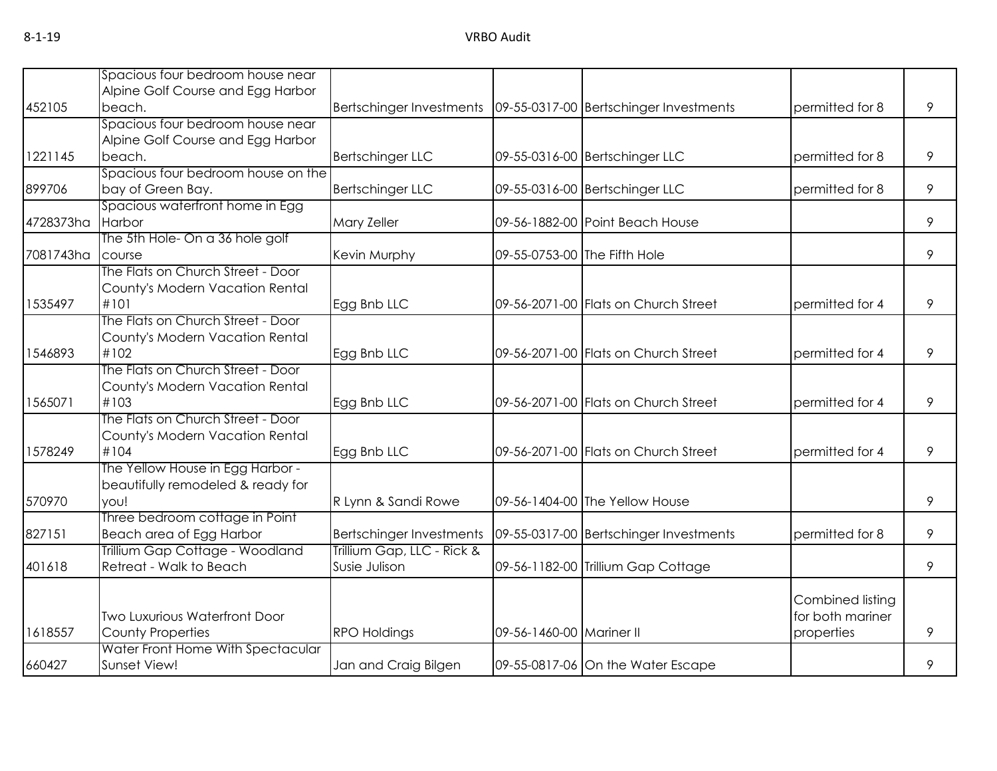|           | Spacious four bedroom house near     |                                 |                          |                                                                     |                  |   |
|-----------|--------------------------------------|---------------------------------|--------------------------|---------------------------------------------------------------------|------------------|---|
|           | Alpine Golf Course and Egg Harbor    |                                 |                          |                                                                     |                  |   |
| 452105    | beach.                               |                                 |                          | Bertschinger Investments   09-55-0317-00   Bertschinger Investments | permitted for 8  | 9 |
|           | Spacious four bedroom house near     |                                 |                          |                                                                     |                  |   |
|           | Alpine Golf Course and Egg Harbor    |                                 |                          |                                                                     |                  |   |
| 1221145   | beach.                               | <b>Bertschinger LLC</b>         |                          | 09-55-0316-00 Bertschinger LLC                                      | permitted for 8  | 9 |
|           | Spacious four bedroom house on the   |                                 |                          |                                                                     |                  |   |
| 899706    | bay of Green Bay.                    | <b>Bertschinger LLC</b>         |                          | 09-55-0316-00 Bertschinger LLC                                      | permitted for 8  | 9 |
|           | Spacious waterfront home in Egg      |                                 |                          |                                                                     |                  |   |
| 4728373ha | Harbor                               | Mary Zeller                     |                          | 09-56-1882-00 Point Beach House                                     |                  | 9 |
|           | The 5th Hole- On a 36 hole golf      |                                 |                          |                                                                     |                  |   |
| 7081743ha | course                               | Kevin Murphy                    |                          | 09-55-0753-00 The Fifth Hole                                        |                  | 9 |
|           | The Flats on Church Street - Door    |                                 |                          |                                                                     |                  |   |
|           | County's Modern Vacation Rental      |                                 |                          |                                                                     |                  |   |
| 1535497   | #101                                 | Egg Bnb LLC                     |                          | 09-56-2071-00 Flats on Church Street                                | permitted for 4  | 9 |
|           | The Flats on Church Street - Door    |                                 |                          |                                                                     |                  |   |
|           | County's Modern Vacation Rental      |                                 |                          |                                                                     |                  |   |
| 1546893   | #102                                 | Egg Bnb LLC                     |                          | 09-56-2071-00 Flats on Church Street                                | permitted for 4  | 9 |
|           | The Flats on Church Street - Door    |                                 |                          |                                                                     |                  |   |
|           | County's Modern Vacation Rental      |                                 |                          |                                                                     |                  |   |
| 1565071   | #103                                 | Egg Bnb LLC                     |                          | 09-56-2071-00 Flats on Church Street                                | permitted for 4  | 9 |
|           | The Flats on Church Street - Door    |                                 |                          |                                                                     |                  |   |
|           | County's Modern Vacation Rental      |                                 |                          |                                                                     |                  |   |
| 1578249   | #104                                 | Egg Bnb LLC                     |                          | 09-56-2071-00 Flats on Church Street                                | permitted for 4  | 9 |
|           | The Yellow House in Egg Harbor -     |                                 |                          |                                                                     |                  |   |
|           | beautifully remodeled & ready for    |                                 |                          |                                                                     |                  |   |
| 570970    | you!                                 | R Lynn & Sandi Rowe             |                          | 09-56-1404-00 The Yellow House                                      |                  | 9 |
|           | Three bedroom cottage in Point       |                                 |                          |                                                                     |                  |   |
| 827151    | Beach area of Egg Harbor             | <b>Bertschinger Investments</b> |                          | 09-55-0317-00 Bertschinger Investments                              | permitted for 8  | 9 |
|           | Trillium Gap Cottage - Woodland      | Trillium Gap, LLC - Rick &      |                          |                                                                     |                  |   |
| 401618    | Retreat - Walk to Beach              | Susie Julison                   |                          | 09-56-1182-00 Trillium Gap Cottage                                  |                  | 9 |
|           |                                      |                                 |                          |                                                                     |                  |   |
|           |                                      |                                 |                          |                                                                     | Combined listing |   |
|           | <b>Two Luxurious Waterfront Door</b> |                                 |                          |                                                                     | for both mariner |   |
| 1618557   | <b>County Properties</b>             | <b>RPO Holdings</b>             | 09-56-1460-00 Mariner II |                                                                     | properties       | 9 |
|           | Water Front Home With Spectacular    |                                 |                          |                                                                     |                  |   |
| 660427    | Sunset View!                         | Jan and Craig Bilgen            |                          | 09-55-0817-06 On the Water Escape                                   |                  | 9 |
|           |                                      |                                 |                          |                                                                     |                  |   |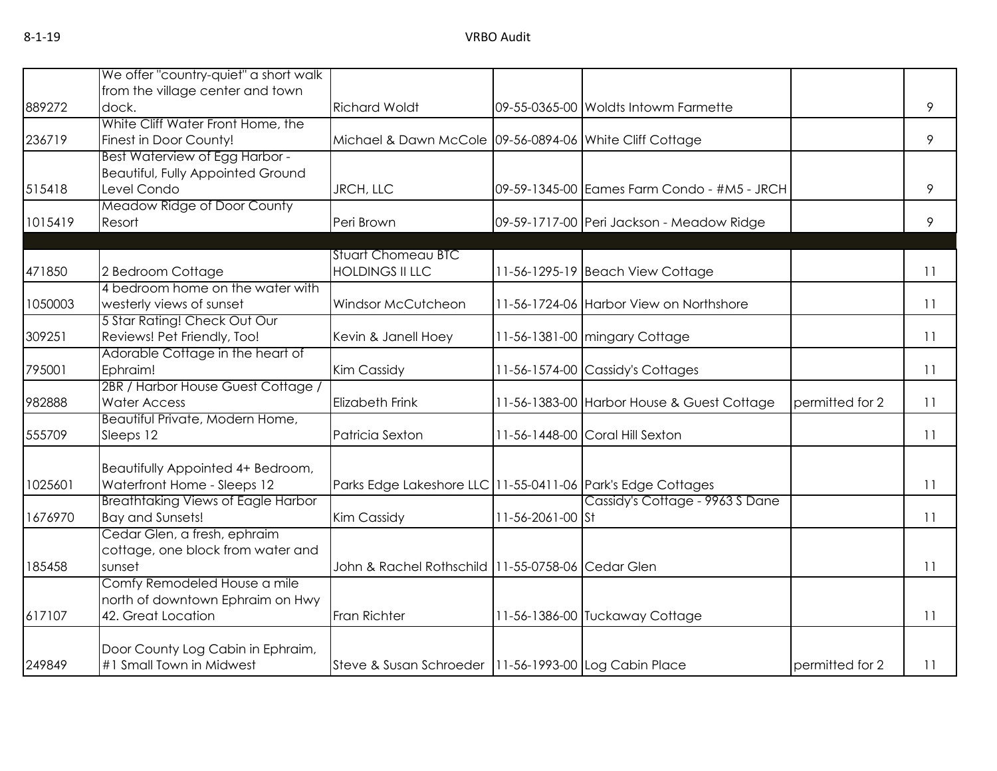|         | We offer "country-quiet" a short walk                  |                                                             |                  |                                             |                 |    |
|---------|--------------------------------------------------------|-------------------------------------------------------------|------------------|---------------------------------------------|-----------------|----|
|         | from the village center and town                       |                                                             |                  |                                             |                 |    |
| 889272  | dock.                                                  | <b>Richard Woldt</b>                                        |                  | 09-55-0365-00 Woldts Intowm Farmette        |                 | 9  |
|         | White Cliff Water Front Home, the                      |                                                             |                  |                                             |                 |    |
| 236719  | Finest in Door County!                                 | Michael & Dawn McCole 09-56-0894-06 White Cliff Cottage     |                  |                                             |                 | 9  |
|         | Best Waterview of Egg Harbor -                         |                                                             |                  |                                             |                 |    |
|         | Beautiful, Fully Appointed Ground                      |                                                             |                  |                                             |                 |    |
| 515418  | Level Condo                                            | JRCH, LLC                                                   |                  | 09-59-1345-00 Eames Farm Condo - #M5 - JRCH |                 | 9  |
|         | Meadow Ridge of Door County                            |                                                             |                  |                                             |                 |    |
| 1015419 | Resort                                                 | Peri Brown                                                  |                  | 09-59-1717-00 Peri Jackson - Meadow Ridge   |                 | 9  |
|         |                                                        |                                                             |                  |                                             |                 |    |
|         |                                                        | <b>Stuart Chomeau BTC</b>                                   |                  |                                             |                 |    |
| 471850  | 2 Bedroom Cottage                                      | <b>HOLDINGS II LLC</b>                                      |                  | 11-56-1295-19 Beach View Cottage            |                 | 11 |
|         | 4 bedroom home on the water with                       |                                                             |                  |                                             |                 |    |
| 1050003 | westerly views of sunset                               | Windsor McCutcheon                                          |                  | 11-56-1724-06 Harbor View on Northshore     |                 | 11 |
|         | 5 Star Rating! Check Out Our                           |                                                             |                  |                                             |                 |    |
| 309251  | Reviews! Pet Friendly, Too!                            | Kevin & Janell Hoey                                         |                  | 11-56-1381-00 mingary Cottage               |                 | 11 |
|         | Adorable Cottage in the heart of                       |                                                             |                  |                                             |                 |    |
| 795001  | Ephraim!                                               | Kim Cassidy                                                 |                  | 11-56-1574-00 Cassidy's Cottages            |                 | 11 |
|         | 2BR / Harbor House Guest Cottage /                     |                                                             |                  |                                             |                 |    |
| 982888  | <b>Water Access</b><br>Beautiful Private, Modern Home, | <b>Elizabeth Frink</b>                                      |                  | 11-56-1383-00 Harbor House & Guest Cottage  | permitted for 2 | 11 |
| 555709  | Sleeps 12                                              | Patricia Sexton                                             |                  | 11-56-1448-00 Coral Hill Sexton             |                 | 11 |
|         |                                                        |                                                             |                  |                                             |                 |    |
|         | Beautifully Appointed 4+ Bedroom,                      |                                                             |                  |                                             |                 |    |
| 1025601 | Waterfront Home - Sleeps 12                            | Parks Edge Lakeshore LLC 11-55-0411-06 Park's Edge Cottages |                  |                                             |                 | 11 |
|         | <b>Breathtaking Views of Eagle Harbor</b>              |                                                             |                  | Cassidy's Cottage - 9963 S Dane             |                 |    |
| 1676970 | <b>Bay and Sunsets!</b>                                | <b>Kim Cassidy</b>                                          | 11-56-2061-00 St |                                             |                 | 11 |
|         | Cedar Glen, a fresh, ephraim                           |                                                             |                  |                                             |                 |    |
|         | cottage, one block from water and                      |                                                             |                  |                                             |                 |    |
| 185458  | sunset                                                 | John & Rachel Rothschild 11-55-0758-06 Cedar Glen           |                  |                                             |                 | 11 |
|         | Comfy Remodeled House a mile                           |                                                             |                  |                                             |                 |    |
|         | north of downtown Ephraim on Hwy                       |                                                             |                  |                                             |                 |    |
| 617107  | 42. Great Location                                     | <b>Fran Richter</b>                                         |                  | 11-56-1386-00 Tuckaway Cottage              |                 | 11 |
|         |                                                        |                                                             |                  |                                             |                 |    |
|         | Door County Log Cabin in Ephraim,                      |                                                             |                  |                                             |                 |    |
| 249849  | #1 Small Town in Midwest                               | Steve & Susan Schroeder   11-56-1993-00 Log Cabin Place     |                  |                                             | permitted for 2 | 11 |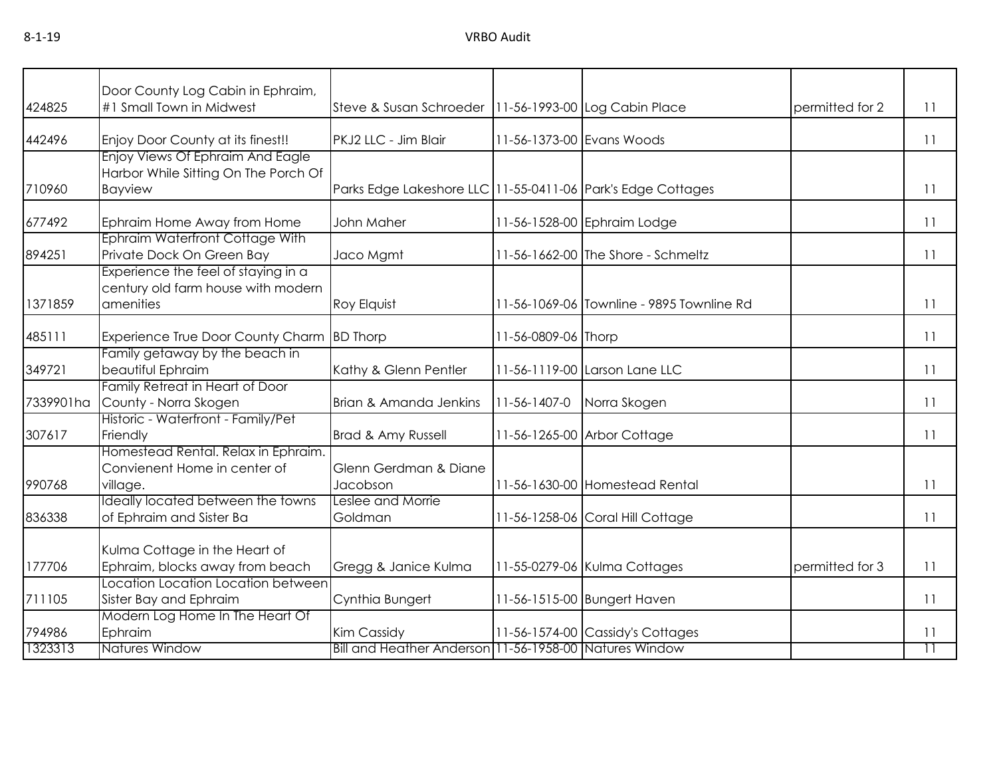|           | Door County Log Cabin in Ephraim,                                        |                                                             |                     |                                           |                 |                 |
|-----------|--------------------------------------------------------------------------|-------------------------------------------------------------|---------------------|-------------------------------------------|-----------------|-----------------|
| 424825    | #1 Small Town in Midwest                                                 | Steve & Susan Schroeder   11-56-1993-00 Log Cabin Place     |                     |                                           | permitted for 2 | 11              |
|           |                                                                          |                                                             |                     |                                           |                 |                 |
| 442496    | Enjoy Door County at its finest!!                                        | PKJ2 LLC - Jim Blair                                        |                     | 11-56-1373-00 Evans Woods                 |                 | 11              |
|           | Enjoy Views Of Ephraim And Eagle<br>Harbor While Sitting On The Porch Of |                                                             |                     |                                           |                 |                 |
| 710960    |                                                                          |                                                             |                     |                                           |                 | 11              |
|           | <b>Bayview</b>                                                           | Parks Edge Lakeshore LLC 11-55-0411-06 Park's Edge Cottages |                     |                                           |                 |                 |
| 677492    | Ephraim Home Away from Home                                              | John Maher                                                  |                     | 11-56-1528-00 Ephraim Lodge               |                 | 11              |
|           | Ephraim Waterfront Cottage With                                          |                                                             |                     |                                           |                 |                 |
| 894251    | Private Dock On Green Bay                                                | Jaco Mgmt                                                   |                     | 11-56-1662-00 The Shore - Schmeltz        |                 | 11              |
|           | Experience the feel of staying in a                                      |                                                             |                     |                                           |                 |                 |
|           | century old farm house with modern                                       |                                                             |                     |                                           |                 |                 |
| 1371859   | amenities                                                                | Roy Elquist                                                 |                     | 11-56-1069-06 Townline - 9895 Townline Rd |                 | 11              |
| 485111    | Experience True Door County Charm                                        | <b>BD</b> Thorp                                             | 11-56-0809-06 Thorp |                                           |                 | 11              |
|           | Family getaway by the beach in                                           |                                                             |                     |                                           |                 |                 |
| 349721    | beautiful Ephraim                                                        | Kathy & Glenn Pentler                                       |                     | 11-56-1119-00 Larson Lane LLC             |                 | 11              |
|           | Family Retreat in Heart of Door                                          |                                                             |                     |                                           |                 |                 |
| 7339901ha | County - Norra Skogen                                                    | Brian & Amanda Jenkins                                      | 11-56-1407-0        | Norra Skogen                              |                 | 11              |
|           | Historic - Waterfront - Family/Pet                                       |                                                             |                     |                                           |                 |                 |
| 307617    | Friendly                                                                 | Brad & Amy Russell                                          |                     | 11-56-1265-00 Arbor Cottage               |                 | 11              |
|           | Homestead Rental. Relax in Ephraim.                                      |                                                             |                     |                                           |                 |                 |
|           | Convienent Home in center of                                             | Glenn Gerdman & Diane                                       |                     |                                           |                 |                 |
| 990768    | village.                                                                 | Jacobson                                                    |                     | 11-56-1630-00 Homestead Rental            |                 | 11              |
|           | Ideally located between the towns                                        | Leslee and Morrie                                           |                     |                                           |                 |                 |
| 836338    | of Ephraim and Sister Ba                                                 | Goldman                                                     |                     | 11-56-1258-06 Coral Hill Cottage          |                 | 11              |
|           |                                                                          |                                                             |                     |                                           |                 |                 |
|           | Kulma Cottage in the Heart of<br>Ephraim, blocks away from beach         |                                                             |                     |                                           | permitted for 3 |                 |
| 177706    | Location Location Location between                                       | Gregg & Janice Kulma                                        |                     | 11-55-0279-06 Kulma Cottages              |                 | 11              |
| 711105    |                                                                          |                                                             |                     | 11-56-1515-00 Bungert Haven               |                 | 11              |
|           | Sister Bay and Ephraim<br>Modern Log Home In The Heart Of                | Cynthia Bungert                                             |                     |                                           |                 |                 |
| 794986    | Ephraim                                                                  | Kim Cassidy                                                 |                     | 11-56-1574-00 Cassidy's Cottages          |                 | 11              |
| 1323313   | <b>Natures Window</b>                                                    | Bill and Heather Anderson 11-56-1958-00 Natures Window      |                     |                                           |                 | $\overline{11}$ |
|           |                                                                          |                                                             |                     |                                           |                 |                 |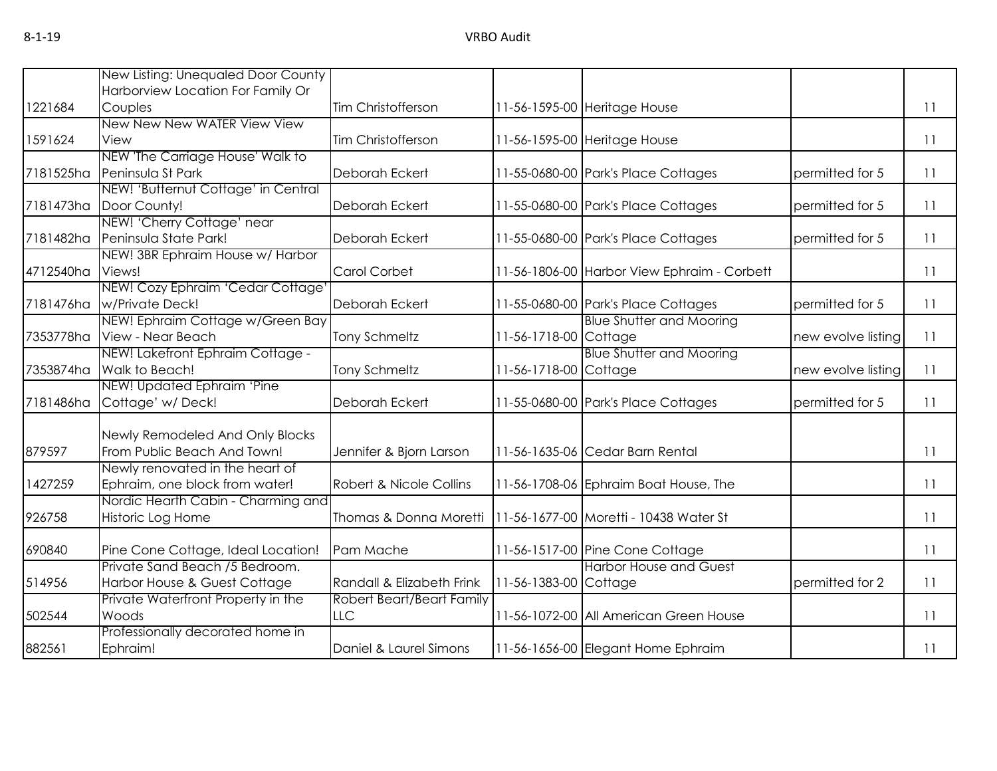|           | New Listing: Unequaled Door County  |                           |                       |                                             |                    |    |
|-----------|-------------------------------------|---------------------------|-----------------------|---------------------------------------------|--------------------|----|
|           | Harborview Location For Family Or   |                           |                       |                                             |                    |    |
| 1221684   | Couples                             | Tim Christofferson        |                       | 11-56-1595-00 Heritage House                |                    | 11 |
|           | New New New WATER View View         |                           |                       |                                             |                    |    |
| 1591624   | View                                | Tim Christofferson        |                       | 11-56-1595-00 Heritage House                |                    | 11 |
|           | NEW 'The Carriage House' Walk to    |                           |                       |                                             |                    |    |
| 7181525ha | Peninsula St Park                   | Deborah Eckert            |                       | 11-55-0680-00 Park's Place Cottages         | permitted for 5    | 11 |
|           | NEW! 'Butternut Cottage' in Central |                           |                       |                                             |                    |    |
| 7181473ha | Door County!                        | Deborah Eckert            |                       | 11-55-0680-00 Park's Place Cottages         | permitted for 5    | 11 |
|           | NEW! 'Cherry Cottage' near          |                           |                       |                                             |                    |    |
| 7181482ha | Peninsula State Park!               | Deborah Eckert            |                       | 11-55-0680-00 Park's Place Cottages         | permitted for 5    | 11 |
|           | NEW! 3BR Ephraim House w/ Harbor    |                           |                       |                                             |                    |    |
| 4712540ha | Views!                              | Carol Corbet              |                       | 11-56-1806-00 Harbor View Ephraim - Corbett |                    | 11 |
|           | NEW! Cozy Ephraim 'Cedar Cottage'   |                           |                       |                                             |                    |    |
| 7181476ha | w/Private Deck!                     | Deborah Eckert            |                       | 11-55-0680-00 Park's Place Cottages         | permitted for 5    | 11 |
|           | NEW! Ephraim Cottage w/Green Bay    |                           |                       | <b>Blue Shutter and Mooring</b>             |                    |    |
| 7353778ha | View - Near Beach                   | <b>Tony Schmeltz</b>      | 11-56-1718-00 Cottage |                                             | new evolve listing | 11 |
|           | NEW! Lakefront Ephraim Cottage -    |                           |                       | <b>Blue Shutter and Mooring</b>             |                    |    |
| 7353874ha | Walk to Beach!                      | <b>Tony Schmeltz</b>      | 11-56-1718-00 Cottage |                                             | new evolve listing | 11 |
|           | NEW! Updated Ephraim 'Pine          |                           |                       |                                             |                    |    |
| 7181486ha | Cottage' w/Deck!                    | Deborah Eckert            |                       | 11-55-0680-00 Park's Place Cottages         | permitted for 5    | 11 |
|           |                                     |                           |                       |                                             |                    |    |
|           | Newly Remodeled And Only Blocks     |                           |                       |                                             |                    |    |
| 879597    | From Public Beach And Town!         | Jennifer & Bjorn Larson   |                       | 11-56-1635-06 Cedar Barn Rental             |                    | 11 |
|           | Newly renovated in the heart of     |                           |                       |                                             |                    |    |
| 1427259   | Ephraim, one block from water!      | Robert & Nicole Collins   |                       | 11-56-1708-06 Ephraim Boat House, The       |                    | 11 |
|           | Nordic Hearth Cabin - Charming and  |                           |                       |                                             |                    |    |
| 926758    | Historic Log Home                   | Thomas & Donna Moretti    |                       | 11-56-1677-00 Moretti - 10438 Water St      |                    | 11 |
| 690840    | Pine Cone Cottage, Ideal Location!  | Pam Mache                 |                       | 11-56-1517-00 Pine Cone Cottage             |                    | 11 |
|           | Private Sand Beach /5 Bedroom.      |                           |                       | <b>Harbor House and Guest</b>               |                    |    |
| 514956    | Harbor House & Guest Cottage        | Randall & Elizabeth Frink | 11-56-1383-00 Cottage |                                             | permitted for 2    | 11 |
|           | Private Waterfront Property in the  | Robert Beart/Beart Family |                       |                                             |                    |    |
| 502544    | Woods                               | <b>LLC</b>                |                       | 11-56-1072-00 All American Green House      |                    | 11 |
|           | Professionally decorated home in    |                           |                       |                                             |                    |    |
|           |                                     |                           |                       |                                             |                    |    |
| 882561    | Ephraim!                            | Daniel & Laurel Simons    |                       | 11-56-1656-00 Elegant Home Ephraim          |                    | 11 |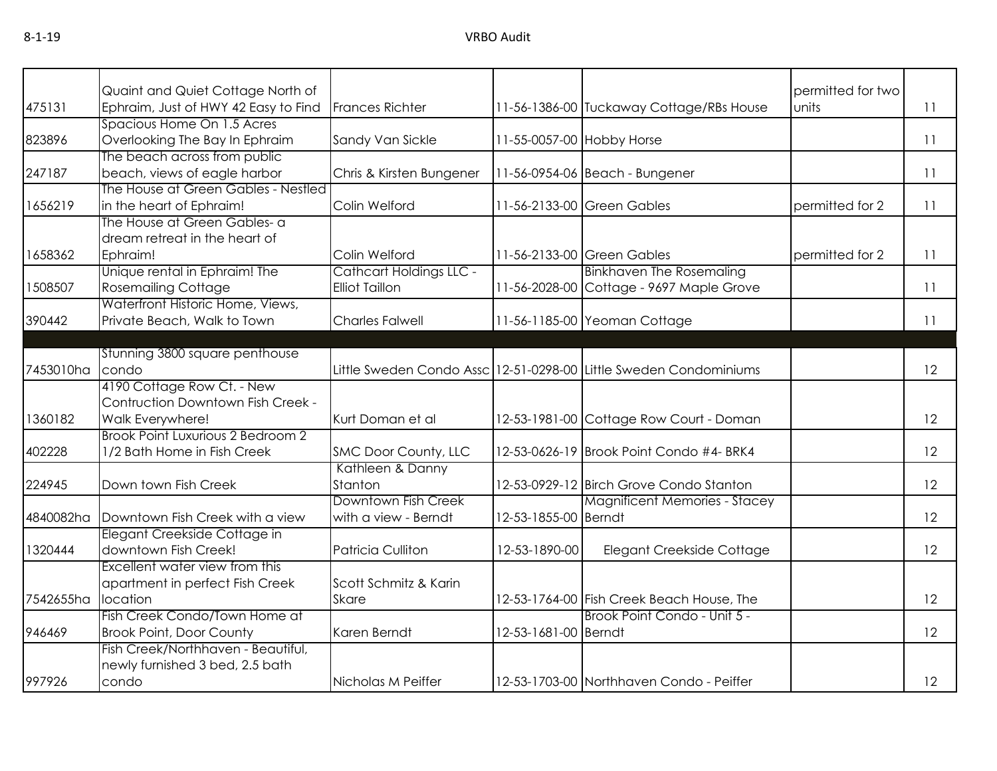| 475131    | Quaint and Quiet Cottage North of<br>Ephraim, Just of HWY 42 Easy to Find | <b>Frances Richter</b>   |                           | 11-56-1386-00 Tuckaway Cottage/RBs House                          | permitted for two<br>units | 11 |
|-----------|---------------------------------------------------------------------------|--------------------------|---------------------------|-------------------------------------------------------------------|----------------------------|----|
|           | Spacious Home On 1.5 Acres                                                |                          |                           |                                                                   |                            |    |
| 823896    | Overlooking The Bay In Ephraim                                            | Sandy Van Sickle         | 11-55-0057-00 Hobby Horse |                                                                   |                            | 11 |
|           | The beach across from public                                              |                          |                           |                                                                   |                            |    |
| 247187    | beach, views of eagle harbor                                              | Chris & Kirsten Bungener |                           | 11-56-0954-06 Beach - Bungener                                    |                            | 11 |
|           | The House at Green Gables - Nestled                                       |                          |                           |                                                                   |                            |    |
| 1656219   | in the heart of Ephraim!                                                  | Colin Welford            |                           | 11-56-2133-00 Green Gables                                        | permitted for 2            | 11 |
|           | The House at Green Gables- a                                              |                          |                           |                                                                   |                            |    |
|           | dream retreat in the heart of                                             |                          |                           |                                                                   |                            |    |
| 1658362   | Ephraim!                                                                  | Colin Welford            |                           | 11-56-2133-00 Green Gables                                        | permitted for 2            | 11 |
|           | Unique rental in Ephraim! The                                             | Cathcart Holdings LLC -  |                           | <b>Binkhaven The Rosemaling</b>                                   |                            |    |
| 1508507   | <b>Rosemailing Cottage</b>                                                | <b>Elliot Taillon</b>    |                           | 11-56-2028-00 Cottage - 9697 Maple Grove                          |                            | 11 |
|           | Waterfront Historic Home, Views,                                          |                          |                           |                                                                   |                            |    |
| 390442    | Private Beach, Walk to Town                                               | <b>Charles Falwell</b>   |                           | 11-56-1185-00 Yeoman Cottage                                      |                            | 11 |
|           |                                                                           |                          |                           |                                                                   |                            |    |
|           | Stunning 3800 square penthouse                                            |                          |                           |                                                                   |                            |    |
| 7453010ha | condo                                                                     |                          |                           | Little Sweden Condo Assc 12-51-0298-00 Little Sweden Condominiums |                            | 12 |
|           | 4190 Cottage Row Ct. - New<br>Contruction Downtown Fish Creek -           |                          |                           |                                                                   |                            |    |
| 1360182   | Walk Everywhere!                                                          | Kurt Doman et al         |                           | 12-53-1981-00 Cottage Row Court - Doman                           |                            | 12 |
|           | Brook Point Luxurious 2 Bedroom 2                                         |                          |                           |                                                                   |                            |    |
| 402228    | 1/2 Bath Home in Fish Creek                                               | SMC Door County, LLC     |                           | 12-53-0626-19 Brook Point Condo #4- BRK4                          |                            | 12 |
|           |                                                                           | Kathleen & Danny         |                           |                                                                   |                            |    |
| 224945    | Down town Fish Creek                                                      | Stanton                  |                           | 12-53-0929-12 Birch Grove Condo Stanton                           |                            | 12 |
|           |                                                                           | Downtown Fish Creek      |                           | <b>Magnificent Memories - Stacey</b>                              |                            |    |
| 4840082ha | Downtown Fish Creek with a view                                           | with a view - Berndt     | 12-53-1855-00 Berndt      |                                                                   |                            | 12 |
|           | Elegant Creekside Cottage in                                              |                          |                           |                                                                   |                            |    |
| 1320444   | downtown Fish Creek!                                                      | <b>Patricia Culliton</b> | 12-53-1890-00             | Elegant Creekside Cottage                                         |                            | 12 |
|           | Excellent water view from this                                            |                          |                           |                                                                   |                            |    |
|           | apartment in perfect Fish Creek                                           | Scott Schmitz & Karin    |                           |                                                                   |                            |    |
| 7542655ha | location                                                                  | <b>Skare</b>             |                           | 12-53-1764-00 Fish Creek Beach House, The                         |                            | 12 |
|           | Fish Creek Condo/Town Home at                                             |                          |                           | Brook Point Condo - Unit 5 -                                      |                            |    |
| 946469    | <b>Brook Point, Door County</b>                                           | Karen Berndt             | 12-53-1681-00 Berndt      |                                                                   |                            | 12 |
|           | Fish Creek/Northhaven - Beautiful,                                        |                          |                           |                                                                   |                            |    |
|           | newly furnished 3 bed, 2.5 bath                                           |                          |                           |                                                                   |                            |    |
| 997926    | condo                                                                     | Nicholas M Peiffer       |                           | 12-53-1703-00 Northhaven Condo - Peiffer                          |                            | 12 |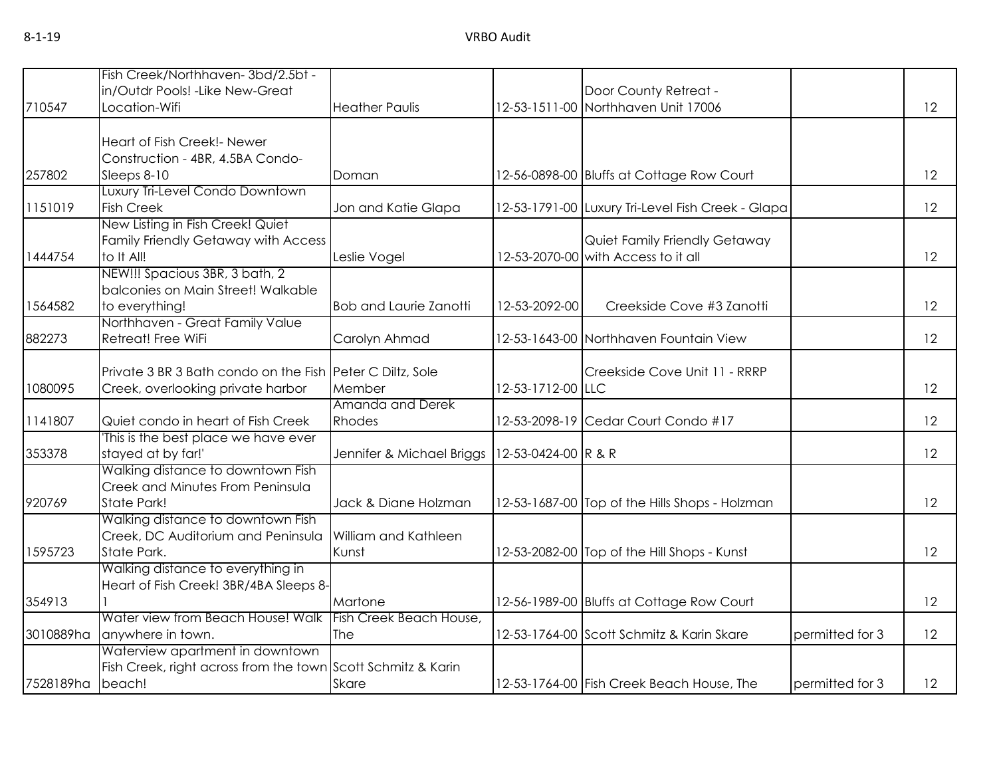|           | Fish Creek/Northhaven-3bd/2.5bt -                            |                               |                             |                                                   |                 |    |
|-----------|--------------------------------------------------------------|-------------------------------|-----------------------------|---------------------------------------------------|-----------------|----|
|           | in/Outdr Pools! - Like New-Great                             |                               |                             | Door County Retreat -                             |                 |    |
| 710547    | Location-Wifi                                                | <b>Heather Paulis</b>         |                             | 12-53-1511-00 Northhaven Unit 17006               |                 | 12 |
|           |                                                              |                               |                             |                                                   |                 |    |
|           |                                                              |                               |                             |                                                   |                 |    |
|           | Heart of Fish Creek!- Newer                                  |                               |                             |                                                   |                 |    |
|           | Construction - 4BR, 4.5BA Condo-                             |                               |                             |                                                   |                 |    |
| 257802    | Sleeps 8-10                                                  | Doman                         |                             | 12-56-0898-00 Bluffs at Cottage Row Court         |                 | 12 |
|           | Luxury Tri-Level Condo Downtown                              |                               |                             |                                                   |                 |    |
| 1151019   | <b>Fish Creek</b>                                            | Jon and Katie Glapa           |                             | 12-53-1791-00 Luxury Tri-Level Fish Creek - Glapa |                 | 12 |
|           | New Listing in Fish Creek! Quiet                             |                               |                             |                                                   |                 |    |
|           | Family Friendly Getaway with Access                          |                               |                             | Quiet Family Friendly Getaway                     |                 |    |
| 1444754   | to It All!                                                   | Leslie Vogel                  |                             | 12-53-2070-00 with Access to it all               |                 | 12 |
|           | NEW!!! Spacious 3BR, 3 bath, 2                               |                               |                             |                                                   |                 |    |
|           | balconies on Main Street! Walkable                           |                               |                             |                                                   |                 |    |
| 1564582   | to everything!                                               | <b>Bob and Laurie Zanotti</b> | 12-53-2092-00               | Creekside Cove #3 Zanotti                         |                 | 12 |
|           | Northhaven - Great Family Value                              |                               |                             |                                                   |                 |    |
| 882273    | Retreat! Free WiFi                                           | Carolyn Ahmad                 |                             | 12-53-1643-00 Northhaven Fountain View            |                 | 12 |
|           |                                                              |                               |                             |                                                   |                 |    |
|           | Private 3 BR 3 Bath condo on the Fish Peter C Diltz, Sole    |                               |                             | Creekside Cove Unit 11 - RRRP                     |                 |    |
| 1080095   | Creek, overlooking private harbor                            | Member                        | 12-53-1712-00 LLC           |                                                   |                 | 12 |
|           |                                                              | Amanda and Derek              |                             |                                                   |                 |    |
| 1141807   | Quiet condo in heart of Fish Creek                           | Rhodes                        |                             | 12-53-2098-19 Cedar Court Condo #17               |                 | 12 |
|           | This is the best place we have ever                          |                               |                             |                                                   |                 |    |
| 353378    | stayed at by far!'                                           | Jennifer & Michael Briggs     | $12 - 53 - 0424 - 00$ R & R |                                                   |                 | 12 |
|           | Walking distance to downtown Fish                            |                               |                             |                                                   |                 |    |
|           | Creek and Minutes From Peninsula                             |                               |                             |                                                   |                 |    |
| 920769    | State Park!                                                  | Jack & Diane Holzman          |                             | 12-53-1687-00 Top of the Hills Shops - Holzman    |                 | 12 |
|           | Walking distance to downtown Fish                            |                               |                             |                                                   |                 |    |
|           | Creek, DC Auditorium and Peninsula                           | <b>William and Kathleen</b>   |                             |                                                   |                 |    |
| 1595723   | State Park.                                                  | Kunst                         |                             | 12-53-2082-00 Top of the Hill Shops - Kunst       |                 | 12 |
|           | Walking distance to everything in                            |                               |                             |                                                   |                 |    |
|           | Heart of Fish Creek! 3BR/4BA Sleeps 8-                       |                               |                             |                                                   |                 |    |
| 354913    |                                                              | Martone                       |                             | 12-56-1989-00 Bluffs at Cottage Row Court         |                 | 12 |
|           | Water view from Beach House! Walk                            | Fish Creek Beach House,       |                             |                                                   |                 |    |
| 3010889ha | anywhere in town.                                            | <b>The</b>                    |                             | 12-53-1764-00 Scott Schmitz & Karin Skare         | permitted for 3 | 12 |
|           | Waterview apartment in downtown                              |                               |                             |                                                   |                 |    |
|           | Fish Creek, right across from the town Scott Schmitz & Karin |                               |                             |                                                   |                 |    |
|           |                                                              |                               |                             |                                                   |                 |    |
| 7528189ha | beach!                                                       | <b>Skare</b>                  |                             | 12-53-1764-00 Fish Creek Beach House, The         | permitted for 3 | 12 |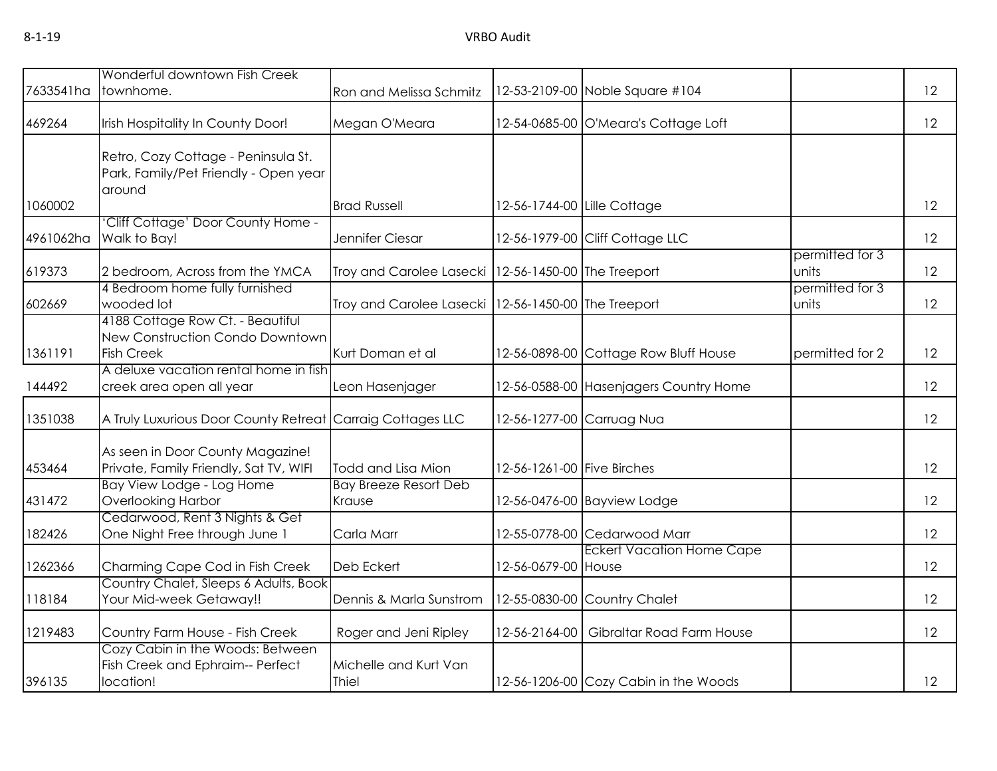| 7633541ha | Wonderful downtown Fish Creek<br>townhome.                                               | Ron and Melissa Schmitz                               |                            | 12-53-2109-00 Noble Square #104         |                          | 12 |
|-----------|------------------------------------------------------------------------------------------|-------------------------------------------------------|----------------------------|-----------------------------------------|--------------------------|----|
| 469264    | Irish Hospitality In County Door!                                                        | Megan O'Meara                                         |                            | 12-54-0685-00 O'Meara's Cottage Loft    |                          | 12 |
|           | Retro, Cozy Cottage - Peninsula St.<br>Park, Family/Pet Friendly - Open year<br>around   |                                                       |                            |                                         |                          |    |
| 1060002   |                                                                                          | <b>Brad Russell</b>                                   |                            | 12-56-1744-00 Lille Cottage             |                          | 12 |
| 4961062ha | 'Cliff Cottage' Door County Home -<br>Walk to Bay!                                       | Jennifer Ciesar                                       |                            | 12-56-1979-00 Cliff Cottage LLC         |                          | 12 |
| 619373    | 2 bedroom, Across from the YMCA                                                          | Troy and Carolee Lasecki   12-56-1450-00 The Treeport |                            |                                         | permitted for 3<br>units | 12 |
| 602669    | 4 Bedroom home fully furnished<br>wooded lot                                             | Troy and Carolee Lasecki   12-56-1450-00 The Treeport |                            |                                         | permitted for 3<br>units | 12 |
| 1361191   | 4188 Cottage Row Ct. - Beautiful<br>New Construction Condo Downtown<br><b>Fish Creek</b> | Kurt Doman et al                                      |                            | 12-56-0898-00 Cottage Row Bluff House   | permitted for 2          | 12 |
| 144492    | A deluxe vacation rental home in fish<br>creek area open all year                        | Leon Hasenjager                                       |                            | 12-56-0588-00 Hasenjagers Country Home  |                          | 12 |
| 1351038   | A Truly Luxurious Door County Retreat Carraig Cottages LLC                               |                                                       |                            | 12-56-1277-00 Carruag Nua               |                          | 12 |
| 453464    | As seen in Door County Magazine!<br>Private, Family Friendly, Sat TV, WIFI               | Todd and Lisa Mion                                    | 12-56-1261-00 Five Birches |                                         |                          | 12 |
| 431472    | Bay View Lodge - Log Home<br><b>Overlooking Harbor</b>                                   | <b>Bay Breeze Resort Deb</b><br>Krause                |                            | 12-56-0476-00 Bayview Lodge             |                          | 12 |
| 182426    | Cedarwood, Rent 3 Nights & Get<br>One Night Free through June 1                          | Carla Marr                                            |                            | 12-55-0778-00 Cedarwood Marr            |                          | 12 |
| 1262366   | Charming Cape Cod in Fish Creek                                                          | Deb Eckert                                            | 12-56-0679-00 House        | <b>Eckert Vacation Home Cape</b>        |                          | 12 |
| 118184    | Country Chalet, Sleeps 6 Adults, Book<br>Your Mid-week Getaway!!                         | Dennis & Marla Sunstrom                               |                            | 12-55-0830-00 Country Chalet            |                          | 12 |
| 1219483   | Country Farm House - Fish Creek                                                          | Roger and Jeni Ripley                                 |                            | 12-56-2164-00 Gibraltar Road Farm House |                          | 12 |
| 396135    | Cozy Cabin in the Woods: Between<br>Fish Creek and Ephraim-- Perfect<br>location!        | Michelle and Kurt Van<br>Thiel                        |                            | 12-56-1206-00 Cozy Cabin in the Woods   |                          | 12 |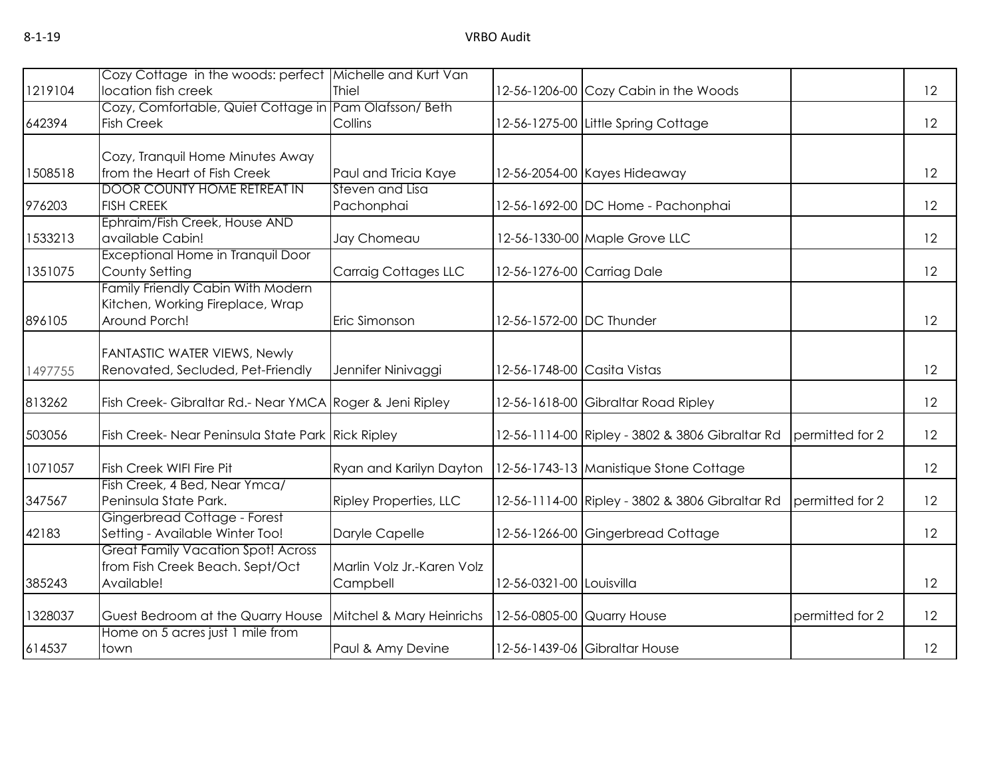| 1219104 | Cozy Cottage in the woods: perfect Michelle and Kurt Van<br>location fish creek            | <b>Thiel</b>                           |                            | 12-56-1206-00 Cozy Cabin in the Woods           |                 | 12 |
|---------|--------------------------------------------------------------------------------------------|----------------------------------------|----------------------------|-------------------------------------------------|-----------------|----|
|         | Cozy, Comfortable, Quiet Cottage in Pam Olafsson/ Beth                                     |                                        |                            |                                                 |                 |    |
| 642394  | <b>Fish Creek</b>                                                                          | Collins                                |                            | 12-56-1275-00 Little Spring Cottage             |                 | 12 |
|         | Cozy, Tranquil Home Minutes Away                                                           |                                        |                            |                                                 |                 |    |
| 1508518 | from the Heart of Fish Creek                                                               | Paul and Tricia Kaye                   |                            | 12-56-2054-00 Kayes Hideaway                    |                 | 12 |
| 976203  | <b>DOOR COUNTY HOME RETREAT IN</b><br><b>FISH CREEK</b>                                    | Steven and Lisa<br>Pachonphai          |                            | 12-56-1692-00 DC Home - Pachonphai              |                 | 12 |
| 1533213 | Ephraim/Fish Creek, House AND<br>available Cabin!                                          | Jay Chomeau                            |                            | 12-56-1330-00 Maple Grove LLC                   |                 | 12 |
| 1351075 | <b>Exceptional Home in Tranquil Door</b><br>County Setting                                 | <b>Carraig Cottages LLC</b>            | 12-56-1276-00 Carriag Dale |                                                 |                 | 12 |
| 896105  | Family Friendly Cabin With Modern<br>Kitchen, Working Fireplace, Wrap<br>Around Porch!     | Eric Simonson                          | 12-56-1572-00 DC Thunder   |                                                 |                 | 12 |
| 1497755 | <b>FANTASTIC WATER VIEWS, Newly</b><br>Renovated, Secluded, Pet-Friendly                   | Jennifer Ninivaggi                     |                            | 12-56-1748-00 Casita Vistas                     |                 | 12 |
| 813262  | Fish Creek- Gibraltar Rd.- Near YMCA Roger & Jeni Ripley                                   |                                        |                            | 12-56-1618-00 Gibraltar Road Ripley             |                 | 12 |
| 503056  | Fish Creek-Near Peninsula State Park Rick Ripley                                           |                                        |                            | 12-56-1114-00 Ripley - 3802 & 3806 Gibraltar Rd | permitted for 2 | 12 |
| 1071057 | <b>Fish Creek WIFI Fire Pit</b>                                                            | Ryan and Karilyn Dayton                |                            | 12-56-1743-13 Manistique Stone Cottage          |                 | 12 |
| 347567  | Fish Creek, 4 Bed, Near Ymca/<br>Peninsula State Park.                                     | Ripley Properties, LLC                 |                            | 12-56-1114-00 Ripley - 3802 & 3806 Gibraltar Rd | permitted for 2 | 12 |
| 42183   | Gingerbread Cottage - Forest<br>Setting - Available Winter Too!                            | Daryle Capelle                         |                            | 12-56-1266-00 Gingerbread Cottage               |                 | 12 |
| 385243  | <b>Great Family Vacation Spot! Across</b><br>from Fish Creek Beach. Sept/Oct<br>Available! | Marlin Volz Jr.-Karen Volz<br>Campbell | 12-56-0321-00 Louisvilla   |                                                 |                 | 12 |
| 1328037 | Guest Bedroom at the Quarry House                                                          | Mitchel & Mary Heinrichs               |                            | 12-56-0805-00 Quarry House                      | permitted for 2 | 12 |
| 614537  | Home on 5 acres just 1 mile from<br>town                                                   | Paul & Amy Devine                      |                            | 12-56-1439-06 Gibraltar House                   |                 | 12 |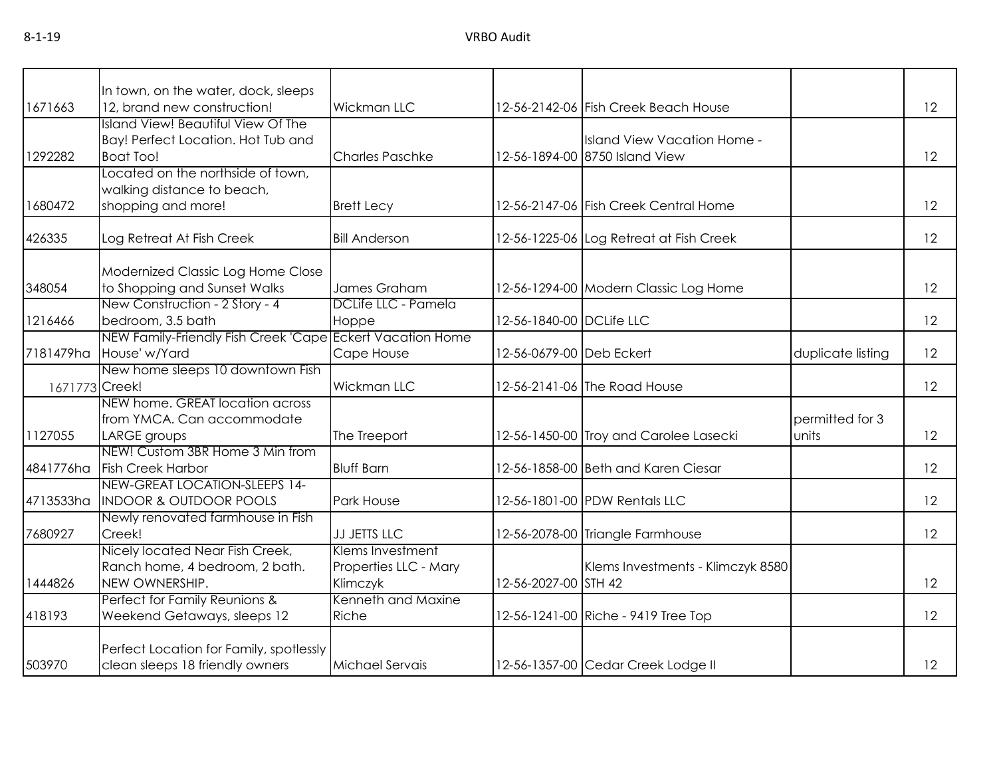|                | In town, on the water, dock, sleeps                                                          |                                                       |                          |                                                               |                          |    |
|----------------|----------------------------------------------------------------------------------------------|-------------------------------------------------------|--------------------------|---------------------------------------------------------------|--------------------------|----|
| 1671663        | 12, brand new construction!                                                                  | Wickman LLC                                           |                          | 12-56-2142-06 Fish Creek Beach House                          |                          | 12 |
| 1292282        | Island View! Beautiful View Of The<br>Bay! Perfect Location. Hot Tub and<br><b>Boat Too!</b> | <b>Charles Paschke</b>                                |                          | Island View Vacation Home -<br>12-56-1894-00 8750 Island View |                          | 12 |
| 1680472        | Located on the northside of town,<br>walking distance to beach,<br>shopping and more!        | <b>Brett Lecy</b>                                     |                          | 12-56-2147-06 Fish Creek Central Home                         |                          | 12 |
| 426335         | Log Retreat At Fish Creek                                                                    | <b>Bill Anderson</b>                                  |                          | 12-56-1225-06 Log Retreat at Fish Creek                       |                          | 12 |
| 348054         | Modernized Classic Log Home Close<br>to Shopping and Sunset Walks                            | James Graham                                          |                          | 12-56-1294-00 Modern Classic Log Home                         |                          | 12 |
| 1216466        | New Construction - 2 Story - 4<br>bedroom, 3.5 bath                                          | DCLife LLC - Pamela<br>Hoppe                          | 12-56-1840-00 DCLife LLC |                                                               |                          | 12 |
| 7181479ha      | NEW Family-Friendly Fish Creek 'Cape Eckert Vacation Home<br>House' w/Yard                   | Cape House                                            | 12-56-0679-00 Deb Eckert |                                                               | duplicate listing        | 12 |
| 1671773 Creek! | New home sleeps 10 downtown Fish                                                             | Wickman LLC                                           |                          | 12-56-2141-06 The Road House                                  |                          | 12 |
| 1127055        | NEW home. GREAT location across<br>from YMCA. Can accommodate<br>LARGE groups                | The Treeport                                          |                          | 12-56-1450-00 Troy and Carolee Lasecki                        | permitted for 3<br>units | 12 |
| 4841776ha      | NEW! Custom 3BR Home 3 Min from<br><b>Fish Creek Harbor</b>                                  | <b>Bluff Barn</b>                                     |                          | 12-56-1858-00 Beth and Karen Ciesar                           |                          | 12 |
| 4713533ha      | NEW-GREAT LOCATION-SLEEPS 14-<br><b>INDOOR &amp; OUTDOOR POOLS</b>                           | Park House                                            |                          | 12-56-1801-00 PDW Rentals LLC                                 |                          | 12 |
| 7680927        | Newly renovated farmhouse in Fish<br>Creek!                                                  | <b>JJ JETTS LLC</b>                                   |                          | 12-56-2078-00 Triangle Farmhouse                              |                          | 12 |
| 1444826        | Nicely located Near Fish Creek,<br>Ranch home, 4 bedroom, 2 bath.<br>NEW OWNERSHIP.          | Klems Investment<br>Properties LLC - Mary<br>Klimczyk | 12-56-2027-00 STH 42     | Klems Investments - Klimczyk 8580                             |                          | 12 |
| 418193         | Perfect for Family Reunions &<br>Weekend Getaways, sleeps 12                                 | Kenneth and Maxine<br>Riche                           |                          | 12-56-1241-00 Riche - 9419 Tree Top                           |                          | 12 |
| 503970         | Perfect Location for Family, spotlessly<br>clean sleeps 18 friendly owners                   | Michael Servais                                       |                          | 12-56-1357-00 Cedar Creek Lodge II                            |                          | 12 |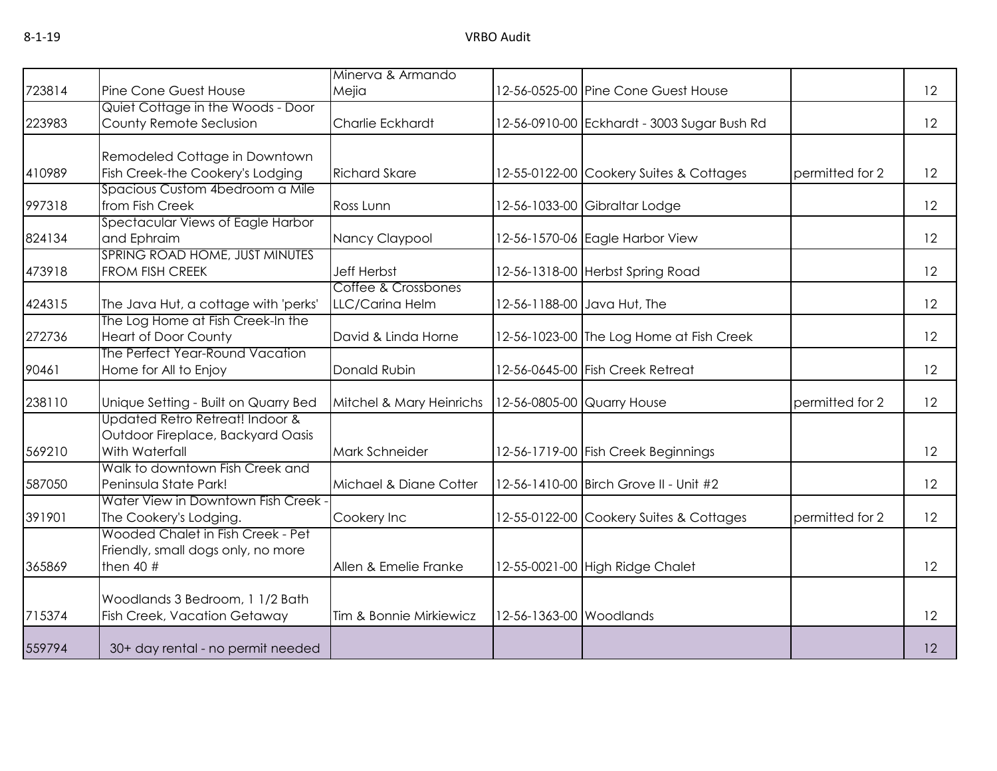|        |                                                                                        | Minerva & Armando                      |                         |                                             |                 |    |
|--------|----------------------------------------------------------------------------------------|----------------------------------------|-------------------------|---------------------------------------------|-----------------|----|
| 723814 | Pine Cone Guest House                                                                  | Mejia                                  |                         | 12-56-0525-00 Pine Cone Guest House         |                 | 12 |
|        | Quiet Cottage in the Woods - Door                                                      |                                        |                         |                                             |                 |    |
| 223983 | County Remote Seclusion                                                                | Charlie Eckhardt                       |                         | 12-56-0910-00 Eckhardt - 3003 Sugar Bush Rd |                 | 12 |
|        | Remodeled Cottage in Downtown                                                          |                                        |                         |                                             |                 |    |
| 410989 | Fish Creek-the Cookery's Lodging                                                       | <b>Richard Skare</b>                   |                         | 12-55-0122-00 Cookery Suites & Cottages     | permitted for 2 | 12 |
| 997318 | Spacious Custom 4bedroom a Mile<br>from Fish Creek                                     | Ross Lunn                              |                         | 12-56-1033-00 Gibraltar Lodge               |                 | 12 |
|        | Spectacular Views of Eagle Harbor                                                      |                                        |                         |                                             |                 |    |
| 824134 | and Ephraim                                                                            | Nancy Claypool                         |                         | 12-56-1570-06 Eagle Harbor View             |                 | 12 |
| 473918 | SPRING ROAD HOME, JUST MINUTES<br><b>FROM FISH CREEK</b>                               | <b>Jeff Herbst</b>                     |                         | 12-56-1318-00 Herbst Spring Road            |                 | 12 |
| 424315 | The Java Hut, a cottage with 'perks'                                                   | Coffee & Crossbones<br>LLC/Carina Helm |                         | 12-56-1188-00 Java Hut, The                 |                 | 12 |
| 272736 | The Log Home at Fish Creek-In the<br><b>Heart of Door County</b>                       | David & Linda Horne                    |                         | 12-56-1023-00 The Log Home at Fish Creek    |                 | 12 |
| 90461  | The Perfect Year-Round Vacation<br>Home for All to Enjoy                               | Donald Rubin                           |                         | 12-56-0645-00 Fish Creek Retreat            |                 | 12 |
| 238110 | Unique Setting - Built on Quarry Bed                                                   | Mitchel & Mary Heinrichs               |                         | 12-56-0805-00 Quarry House                  | permitted for 2 | 12 |
| 569210 | Updated Retro Retreat! Indoor &<br>Outdoor Fireplace, Backyard Oasis<br>With Waterfall | Mark Schneider                         |                         | 12-56-1719-00 Fish Creek Beginnings         |                 | 12 |
| 587050 | Walk to downtown Fish Creek and<br>Peninsula State Park!                               | Michael & Diane Cotter                 |                         | 12-56-1410-00 Birch Grove II - Unit #2      |                 | 12 |
| 391901 | Water View in Downtown Fish Creek -<br>The Cookery's Lodging.                          | Cookery Inc                            |                         | 12-55-0122-00 Cookery Suites & Cottages     | permitted for 2 | 12 |
| 365869 | Wooded Chalet in Fish Creek - Pet<br>Friendly, small dogs only, no more<br>then $40#$  | Allen & Emelie Franke                  |                         | 12-55-0021-00 High Ridge Chalet             |                 | 12 |
|        |                                                                                        |                                        |                         |                                             |                 |    |
| 715374 | Woodlands 3 Bedroom, 1 1/2 Bath<br>Fish Creek, Vacation Getaway                        | Tim & Bonnie Mirkiewicz                | 12-56-1363-00 Woodlands |                                             |                 | 12 |
| 559794 | 30+ day rental - no permit needed                                                      |                                        |                         |                                             |                 | 12 |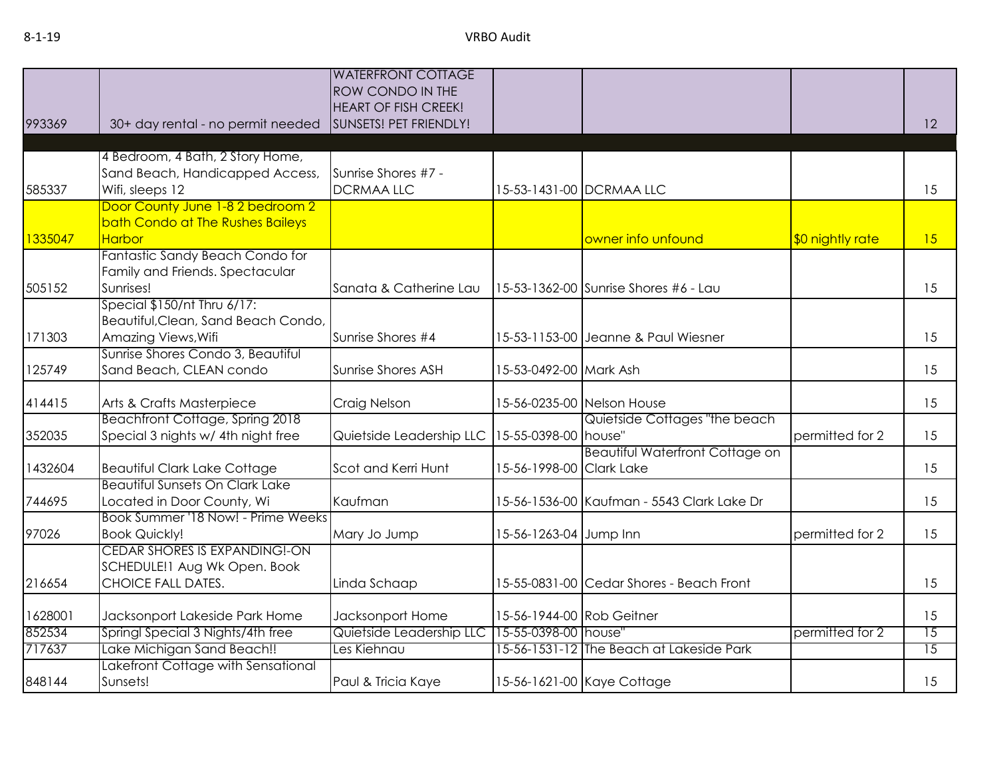|         |                                                                     | <b>WATERFRONT COTTAGE</b><br>ROW CONDO IN THE         |                           |                                            |                  |                 |
|---------|---------------------------------------------------------------------|-------------------------------------------------------|---------------------------|--------------------------------------------|------------------|-----------------|
| 993369  | 30+ day rental - no permit needed                                   | <b>HEART OF FISH CREEK!</b><br>SUNSETS! PET FRIENDLY! |                           |                                            |                  | 12              |
|         |                                                                     |                                                       |                           |                                            |                  |                 |
|         | 4 Bedroom, 4 Bath, 2 Story Home,<br>Sand Beach, Handicapped Access, | Sunrise Shores #7 -                                   |                           |                                            |                  |                 |
| 585337  | Wifi, sleeps 12                                                     | <b>DCRMAALLC</b>                                      |                           | 15-53-1431-00 DCRMAA LLC                   |                  | 15              |
|         | Door County June 1-8 2 bedroom 2                                    |                                                       |                           |                                            |                  |                 |
|         | bath Condo at The Rushes Baileys                                    |                                                       |                           |                                            |                  |                 |
| 1335047 | <b>Harbor</b>                                                       |                                                       |                           | owner info unfound                         | \$0 nightly rate | 15              |
|         | Fantastic Sandy Beach Condo for<br>Family and Friends. Spectacular  |                                                       |                           |                                            |                  |                 |
| 505152  | Sunrises!                                                           | Sanata & Catherine Lau                                |                           | 15-53-1362-00 Sunrise Shores #6 - Lau      |                  | 15              |
|         | Special \$150/nt Thru 6/17:                                         |                                                       |                           |                                            |                  |                 |
|         | Beautiful, Clean, Sand Beach Condo,                                 |                                                       |                           |                                            |                  |                 |
| 171303  | Amazing Views, Wifi                                                 | Sunrise Shores #4                                     |                           | 15-53-1153-00 Jeanne & Paul Wiesner        |                  | 15              |
|         | Sunrise Shores Condo 3, Beautiful                                   |                                                       |                           |                                            |                  |                 |
| 125749  | Sand Beach, CLEAN condo                                             | Sunrise Shores ASH                                    | 15-53-0492-00 Mark Ash    |                                            |                  | 15              |
| 414415  | Arts & Crafts Masterpiece                                           | Craig Nelson                                          |                           | 15-56-0235-00 Nelson House                 |                  | 15              |
|         | Beachfront Cottage, Spring 2018                                     |                                                       |                           | Quietside Cottages "the beach              |                  |                 |
| 352035  | Special 3 nights w/ 4th night free                                  | Quietside Leadership LLC                              | 15-55-0398-00 house"      |                                            | permitted for 2  | 15              |
| 1432604 | <b>Beautiful Clark Lake Cottage</b>                                 | Scot and Kerri Hunt                                   | 15-56-1998-00 Clark Lake  | <b>Beautiful Waterfront Cottage on</b>     |                  | 15              |
|         | Beautiful Sunsets On Clark Lake                                     |                                                       |                           |                                            |                  |                 |
| 744695  | Located in Door County, Wi                                          | Kaufman                                               |                           | 15-56-1536-00 Kaufman - 5543 Clark Lake Dr |                  | 15              |
|         | Book Summer '18 Now! - Prime Weeks                                  |                                                       |                           |                                            |                  |                 |
| 97026   | <b>Book Quickly!</b>                                                | Mary Jo Jump                                          | 15-56-1263-04 Jump Inn    |                                            | permitted for 2  | 15              |
|         | CEDAR SHORES IS EXPANDING!-ON                                       |                                                       |                           |                                            |                  |                 |
| 216654  | SCHEDULE! I Aug Wk Open. Book<br>CHOICE FALL DATES.                 | Linda Schaap                                          |                           | 15-55-0831-00 Cedar Shores - Beach Front   |                  | 15              |
|         |                                                                     |                                                       |                           |                                            |                  |                 |
| 1628001 | Jacksonport Lakeside Park Home                                      | Jacksonport Home                                      | 15-56-1944-00 Rob Geitner |                                            |                  | 15              |
| 852534  | Springl Special 3 Nights/4th free                                   | Quietside Leadership LLC                              | 15-55-0398-00 house"      |                                            | permitted for 2  | 15              |
| 717637  | Lake Michigan Sand Beach!!                                          | Les Kiehnau                                           |                           | 15-56-1531-12 The Beach at Lakeside Park   |                  | $\overline{15}$ |
| 848144  | Lakefront Cottage with Sensational<br>Sunsets!                      | Paul & Tricia Kaye                                    |                           | 15-56-1621-00 Kaye Cottage                 |                  | 15              |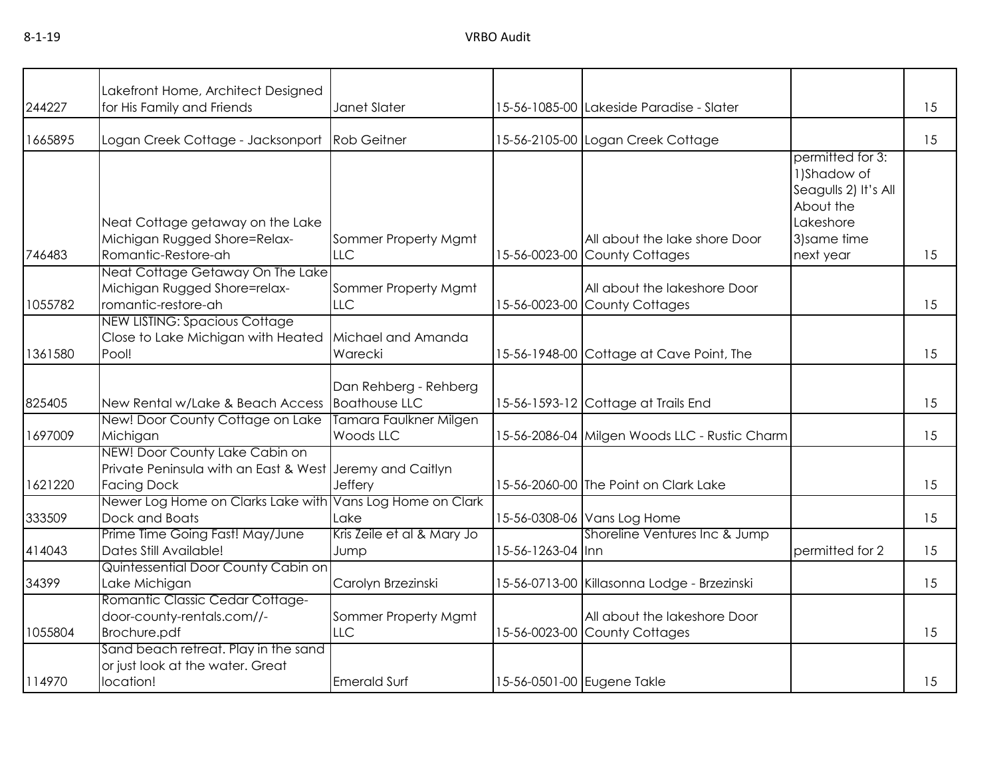| 244227  | Lakefront Home, Architect Designed<br>for His Family and Friends                                                 | Janet Slater                                  |                   | 15-56-1085-00 Lakeside Paradise - Slater                       |                                                                                                                 | 15 |
|---------|------------------------------------------------------------------------------------------------------------------|-----------------------------------------------|-------------------|----------------------------------------------------------------|-----------------------------------------------------------------------------------------------------------------|----|
| 1665895 | Logan Creek Cottage - Jacksonport                                                                                | <b>Rob Geitner</b>                            |                   | 15-56-2105-00 Logan Creek Cottage                              |                                                                                                                 | 15 |
| 746483  | Neat Cottage getaway on the Lake<br>Michigan Rugged Shore=Relax-<br>Romantic-Restore-ah                          | Sommer Property Mgmt<br><b>LLC</b>            |                   | All about the lake shore Door<br>15-56-0023-00 County Cottages | permitted for 3:<br>1) Shadow of<br>Seagulls 2) It's All<br>About the<br>Lakeshore<br>3) same time<br>next year | 15 |
| 1055782 | Neat Cottage Getaway On The Lake<br>Michigan Rugged Shore=relax-<br>romantic-restore-ah                          | Sommer Property Mgmt<br><b>LLC</b>            |                   | All about the lakeshore Door<br>15-56-0023-00 County Cottages  |                                                                                                                 | 15 |
| 1361580 | <b>NEW LISTING: Spacious Cottage</b><br>Close to Lake Michigan with Heated<br>Pool!                              | Michael and Amanda<br>Warecki                 |                   | 15-56-1948-00 Cottage at Cave Point, The                       |                                                                                                                 | 15 |
| 825405  | New Rental w/Lake & Beach Access                                                                                 | Dan Rehberg - Rehberg<br><b>Boathouse LLC</b> |                   | 15-56-1593-12 Cottage at Trails End                            |                                                                                                                 | 15 |
| 1697009 | New! Door County Cottage on Lake<br>Michigan                                                                     | Tamara Faulkner Milgen<br>Woods LLC           |                   | 15-56-2086-04 Milgen Woods LLC - Rustic Charm                  |                                                                                                                 | 15 |
| 1621220 | NEW! Door County Lake Cabin on<br>Private Peninsula with an East & West Jeremy and Caitlyn<br><b>Facing Dock</b> | Jeffery                                       |                   | 15-56-2060-00 The Point on Clark Lake                          |                                                                                                                 | 15 |
| 333509  | Newer Log Home on Clarks Lake with<br>Dock and Boats                                                             | Vans Log Home on Clark<br>Lake                |                   | 15-56-0308-06 Vans Log Home                                    |                                                                                                                 | 15 |
| 414043  | Prime Time Going Fast! May/June<br>Dates Still Available!                                                        | Kris Zeile et al & Mary Jo<br>Jump            | 15-56-1263-04 Inn | Shoreline Ventures Inc & Jump                                  | permitted for 2                                                                                                 | 15 |
| 34399   | Quintessential Door County Cabin on<br>Lake Michigan                                                             | Carolyn Brzezinski                            |                   | 15-56-0713-00 Killasonna Lodge - Brzezinski                    |                                                                                                                 | 15 |
| 1055804 | Romantic Classic Cedar Cottage-<br>door-county-rentals.com//-<br>Brochure.pdf                                    | Sommer Property Mgmt<br><b>LLC</b>            |                   | All about the lakeshore Door<br>15-56-0023-00 County Cottages  |                                                                                                                 | 15 |
| 114970  | Sand beach retreat. Play in the sand<br>or just look at the water. Great<br>location!                            | <b>Emerald Surf</b>                           |                   | 15-56-0501-00 Eugene Takle                                     |                                                                                                                 | 15 |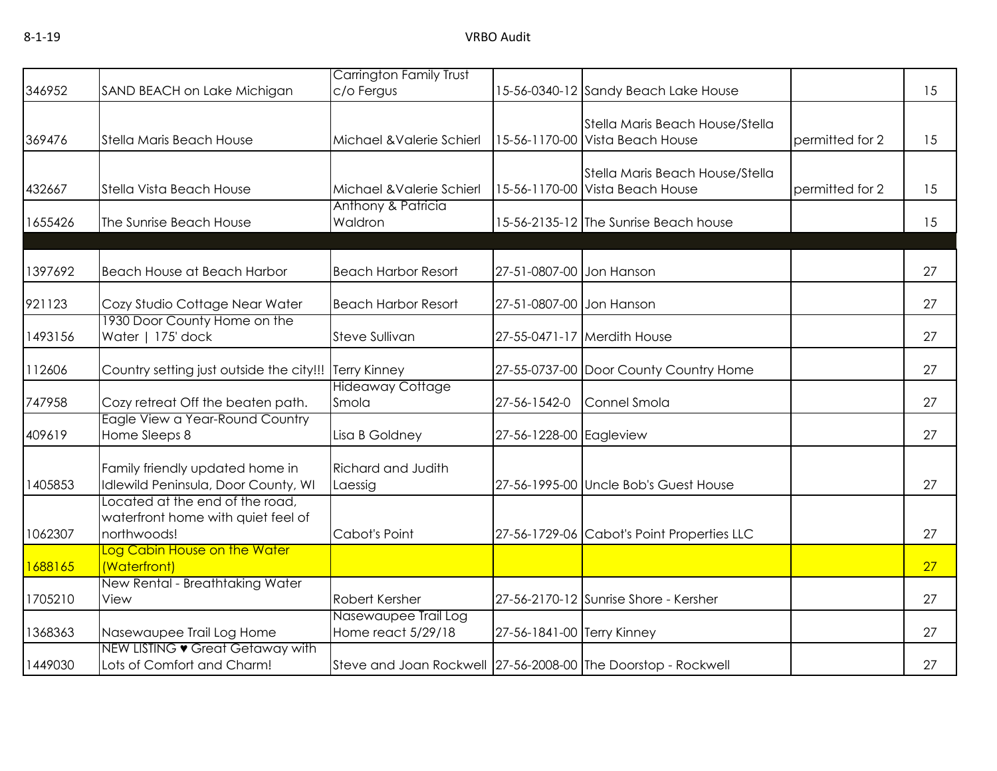|         |                                                                                      | <b>Carrington Family Trust</b>                                |                            |                                                                    |                 |    |
|---------|--------------------------------------------------------------------------------------|---------------------------------------------------------------|----------------------------|--------------------------------------------------------------------|-----------------|----|
| 346952  | SAND BEACH on Lake Michigan                                                          | c/o Fergus                                                    |                            | 15-56-0340-12 Sandy Beach Lake House                               |                 | 15 |
| 369476  | Stella Maris Beach House                                                             | Michael & Valerie Schierl                                     |                            | Stella Maris Beach House/Stella<br>15-56-1170-00 Vista Beach House | permitted for 2 | 15 |
| 432667  | Stella Vista Beach House                                                             | Michael & Valerie Schierl                                     |                            | Stella Maris Beach House/Stella<br>15-56-1170-00 Vista Beach House | permitted for 2 | 15 |
| 1655426 | The Sunrise Beach House                                                              | Anthony & Patricia<br>Waldron                                 |                            | 15-56-2135-12 The Sunrise Beach house                              |                 | 15 |
| 1397692 | Beach House at Beach Harbor                                                          | <b>Beach Harbor Resort</b>                                    | 27-51-0807-00 Jon Hanson   |                                                                    |                 | 27 |
| 921123  | Cozy Studio Cottage Near Water                                                       | <b>Beach Harbor Resort</b>                                    | 27-51-0807-00 Jon Hanson   |                                                                    |                 | 27 |
| 1493156 | 1930 Door County Home on the<br>Water   175' dock                                    | <b>Steve Sullivan</b>                                         |                            | 27-55-0471-17 Merdith House                                        |                 | 27 |
| 112606  | Country setting just outside the city!!!                                             | <b>Terry Kinney</b>                                           |                            | 27-55-0737-00 Door County Country Home                             |                 | 27 |
| 747958  | Cozy retreat Off the beaten path.                                                    | <b>Hideaway Cottage</b><br>Smola                              | 27-56-1542-0               | Connel Smola                                                       |                 | 27 |
| 409619  | Eagle View a Year-Round Country<br>Home Sleeps 8                                     | Lisa B Goldney                                                | 27-56-1228-00 Eagleview    |                                                                    |                 | 27 |
| 1405853 | Family friendly updated home in<br>Idlewild Peninsula, Door County, WI               | Richard and Judith<br>Laessig                                 |                            | 27-56-1995-00 Uncle Bob's Guest House                              |                 | 27 |
| 1062307 | Located at the end of the road,<br>waterfront home with quiet feel of<br>northwoods! | Cabot's Point                                                 |                            | 27-56-1729-06 Cabot's Point Properties LLC                         |                 | 27 |
| 1688165 | Log Cabin House on the Water<br>(Waterfront)                                         |                                                               |                            |                                                                    |                 | 27 |
| 1705210 | New Rental - Breathtaking Water<br>View                                              | Robert Kersher                                                |                            | 27-56-2170-12 Sunrise Shore - Kersher                              |                 | 27 |
| 1368363 | Nasewaupee Trail Log Home                                                            | Nasewaupee Trail Log<br>Home react 5/29/18                    | 27-56-1841-00 Terry Kinney |                                                                    |                 | 27 |
| 1449030 | NEW LISTING • Great Getaway with<br>Lots of Comfort and Charm!                       | Steve and Joan Rockwell 27-56-2008-00 The Doorstop - Rockwell |                            |                                                                    |                 | 27 |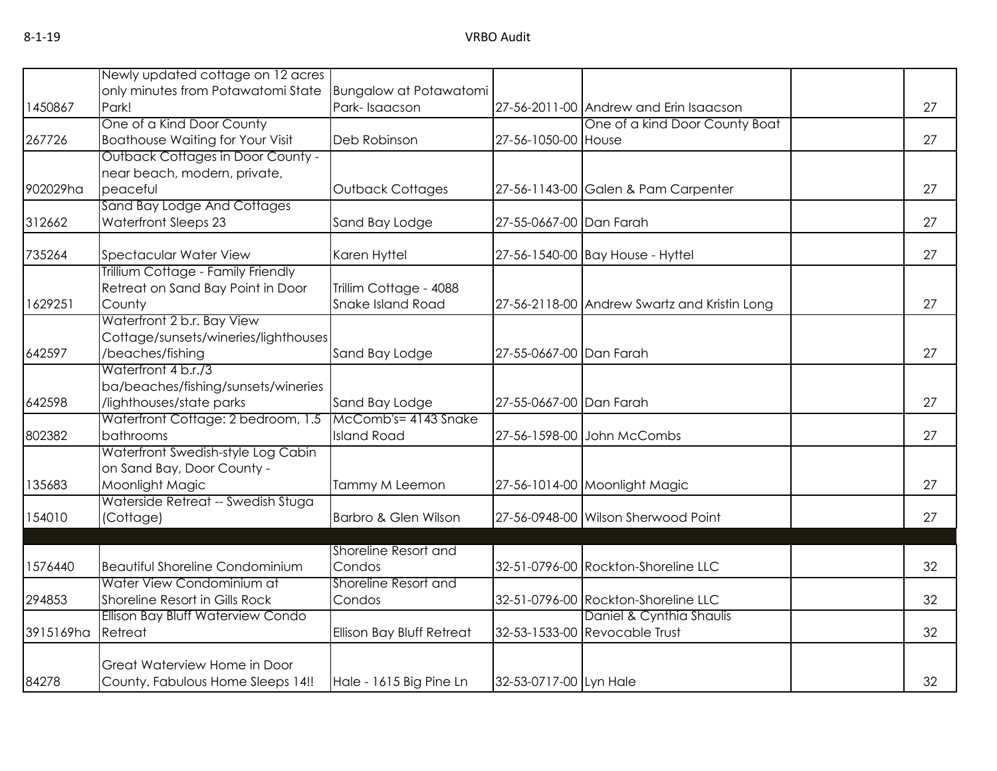| Newly updated cottage on 12 acres        |                                                                                                                                                                                                                                                                                                                                                                                                                                                                    |                                                                                                                                                                                                                                                                                      |                               |                                                                                                                                                                                                                                                                                                                                                                                                                                                                                                                                                            |    |
|------------------------------------------|--------------------------------------------------------------------------------------------------------------------------------------------------------------------------------------------------------------------------------------------------------------------------------------------------------------------------------------------------------------------------------------------------------------------------------------------------------------------|--------------------------------------------------------------------------------------------------------------------------------------------------------------------------------------------------------------------------------------------------------------------------------------|-------------------------------|------------------------------------------------------------------------------------------------------------------------------------------------------------------------------------------------------------------------------------------------------------------------------------------------------------------------------------------------------------------------------------------------------------------------------------------------------------------------------------------------------------------------------------------------------------|----|
|                                          |                                                                                                                                                                                                                                                                                                                                                                                                                                                                    |                                                                                                                                                                                                                                                                                      |                               |                                                                                                                                                                                                                                                                                                                                                                                                                                                                                                                                                            | 27 |
|                                          |                                                                                                                                                                                                                                                                                                                                                                                                                                                                    |                                                                                                                                                                                                                                                                                      |                               |                                                                                                                                                                                                                                                                                                                                                                                                                                                                                                                                                            |    |
| <b>Boathouse Waiting for Your Visit</b>  | Deb Robinson                                                                                                                                                                                                                                                                                                                                                                                                                                                       |                                                                                                                                                                                                                                                                                      |                               |                                                                                                                                                                                                                                                                                                                                                                                                                                                                                                                                                            | 27 |
| <b>Outback Cottages in Door County -</b> |                                                                                                                                                                                                                                                                                                                                                                                                                                                                    |                                                                                                                                                                                                                                                                                      |                               |                                                                                                                                                                                                                                                                                                                                                                                                                                                                                                                                                            |    |
| near beach, modern, private,             |                                                                                                                                                                                                                                                                                                                                                                                                                                                                    |                                                                                                                                                                                                                                                                                      |                               |                                                                                                                                                                                                                                                                                                                                                                                                                                                                                                                                                            |    |
|                                          |                                                                                                                                                                                                                                                                                                                                                                                                                                                                    |                                                                                                                                                                                                                                                                                      |                               |                                                                                                                                                                                                                                                                                                                                                                                                                                                                                                                                                            | 27 |
|                                          |                                                                                                                                                                                                                                                                                                                                                                                                                                                                    |                                                                                                                                                                                                                                                                                      |                               |                                                                                                                                                                                                                                                                                                                                                                                                                                                                                                                                                            |    |
|                                          |                                                                                                                                                                                                                                                                                                                                                                                                                                                                    |                                                                                                                                                                                                                                                                                      |                               |                                                                                                                                                                                                                                                                                                                                                                                                                                                                                                                                                            | 27 |
| <b>Spectacular Water View</b>            | Karen Hyttel                                                                                                                                                                                                                                                                                                                                                                                                                                                       |                                                                                                                                                                                                                                                                                      |                               |                                                                                                                                                                                                                                                                                                                                                                                                                                                                                                                                                            | 27 |
| Trillium Cottage - Family Friendly       |                                                                                                                                                                                                                                                                                                                                                                                                                                                                    |                                                                                                                                                                                                                                                                                      |                               |                                                                                                                                                                                                                                                                                                                                                                                                                                                                                                                                                            |    |
| Retreat on Sand Bay Point in Door        | Trillim Cottage - 4088                                                                                                                                                                                                                                                                                                                                                                                                                                             |                                                                                                                                                                                                                                                                                      |                               |                                                                                                                                                                                                                                                                                                                                                                                                                                                                                                                                                            |    |
| County                                   |                                                                                                                                                                                                                                                                                                                                                                                                                                                                    |                                                                                                                                                                                                                                                                                      |                               |                                                                                                                                                                                                                                                                                                                                                                                                                                                                                                                                                            | 27 |
|                                          |                                                                                                                                                                                                                                                                                                                                                                                                                                                                    |                                                                                                                                                                                                                                                                                      |                               |                                                                                                                                                                                                                                                                                                                                                                                                                                                                                                                                                            |    |
|                                          |                                                                                                                                                                                                                                                                                                                                                                                                                                                                    |                                                                                                                                                                                                                                                                                      |                               |                                                                                                                                                                                                                                                                                                                                                                                                                                                                                                                                                            |    |
|                                          |                                                                                                                                                                                                                                                                                                                                                                                                                                                                    |                                                                                                                                                                                                                                                                                      |                               |                                                                                                                                                                                                                                                                                                                                                                                                                                                                                                                                                            | 27 |
|                                          |                                                                                                                                                                                                                                                                                                                                                                                                                                                                    |                                                                                                                                                                                                                                                                                      |                               |                                                                                                                                                                                                                                                                                                                                                                                                                                                                                                                                                            |    |
|                                          |                                                                                                                                                                                                                                                                                                                                                                                                                                                                    |                                                                                                                                                                                                                                                                                      |                               |                                                                                                                                                                                                                                                                                                                                                                                                                                                                                                                                                            | 27 |
|                                          |                                                                                                                                                                                                                                                                                                                                                                                                                                                                    |                                                                                                                                                                                                                                                                                      |                               |                                                                                                                                                                                                                                                                                                                                                                                                                                                                                                                                                            |    |
|                                          |                                                                                                                                                                                                                                                                                                                                                                                                                                                                    |                                                                                                                                                                                                                                                                                      |                               |                                                                                                                                                                                                                                                                                                                                                                                                                                                                                                                                                            | 27 |
| Waterfront Swedish-style Log Cabin       |                                                                                                                                                                                                                                                                                                                                                                                                                                                                    |                                                                                                                                                                                                                                                                                      |                               |                                                                                                                                                                                                                                                                                                                                                                                                                                                                                                                                                            |    |
| on Sand Bay, Door County -               |                                                                                                                                                                                                                                                                                                                                                                                                                                                                    |                                                                                                                                                                                                                                                                                      |                               |                                                                                                                                                                                                                                                                                                                                                                                                                                                                                                                                                            |    |
| Moonlight Magic                          | Tammy M Leemon                                                                                                                                                                                                                                                                                                                                                                                                                                                     |                                                                                                                                                                                                                                                                                      |                               |                                                                                                                                                                                                                                                                                                                                                                                                                                                                                                                                                            | 27 |
|                                          |                                                                                                                                                                                                                                                                                                                                                                                                                                                                    |                                                                                                                                                                                                                                                                                      |                               |                                                                                                                                                                                                                                                                                                                                                                                                                                                                                                                                                            |    |
|                                          |                                                                                                                                                                                                                                                                                                                                                                                                                                                                    |                                                                                                                                                                                                                                                                                      |                               |                                                                                                                                                                                                                                                                                                                                                                                                                                                                                                                                                            | 27 |
|                                          |                                                                                                                                                                                                                                                                                                                                                                                                                                                                    |                                                                                                                                                                                                                                                                                      |                               |                                                                                                                                                                                                                                                                                                                                                                                                                                                                                                                                                            |    |
| <b>Beautiful Shoreline Condominium</b>   | Condos                                                                                                                                                                                                                                                                                                                                                                                                                                                             |                                                                                                                                                                                                                                                                                      |                               |                                                                                                                                                                                                                                                                                                                                                                                                                                                                                                                                                            | 32 |
| Water View Condominium at                | Shoreline Resort and                                                                                                                                                                                                                                                                                                                                                                                                                                               |                                                                                                                                                                                                                                                                                      |                               |                                                                                                                                                                                                                                                                                                                                                                                                                                                                                                                                                            |    |
| Shoreline Resort in Gills Rock           | Condos                                                                                                                                                                                                                                                                                                                                                                                                                                                             |                                                                                                                                                                                                                                                                                      |                               |                                                                                                                                                                                                                                                                                                                                                                                                                                                                                                                                                            | 32 |
| Ellison Bay Bluff Waterview Condo        |                                                                                                                                                                                                                                                                                                                                                                                                                                                                    |                                                                                                                                                                                                                                                                                      | Daniel & Cynthia Shaulis      |                                                                                                                                                                                                                                                                                                                                                                                                                                                                                                                                                            |    |
| Retreat                                  | Ellison Bay Bluff Retreat                                                                                                                                                                                                                                                                                                                                                                                                                                          |                                                                                                                                                                                                                                                                                      |                               |                                                                                                                                                                                                                                                                                                                                                                                                                                                                                                                                                            | 32 |
|                                          |                                                                                                                                                                                                                                                                                                                                                                                                                                                                    |                                                                                                                                                                                                                                                                                      |                               |                                                                                                                                                                                                                                                                                                                                                                                                                                                                                                                                                            |    |
|                                          |                                                                                                                                                                                                                                                                                                                                                                                                                                                                    |                                                                                                                                                                                                                                                                                      |                               |                                                                                                                                                                                                                                                                                                                                                                                                                                                                                                                                                            | 32 |
|                                          | only minutes from Potawatomi State<br>Park!<br>One of a Kind Door County<br>peaceful<br>Sand Bay Lodge And Cottages<br>Waterfront Sleeps 23<br>Waterfront 2 b.r. Bay View<br>/beaches/fishing<br>Waterfront 4 b.r./3<br>ba/beaches/fishing/sunsets/wineries<br>/lighthouses/state parks<br>Waterfront Cottage: 2 bedroom, 1.5<br>bathrooms<br>Waterside Retreat -- Swedish Stuga<br>(Cottage)<br>Great Waterview Home in Door<br>County. Fabulous Home Sleeps 14!! | Park-Isaacson<br>Outback Cottages<br>Sand Bay Lodge<br><b>Snake Island Road</b><br>Cottage/sunsets/wineries/lighthouses<br>Sand Bay Lodge<br>Sand Bay Lodge<br>McComb's= 4143 Snake<br><b>Island Road</b><br>Barbro & Glen Wilson<br>Shoreline Resort and<br>Hale - 1615 Big Pine Ln | <b>Bungalow at Potawatomi</b> | 27-56-2011-00 Andrew and Erin Isaacson<br>One of a kind Door County Boat<br>27-56-1050-00 House<br>27-56-1143-00 Galen & Pam Carpenter<br>27-55-0667-00 Dan Farah<br>27-56-1540-00 Bay House - Hyttel<br>27-56-2118-00 Andrew Swartz and Kristin Long<br>27-55-0667-00 Dan Farah<br>27-55-0667-00 Dan Farah<br>27-56-1598-00 John McCombs<br>27-56-1014-00 Moonlight Magic<br>27-56-0948-00 Wilson Sherwood Point<br>32-51-0796-00 Rockton-Shoreline LLC<br>32-51-0796-00 Rockton-Shoreline LLC<br>32-53-1533-00 Revocable Trust<br>32-53-0717-00 Lyn Hale |    |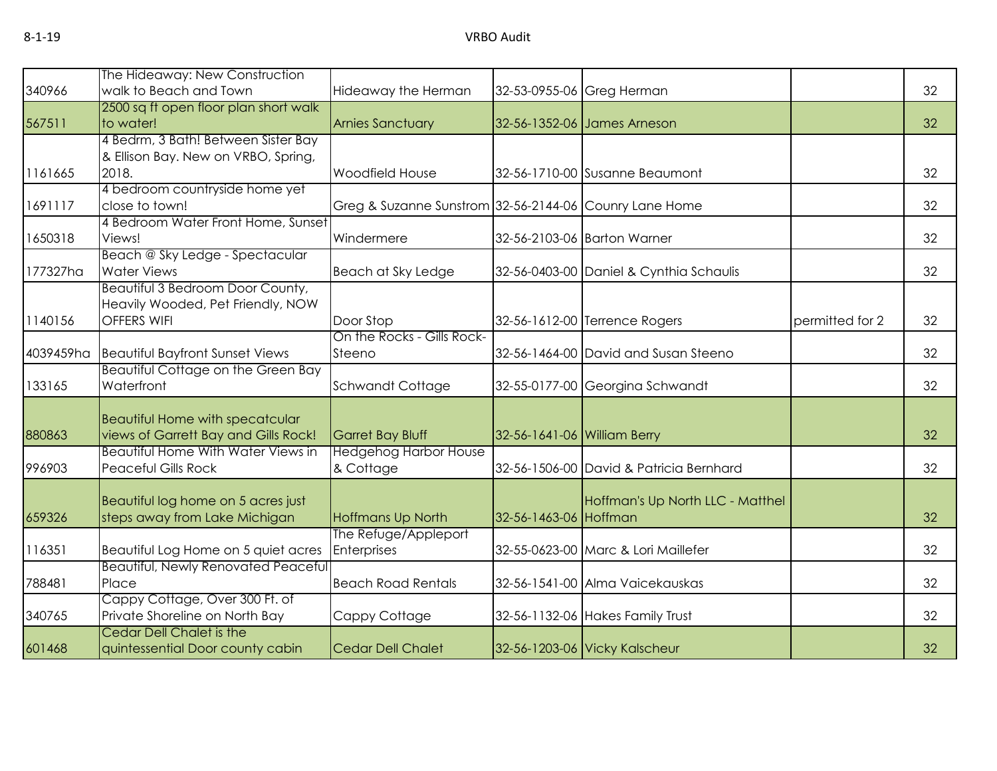| 340966    | The Hideaway: New Construction<br>walk to Beach and Town | Hideaway the Herman                                    |                             | 32-53-0955-06 Greg Herman               |                 | 32 |
|-----------|----------------------------------------------------------|--------------------------------------------------------|-----------------------------|-----------------------------------------|-----------------|----|
|           | 2500 sq ft open floor plan short walk                    |                                                        |                             |                                         |                 |    |
| 567511    | to water!                                                | <b>Arnies Sanctuary</b>                                |                             | 32-56-1352-06 James Arneson             |                 | 32 |
|           | 4 Bedrm, 3 Bath! Between Sister Bay                      |                                                        |                             |                                         |                 |    |
|           | & Ellison Bay. New on VRBO, Spring,                      |                                                        |                             |                                         |                 |    |
| 1161665   | 2018.                                                    | Woodfield House                                        |                             | 32-56-1710-00 Susanne Beaumont          |                 | 32 |
|           | 4 bedroom countryside home yet                           |                                                        |                             |                                         |                 |    |
| 1691117   | close to town!                                           | Greg & Suzanne Sunstrom 32-56-2144-06 Counry Lane Home |                             |                                         |                 | 32 |
|           | 4 Bedroom Water Front Home, Sunset                       |                                                        |                             |                                         |                 |    |
| 1650318   | Views!                                                   | Windermere                                             |                             | 32-56-2103-06 Barton Warner             |                 | 32 |
|           | Beach @ Sky Ledge - Spectacular                          |                                                        |                             |                                         |                 |    |
| 177327ha  | <b>Water Views</b>                                       | Beach at Sky Ledge                                     |                             | 32-56-0403-00 Daniel & Cynthia Schaulis |                 | 32 |
|           | Beautiful 3 Bedroom Door County,                         |                                                        |                             |                                         |                 |    |
|           | Heavily Wooded, Pet Friendly, NOW                        |                                                        |                             |                                         |                 |    |
| 1140156   | <b>OFFERS WIFI</b>                                       | Door Stop                                              |                             | 32-56-1612-00 Terrence Rogers           | permitted for 2 | 32 |
|           |                                                          | On the Rocks - Gills Rock-                             |                             |                                         |                 |    |
| 4039459ha | <b>Beautiful Bayfront Sunset Views</b>                   | Steeno                                                 |                             | 32-56-1464-00 David and Susan Steeno    |                 | 32 |
|           | <b>Beautiful Cottage on the Green Bay</b>                |                                                        |                             |                                         |                 |    |
| 133165    | Waterfront                                               | Schwandt Cottage                                       |                             | 32-55-0177-00 Georgina Schwandt         |                 | 32 |
|           |                                                          |                                                        |                             |                                         |                 |    |
|           | <b>Beautiful Home with specatcular</b>                   |                                                        |                             |                                         |                 |    |
| 880863    | views of Garrett Bay and Gills Rock!                     | Garret Bay Bluff                                       | 32-56-1641-06 William Berry |                                         |                 | 32 |
|           | <b>Beautiful Home With Water Views in</b>                | <b>Hedgehog Harbor House</b>                           |                             |                                         |                 |    |
| 996903    | <b>Peaceful Gills Rock</b>                               | & Cottage                                              |                             | 32-56-1506-00 David & Patricia Bernhard |                 | 32 |
|           |                                                          |                                                        |                             |                                         |                 |    |
|           | Beautiful log home on 5 acres just                       |                                                        |                             | Hoffman's Up North LLC - Matthel        |                 |    |
| 659326    | steps away from Lake Michigan                            | <b>Hoffmans Up North</b>                               | 32-56-1463-06 Hoffman       |                                         |                 | 32 |
|           |                                                          | The Refuge/Appleport                                   |                             |                                         |                 |    |
| 116351    | Beautiful Log Home on 5 quiet acres                      | Enterprises                                            |                             | 32-55-0623-00 Marc & Lori Maillefer     |                 | 32 |
|           | <b>Beautiful, Newly Renovated Peaceful</b>               |                                                        |                             |                                         |                 |    |
| 788481    | Place                                                    | <b>Beach Road Rentals</b>                              |                             | 32-56-1541-00 Alma Vaicekauskas         |                 | 32 |
|           | Cappy Cottage, Over 300 Ft. of                           |                                                        |                             |                                         |                 |    |
| 340765    | Private Shoreline on North Bay                           | Cappy Cottage                                          |                             | 32-56-1132-06 Hakes Family Trust        |                 | 32 |
|           | Cedar Dell Chalet is the                                 |                                                        |                             |                                         |                 |    |
| 601468    | quintessential Door county cabin                         | <b>Cedar Dell Chalet</b>                               |                             | 32-56-1203-06 Vicky Kalscheur           |                 | 32 |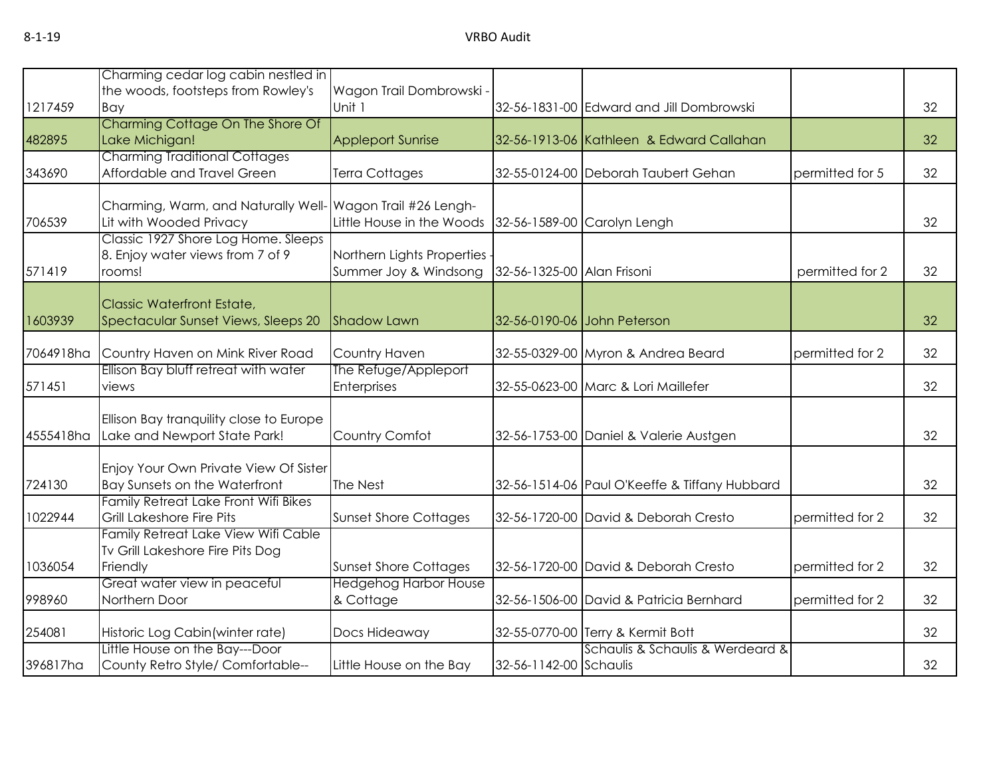|           | Charming cedar log cabin nestled in                                |                              |                            |                                               |                 |    |
|-----------|--------------------------------------------------------------------|------------------------------|----------------------------|-----------------------------------------------|-----------------|----|
|           | the woods, footsteps from Rowley's                                 | Wagon Trail Dombrowski       |                            |                                               |                 |    |
| 1217459   | Bay                                                                | Unit 1                       |                            | 32-56-1831-00 Edward and Jill Dombrowski      |                 | 32 |
|           | Charming Cottage On The Shore Of                                   |                              |                            |                                               |                 |    |
| 482895    | Lake Michigan!                                                     | <b>Appleport Sunrise</b>     |                            | 32-56-1913-06 Kathleen & Edward Callahan      |                 | 32 |
|           | <b>Charming Traditional Cottages</b>                               |                              |                            |                                               |                 |    |
| 343690    | Affordable and Travel Green                                        | Terra Cottages               |                            | 32-55-0124-00 Deborah Taubert Gehan           | permitted for 5 | 32 |
|           | Charming, Warm, and Naturally Well- Wagon Trail #26 Lengh-         |                              |                            |                                               |                 |    |
| 706539    | Lit with Wooded Privacy                                            | Little House in the Woods    |                            | 32-56-1589-00 Carolyn Lengh                   |                 | 32 |
|           | Classic 1927 Shore Log Home. Sleeps                                |                              |                            |                                               |                 |    |
|           | 8. Enjoy water views from 7 of 9                                   | Northern Lights Properties   |                            |                                               |                 |    |
| 571419    | rooms!                                                             | Summer Joy & Windsong        | 32-56-1325-00 Alan Frisoni |                                               | permitted for 2 | 32 |
|           | Classic Waterfront Estate,                                         |                              |                            |                                               |                 |    |
| 1603939   | Spectacular Sunset Views, Sleeps 20                                | <b>Shadow Lawn</b>           |                            | 32-56-0190-06 John Peterson                   |                 | 32 |
|           |                                                                    |                              |                            |                                               |                 |    |
| 7064918ha | Country Haven on Mink River Road                                   | Country Haven                |                            | 32-55-0329-00 Myron & Andrea Beard            | permitted for 2 | 32 |
|           | Ellison Bay bluff retreat with water                               | The Refuge/Appleport         |                            |                                               |                 |    |
| 571451    | views                                                              | Enterprises                  |                            | 32-55-0623-00 Marc & Lori Maillefer           |                 | 32 |
|           | Ellison Bay tranquility close to Europe                            |                              |                            |                                               |                 |    |
| 4555418ha | Lake and Newport State Park!                                       | Country Comfot               |                            | 32-56-1753-00 Daniel & Valerie Austgen        |                 | 32 |
|           |                                                                    |                              |                            |                                               |                 |    |
|           | Enjoy Your Own Private View Of Sister                              |                              |                            |                                               |                 |    |
| 724130    | Bay Sunsets on the Waterfront                                      | The Nest                     |                            | 32-56-1514-06 Paul O'Keeffe & Tiffany Hubbard |                 | 32 |
|           | Family Retreat Lake Front Wifi Bikes                               |                              |                            |                                               |                 |    |
| 1022944   | Grill Lakeshore Fire Pits                                          | <b>Sunset Shore Cottages</b> |                            | 32-56-1720-00 David & Deborah Cresto          | permitted for 2 | 32 |
|           | Family Retreat Lake View Wifi Cable                                |                              |                            |                                               |                 |    |
|           | Tv Grill Lakeshore Fire Pits Dog                                   |                              |                            |                                               |                 |    |
| 1036054   | Friendly                                                           | <b>Sunset Shore Cottages</b> |                            | 32-56-1720-00 David & Deborah Cresto          | permitted for 2 | 32 |
|           | Great water view in peaceful                                       | <b>Hedgehog Harbor House</b> |                            |                                               |                 |    |
| 998960    | Northern Door                                                      | & Cottage                    |                            | 32-56-1506-00 David & Patricia Bernhard       | permitted for 2 | 32 |
|           |                                                                    |                              |                            |                                               |                 |    |
| 254081    | Historic Log Cabin (winter rate)<br>Little House on the Bay---Door | Docs Hideaway                |                            | 32-55-0770-00 Terry & Kermit Bott             |                 | 32 |
|           |                                                                    |                              |                            | Schaulis & Schaulis & Werdeard &              |                 |    |
| 396817ha  | County Retro Style/ Comfortable--                                  | Little House on the Bay      | 32-56-1142-00 Schaulis     |                                               |                 | 32 |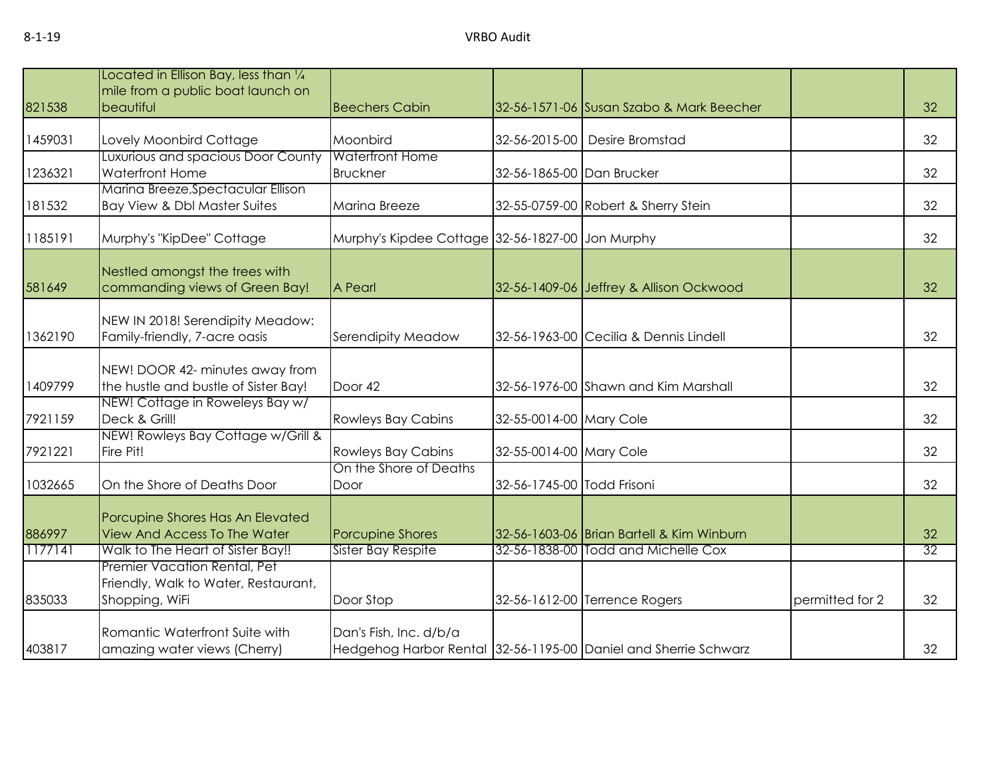|         | Located in Ellison Bay, less than 1/4                 |                                                  |                            |                                                                 |                 |                 |
|---------|-------------------------------------------------------|--------------------------------------------------|----------------------------|-----------------------------------------------------------------|-----------------|-----------------|
|         | mile from a public boat launch on                     |                                                  |                            |                                                                 |                 |                 |
| 821538  | beautiful                                             | <b>Beechers Cabin</b>                            |                            | 32-56-1571-06 Susan Szabo & Mark Beecher                        |                 | 32              |
|         |                                                       |                                                  |                            |                                                                 |                 |                 |
| 1459031 | Lovely Moonbird Cottage                               | Moonbird<br><b>Waterfront Home</b>               |                            | 32-56-2015-00 Desire Bromstad                                   |                 | 32              |
|         | Luxurious and spacious Door County<br>Waterfront Home |                                                  |                            |                                                                 |                 | 32              |
| 1236321 | Marina Breeze, Spectacular Ellison                    | <b>Bruckner</b>                                  | 32-56-1865-00 Dan Brucker  |                                                                 |                 |                 |
| 181532  | Bay View & Dbl Master Suites                          | Marina Breeze                                    |                            |                                                                 |                 | 32              |
|         |                                                       |                                                  |                            | 32-55-0759-00 Robert & Sherry Stein                             |                 |                 |
| 1185191 | Murphy's "KipDee" Cottage                             | Murphy's Kipdee Cottage 32-56-1827-00 Jon Murphy |                            |                                                                 |                 | 32              |
|         |                                                       |                                                  |                            |                                                                 |                 |                 |
|         | Nestled amongst the trees with                        |                                                  |                            |                                                                 |                 |                 |
| 581649  | commanding views of Green Bay!                        | A Pearl                                          |                            | 32-56-1409-06 Jeffrey & Allison Ockwood                         |                 | 32              |
|         |                                                       |                                                  |                            |                                                                 |                 |                 |
|         | NEW IN 2018! Serendipity Meadow:                      |                                                  |                            |                                                                 |                 |                 |
| 1362190 | Family-friendly, 7-acre oasis                         | Serendipity Meadow                               |                            | 32-56-1963-00 Cecilia & Dennis Lindell                          |                 | 32              |
|         |                                                       |                                                  |                            |                                                                 |                 |                 |
|         | NEW! DOOR 42- minutes away from                       |                                                  |                            |                                                                 |                 |                 |
| 1409799 | the hustle and bustle of Sister Bay!                  | Door 42                                          |                            | 32-56-1976-00 Shawn and Kim Marshall                            |                 | 32              |
|         | NEW! Cottage in Roweleys Bay w/                       |                                                  |                            |                                                                 |                 |                 |
| 7921159 | Deck & Grill!                                         | <b>Rowleys Bay Cabins</b>                        | 32-55-0014-00 Mary Cole    |                                                                 |                 | 32              |
|         | NEW! Rowleys Bay Cottage w/Grill &                    |                                                  |                            |                                                                 |                 |                 |
| 7921221 | Fire Pit!                                             | <b>Rowleys Bay Cabins</b>                        | 32-55-0014-00 Mary Cole    |                                                                 |                 | 32              |
|         |                                                       | On the Shore of Deaths                           |                            |                                                                 |                 |                 |
| 1032665 | On the Shore of Deaths Door                           | Door                                             | 32-56-1745-00 Todd Frisoni |                                                                 |                 | 32              |
|         |                                                       |                                                  |                            |                                                                 |                 |                 |
|         | Porcupine Shores Has An Elevated                      |                                                  |                            |                                                                 |                 |                 |
| 886997  | <b>View And Access To The Water</b>                   | Porcupine Shores                                 |                            | 32-56-1603-06 Brian Bartell & Kim Winburn                       |                 | 32              |
| 1177141 | Walk to The Heart of Sister Bay!!                     | <b>Sister Bay Respite</b>                        |                            | 32-56-1838-00 Todd and Michelle Cox                             |                 | $\overline{32}$ |
|         | Premier Vacation Rental, Pet                          |                                                  |                            |                                                                 |                 |                 |
|         | Friendly, Walk to Water, Restaurant,                  |                                                  |                            |                                                                 |                 |                 |
| 835033  | Shopping, WiFi                                        | Door Stop                                        |                            | 32-56-1612-00 Terrence Rogers                                   | permitted for 2 | 32              |
|         |                                                       |                                                  |                            |                                                                 |                 |                 |
|         | Romantic Waterfront Suite with                        | Dan's Fish, Inc. d/b/a                           |                            |                                                                 |                 |                 |
| 403817  | amazing water views (Cherry)                          |                                                  |                            | Hedgehog Harbor Rental 32-56-1195-00 Daniel and Sherrie Schwarz |                 | 32              |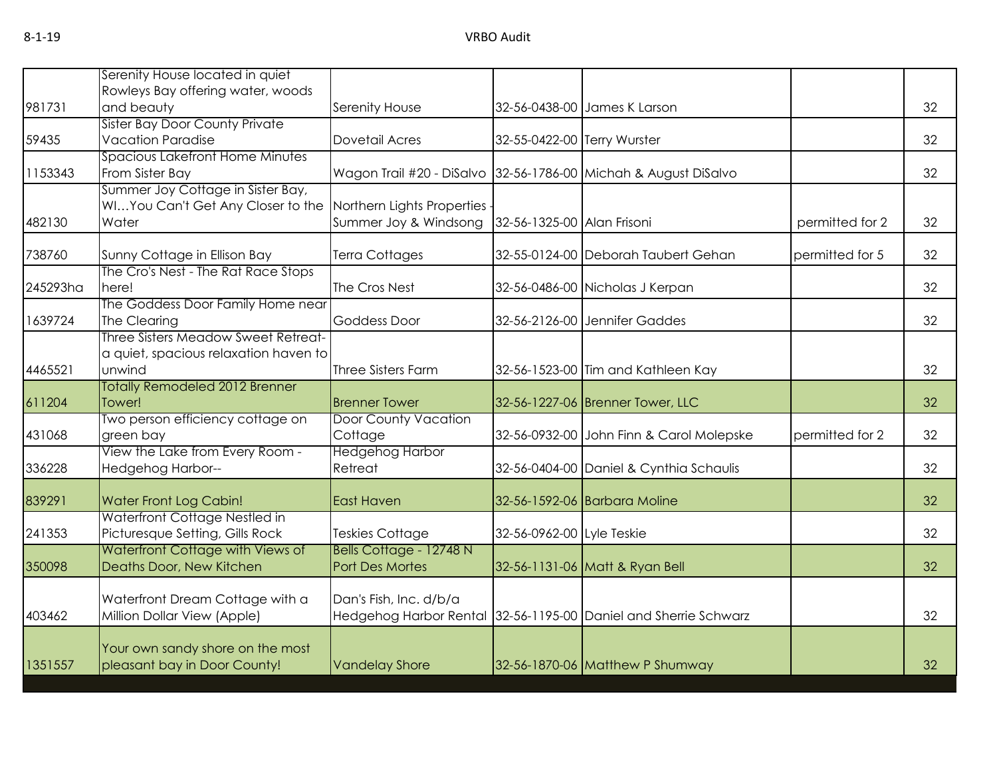| 981731<br>and beauty<br>32<br>Serenity House<br>32-56-0438-00 James K Larson<br><b>Sister Bay Door County Private</b><br><b>Vacation Paradise</b><br>32<br>59435<br>Dovetail Acres<br>32-55-0422-00 Terry Wurster<br>Spacious Lakefront Home Minutes<br>From Sister Bay<br>32<br>1153343<br>Wagon Trail #20 - DiSalvo 32-56-1786-00 Michah & August DiSalvo<br>Summer Joy Cottage in Sister Bay,<br>WIYou Can't Get Any Closer to the<br>Northern Lights Properties<br>482130<br>Water<br>Summer Joy & Windsong<br>32-56-1325-00 Alan Frisoni<br>permitted for 2<br>32<br>32<br>738760<br>Sunny Cottage in Ellison Bay<br>Terra Cottages<br>32-55-0124-00 Deborah Taubert Gehan<br>permitted for 5<br>The Cro's Nest - The Rat Race Stops<br>32-56-0486-00 Nicholas J Kerpan<br>32<br>245293ha<br>here!<br>The Cros Nest<br>The Goddess Door Family Home near<br>32<br>1639724<br>The Clearing<br>32-56-2126-00 Jennifer Gaddes<br><b>Goddess Door</b><br>Three Sisters Meadow Sweet Retreat-<br>a quiet, spacious relaxation haven to<br>unwind<br>Three Sisters Farm<br>4465521<br>32-56-1523-00 Tim and Kathleen Kay<br>32<br><b>Totally Remodeled 2012 Brenner</b><br>Tower!<br>611204<br><b>Brenner Tower</b><br>32-56-1227-06 Brenner Tower, LLC<br>Two person efficiency cottage on<br>Door County Vacation<br>green bay<br>Cottage<br>permitted for 2<br>431068<br>32-56-0932-00 John Finn & Carol Molepske<br>View the Lake from Every Room -<br><b>Hedgehog Harbor</b><br>336228<br>Retreat<br>32-56-0404-00 Daniel & Cynthia Schaulis<br>Hedgehog Harbor--<br>839291<br><b>Water Front Log Cabin!</b><br>East Haven<br>32-56-1592-06 Barbara Moline<br>Waterfront Cottage Nestled in<br>Picturesque Setting, Gills Rock<br>241353<br>32<br>Teskies Cottage<br>32-56-0962-00 Lyle Teskie<br>Waterfront Cottage with Views of<br>Bells Cottage - 12748 N<br>Deaths Door, New Kitchen<br>350098<br>Port Des Mortes<br>32-56-1131-06 Matt & Ryan Bell<br>32<br>Waterfront Dream Cottage with a<br>Dan's Fish, Inc. d/b/a<br>Million Dollar View (Apple)<br>Hedgehog Harbor Rental 32-56-1195-00 Daniel and Sherrie Schwarz<br>403462<br>32<br>Your own sandy shore on the most<br>32-56-1870-06 Matthew P Shumway |         | Serenity House located in quiet   |                       |  |    |
|--------------------------------------------------------------------------------------------------------------------------------------------------------------------------------------------------------------------------------------------------------------------------------------------------------------------------------------------------------------------------------------------------------------------------------------------------------------------------------------------------------------------------------------------------------------------------------------------------------------------------------------------------------------------------------------------------------------------------------------------------------------------------------------------------------------------------------------------------------------------------------------------------------------------------------------------------------------------------------------------------------------------------------------------------------------------------------------------------------------------------------------------------------------------------------------------------------------------------------------------------------------------------------------------------------------------------------------------------------------------------------------------------------------------------------------------------------------------------------------------------------------------------------------------------------------------------------------------------------------------------------------------------------------------------------------------------------------------------------------------------------------------------------------------------------------------------------------------------------------------------------------------------------------------------------------------------------------------------------------------------------------------------------------------------------------------------------------------------------------------------------------------------------------------------------------------------------------------------|---------|-----------------------------------|-----------------------|--|----|
|                                                                                                                                                                                                                                                                                                                                                                                                                                                                                                                                                                                                                                                                                                                                                                                                                                                                                                                                                                                                                                                                                                                                                                                                                                                                                                                                                                                                                                                                                                                                                                                                                                                                                                                                                                                                                                                                                                                                                                                                                                                                                                                                                                                                                          |         | Rowleys Bay offering water, woods |                       |  |    |
|                                                                                                                                                                                                                                                                                                                                                                                                                                                                                                                                                                                                                                                                                                                                                                                                                                                                                                                                                                                                                                                                                                                                                                                                                                                                                                                                                                                                                                                                                                                                                                                                                                                                                                                                                                                                                                                                                                                                                                                                                                                                                                                                                                                                                          |         |                                   |                       |  |    |
|                                                                                                                                                                                                                                                                                                                                                                                                                                                                                                                                                                                                                                                                                                                                                                                                                                                                                                                                                                                                                                                                                                                                                                                                                                                                                                                                                                                                                                                                                                                                                                                                                                                                                                                                                                                                                                                                                                                                                                                                                                                                                                                                                                                                                          |         |                                   |                       |  |    |
|                                                                                                                                                                                                                                                                                                                                                                                                                                                                                                                                                                                                                                                                                                                                                                                                                                                                                                                                                                                                                                                                                                                                                                                                                                                                                                                                                                                                                                                                                                                                                                                                                                                                                                                                                                                                                                                                                                                                                                                                                                                                                                                                                                                                                          |         |                                   |                       |  |    |
|                                                                                                                                                                                                                                                                                                                                                                                                                                                                                                                                                                                                                                                                                                                                                                                                                                                                                                                                                                                                                                                                                                                                                                                                                                                                                                                                                                                                                                                                                                                                                                                                                                                                                                                                                                                                                                                                                                                                                                                                                                                                                                                                                                                                                          |         |                                   |                       |  |    |
|                                                                                                                                                                                                                                                                                                                                                                                                                                                                                                                                                                                                                                                                                                                                                                                                                                                                                                                                                                                                                                                                                                                                                                                                                                                                                                                                                                                                                                                                                                                                                                                                                                                                                                                                                                                                                                                                                                                                                                                                                                                                                                                                                                                                                          |         |                                   |                       |  |    |
|                                                                                                                                                                                                                                                                                                                                                                                                                                                                                                                                                                                                                                                                                                                                                                                                                                                                                                                                                                                                                                                                                                                                                                                                                                                                                                                                                                                                                                                                                                                                                                                                                                                                                                                                                                                                                                                                                                                                                                                                                                                                                                                                                                                                                          |         |                                   |                       |  |    |
|                                                                                                                                                                                                                                                                                                                                                                                                                                                                                                                                                                                                                                                                                                                                                                                                                                                                                                                                                                                                                                                                                                                                                                                                                                                                                                                                                                                                                                                                                                                                                                                                                                                                                                                                                                                                                                                                                                                                                                                                                                                                                                                                                                                                                          |         |                                   |                       |  |    |
|                                                                                                                                                                                                                                                                                                                                                                                                                                                                                                                                                                                                                                                                                                                                                                                                                                                                                                                                                                                                                                                                                                                                                                                                                                                                                                                                                                                                                                                                                                                                                                                                                                                                                                                                                                                                                                                                                                                                                                                                                                                                                                                                                                                                                          |         |                                   |                       |  |    |
|                                                                                                                                                                                                                                                                                                                                                                                                                                                                                                                                                                                                                                                                                                                                                                                                                                                                                                                                                                                                                                                                                                                                                                                                                                                                                                                                                                                                                                                                                                                                                                                                                                                                                                                                                                                                                                                                                                                                                                                                                                                                                                                                                                                                                          |         |                                   |                       |  |    |
|                                                                                                                                                                                                                                                                                                                                                                                                                                                                                                                                                                                                                                                                                                                                                                                                                                                                                                                                                                                                                                                                                                                                                                                                                                                                                                                                                                                                                                                                                                                                                                                                                                                                                                                                                                                                                                                                                                                                                                                                                                                                                                                                                                                                                          |         |                                   |                       |  |    |
|                                                                                                                                                                                                                                                                                                                                                                                                                                                                                                                                                                                                                                                                                                                                                                                                                                                                                                                                                                                                                                                                                                                                                                                                                                                                                                                                                                                                                                                                                                                                                                                                                                                                                                                                                                                                                                                                                                                                                                                                                                                                                                                                                                                                                          |         |                                   |                       |  |    |
|                                                                                                                                                                                                                                                                                                                                                                                                                                                                                                                                                                                                                                                                                                                                                                                                                                                                                                                                                                                                                                                                                                                                                                                                                                                                                                                                                                                                                                                                                                                                                                                                                                                                                                                                                                                                                                                                                                                                                                                                                                                                                                                                                                                                                          |         |                                   |                       |  |    |
|                                                                                                                                                                                                                                                                                                                                                                                                                                                                                                                                                                                                                                                                                                                                                                                                                                                                                                                                                                                                                                                                                                                                                                                                                                                                                                                                                                                                                                                                                                                                                                                                                                                                                                                                                                                                                                                                                                                                                                                                                                                                                                                                                                                                                          |         |                                   |                       |  |    |
|                                                                                                                                                                                                                                                                                                                                                                                                                                                                                                                                                                                                                                                                                                                                                                                                                                                                                                                                                                                                                                                                                                                                                                                                                                                                                                                                                                                                                                                                                                                                                                                                                                                                                                                                                                                                                                                                                                                                                                                                                                                                                                                                                                                                                          |         |                                   |                       |  |    |
|                                                                                                                                                                                                                                                                                                                                                                                                                                                                                                                                                                                                                                                                                                                                                                                                                                                                                                                                                                                                                                                                                                                                                                                                                                                                                                                                                                                                                                                                                                                                                                                                                                                                                                                                                                                                                                                                                                                                                                                                                                                                                                                                                                                                                          |         |                                   |                       |  |    |
|                                                                                                                                                                                                                                                                                                                                                                                                                                                                                                                                                                                                                                                                                                                                                                                                                                                                                                                                                                                                                                                                                                                                                                                                                                                                                                                                                                                                                                                                                                                                                                                                                                                                                                                                                                                                                                                                                                                                                                                                                                                                                                                                                                                                                          |         |                                   |                       |  | 32 |
|                                                                                                                                                                                                                                                                                                                                                                                                                                                                                                                                                                                                                                                                                                                                                                                                                                                                                                                                                                                                                                                                                                                                                                                                                                                                                                                                                                                                                                                                                                                                                                                                                                                                                                                                                                                                                                                                                                                                                                                                                                                                                                                                                                                                                          |         |                                   |                       |  |    |
|                                                                                                                                                                                                                                                                                                                                                                                                                                                                                                                                                                                                                                                                                                                                                                                                                                                                                                                                                                                                                                                                                                                                                                                                                                                                                                                                                                                                                                                                                                                                                                                                                                                                                                                                                                                                                                                                                                                                                                                                                                                                                                                                                                                                                          |         |                                   |                       |  | 32 |
|                                                                                                                                                                                                                                                                                                                                                                                                                                                                                                                                                                                                                                                                                                                                                                                                                                                                                                                                                                                                                                                                                                                                                                                                                                                                                                                                                                                                                                                                                                                                                                                                                                                                                                                                                                                                                                                                                                                                                                                                                                                                                                                                                                                                                          |         |                                   |                       |  |    |
|                                                                                                                                                                                                                                                                                                                                                                                                                                                                                                                                                                                                                                                                                                                                                                                                                                                                                                                                                                                                                                                                                                                                                                                                                                                                                                                                                                                                                                                                                                                                                                                                                                                                                                                                                                                                                                                                                                                                                                                                                                                                                                                                                                                                                          |         |                                   |                       |  | 32 |
|                                                                                                                                                                                                                                                                                                                                                                                                                                                                                                                                                                                                                                                                                                                                                                                                                                                                                                                                                                                                                                                                                                                                                                                                                                                                                                                                                                                                                                                                                                                                                                                                                                                                                                                                                                                                                                                                                                                                                                                                                                                                                                                                                                                                                          |         |                                   |                       |  | 32 |
|                                                                                                                                                                                                                                                                                                                                                                                                                                                                                                                                                                                                                                                                                                                                                                                                                                                                                                                                                                                                                                                                                                                                                                                                                                                                                                                                                                                                                                                                                                                                                                                                                                                                                                                                                                                                                                                                                                                                                                                                                                                                                                                                                                                                                          |         |                                   |                       |  |    |
|                                                                                                                                                                                                                                                                                                                                                                                                                                                                                                                                                                                                                                                                                                                                                                                                                                                                                                                                                                                                                                                                                                                                                                                                                                                                                                                                                                                                                                                                                                                                                                                                                                                                                                                                                                                                                                                                                                                                                                                                                                                                                                                                                                                                                          |         |                                   |                       |  |    |
|                                                                                                                                                                                                                                                                                                                                                                                                                                                                                                                                                                                                                                                                                                                                                                                                                                                                                                                                                                                                                                                                                                                                                                                                                                                                                                                                                                                                                                                                                                                                                                                                                                                                                                                                                                                                                                                                                                                                                                                                                                                                                                                                                                                                                          |         |                                   |                       |  |    |
|                                                                                                                                                                                                                                                                                                                                                                                                                                                                                                                                                                                                                                                                                                                                                                                                                                                                                                                                                                                                                                                                                                                                                                                                                                                                                                                                                                                                                                                                                                                                                                                                                                                                                                                                                                                                                                                                                                                                                                                                                                                                                                                                                                                                                          |         |                                   |                       |  |    |
|                                                                                                                                                                                                                                                                                                                                                                                                                                                                                                                                                                                                                                                                                                                                                                                                                                                                                                                                                                                                                                                                                                                                                                                                                                                                                                                                                                                                                                                                                                                                                                                                                                                                                                                                                                                                                                                                                                                                                                                                                                                                                                                                                                                                                          |         |                                   |                       |  |    |
|                                                                                                                                                                                                                                                                                                                                                                                                                                                                                                                                                                                                                                                                                                                                                                                                                                                                                                                                                                                                                                                                                                                                                                                                                                                                                                                                                                                                                                                                                                                                                                                                                                                                                                                                                                                                                                                                                                                                                                                                                                                                                                                                                                                                                          |         |                                   |                       |  |    |
|                                                                                                                                                                                                                                                                                                                                                                                                                                                                                                                                                                                                                                                                                                                                                                                                                                                                                                                                                                                                                                                                                                                                                                                                                                                                                                                                                                                                                                                                                                                                                                                                                                                                                                                                                                                                                                                                                                                                                                                                                                                                                                                                                                                                                          |         |                                   |                       |  |    |
|                                                                                                                                                                                                                                                                                                                                                                                                                                                                                                                                                                                                                                                                                                                                                                                                                                                                                                                                                                                                                                                                                                                                                                                                                                                                                                                                                                                                                                                                                                                                                                                                                                                                                                                                                                                                                                                                                                                                                                                                                                                                                                                                                                                                                          |         |                                   |                       |  |    |
|                                                                                                                                                                                                                                                                                                                                                                                                                                                                                                                                                                                                                                                                                                                                                                                                                                                                                                                                                                                                                                                                                                                                                                                                                                                                                                                                                                                                                                                                                                                                                                                                                                                                                                                                                                                                                                                                                                                                                                                                                                                                                                                                                                                                                          | 1351557 | pleasant bay in Door County!      | <b>Vandelay Shore</b> |  | 32 |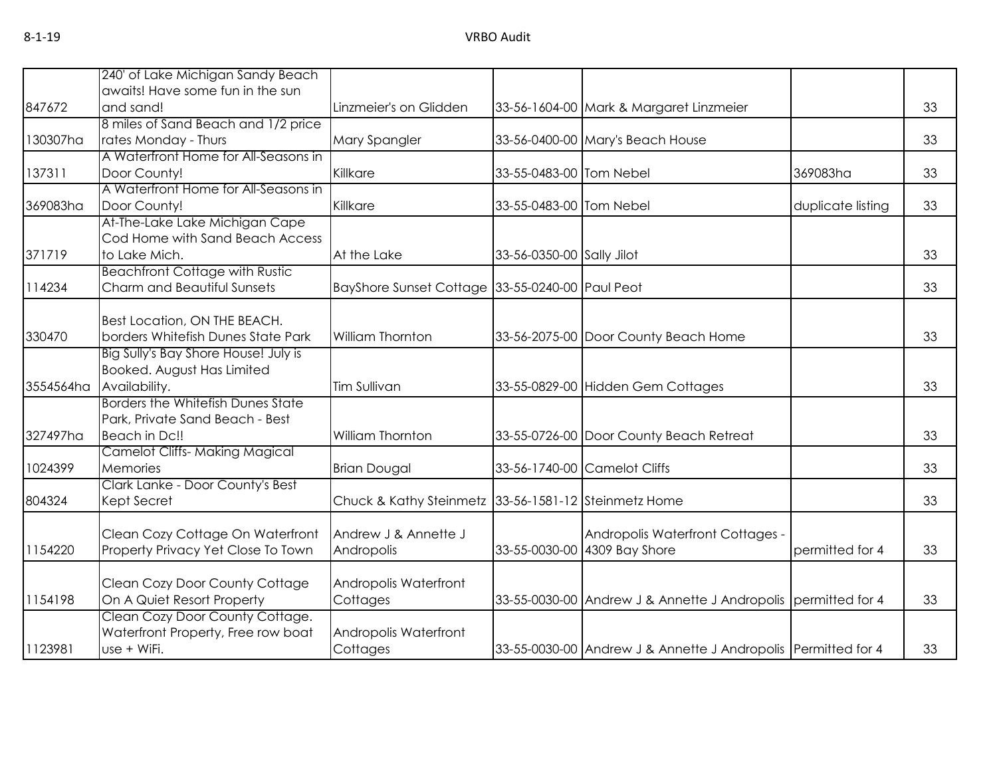|           | 240' of Lake Michigan Sandy Beach     |                                                      |                           |                                                               |                   |    |
|-----------|---------------------------------------|------------------------------------------------------|---------------------------|---------------------------------------------------------------|-------------------|----|
|           | awaits! Have some fun in the sun      |                                                      |                           |                                                               |                   |    |
| 847672    | and sand!                             | Linzmeier's on Glidden                               |                           | 33-56-1604-00 Mark & Margaret Linzmeier                       |                   | 33 |
|           | 8 miles of Sand Beach and 1/2 price   |                                                      |                           |                                                               |                   |    |
| 130307ha  | rates Monday - Thurs                  | Mary Spangler                                        |                           | 33-56-0400-00 Mary's Beach House                              |                   | 33 |
|           | A Waterfront Home for All-Seasons in  |                                                      |                           |                                                               |                   |    |
| 137311    | Door County!                          | Killkare                                             | 33-55-0483-00 Tom Nebel   |                                                               | 369083ha          | 33 |
|           | A Waterfront Home for All-Seasons in  |                                                      |                           |                                                               |                   |    |
| 369083ha  | Door County!                          | Killkare                                             | 33-55-0483-00 Tom Nebel   |                                                               | duplicate listing | 33 |
|           | At-The-Lake Lake Michigan Cape        |                                                      |                           |                                                               |                   |    |
|           | Cod Home with Sand Beach Access       |                                                      |                           |                                                               |                   |    |
| 371719    | to Lake Mich.                         | At the Lake                                          | 33-56-0350-00 Sally Jilot |                                                               |                   | 33 |
|           | <b>Beachfront Cottage with Rustic</b> |                                                      |                           |                                                               |                   |    |
| 114234    | Charm and Beautiful Sunsets           | BayShore Sunset Cottage 33-55-0240-00 Paul Peot      |                           |                                                               |                   | 33 |
|           |                                       |                                                      |                           |                                                               |                   |    |
|           | Best Location, ON THE BEACH.          |                                                      |                           |                                                               |                   |    |
| 330470    | borders Whitefish Dunes State Park    | William Thornton                                     |                           | 33-56-2075-00 Door County Beach Home                          |                   | 33 |
|           | Big Sully's Bay Shore House! July is  |                                                      |                           |                                                               |                   |    |
|           | Booked. August Has Limited            |                                                      |                           |                                                               |                   |    |
| 3554564ha | Availability.                         | Tim Sullivan                                         |                           | 33-55-0829-00 Hidden Gem Cottages                             |                   | 33 |
|           | Borders the Whitefish Dunes State     |                                                      |                           |                                                               |                   |    |
|           | Park, Private Sand Beach - Best       |                                                      |                           |                                                               |                   |    |
| 327497ha  | Beach in Dc!!                         | William Thornton                                     |                           | 33-55-0726-00 Door County Beach Retreat                       |                   | 33 |
|           | <b>Camelot Cliffs-Making Magical</b>  |                                                      |                           |                                                               |                   |    |
| 1024399   | Memories                              | <b>Brian Dougal</b>                                  |                           | 33-56-1740-00 Camelot Cliffs                                  |                   | 33 |
|           | Clark Lanke - Door County's Best      |                                                      |                           |                                                               |                   |    |
| 804324    | Kept Secret                           | Chuck & Kathy Steinmetz 33-56-1581-12 Steinmetz Home |                           |                                                               |                   | 33 |
|           |                                       |                                                      |                           |                                                               |                   |    |
|           | Clean Cozy Cottage On Waterfront      | Andrew J & Annette J                                 |                           | Andropolis Waterfront Cottages -                              |                   |    |
| 1154220   | Property Privacy Yet Close To Town    | Andropolis                                           |                           | 33-55-0030-00 4309 Bay Shore                                  | permitted for 4   | 33 |
|           |                                       |                                                      |                           |                                                               |                   |    |
|           | Clean Cozy Door County Cottage        | Andropolis Waterfront                                |                           |                                                               |                   |    |
| 1154198   | On A Quiet Resort Property            | Cottages                                             |                           | 33-55-0030-00 Andrew J & Annette J Andropolis permitted for 4 |                   | 33 |
|           | Clean Cozy Door County Cottage.       |                                                      |                           |                                                               |                   |    |
|           | Waterfront Property, Free row boat    | Andropolis Waterfront                                |                           |                                                               |                   |    |
| 1123981   | use + WiFi.                           | Cottages                                             |                           | 33-55-0030-00 Andrew J & Annette J Andropolis Permitted for 4 |                   | 33 |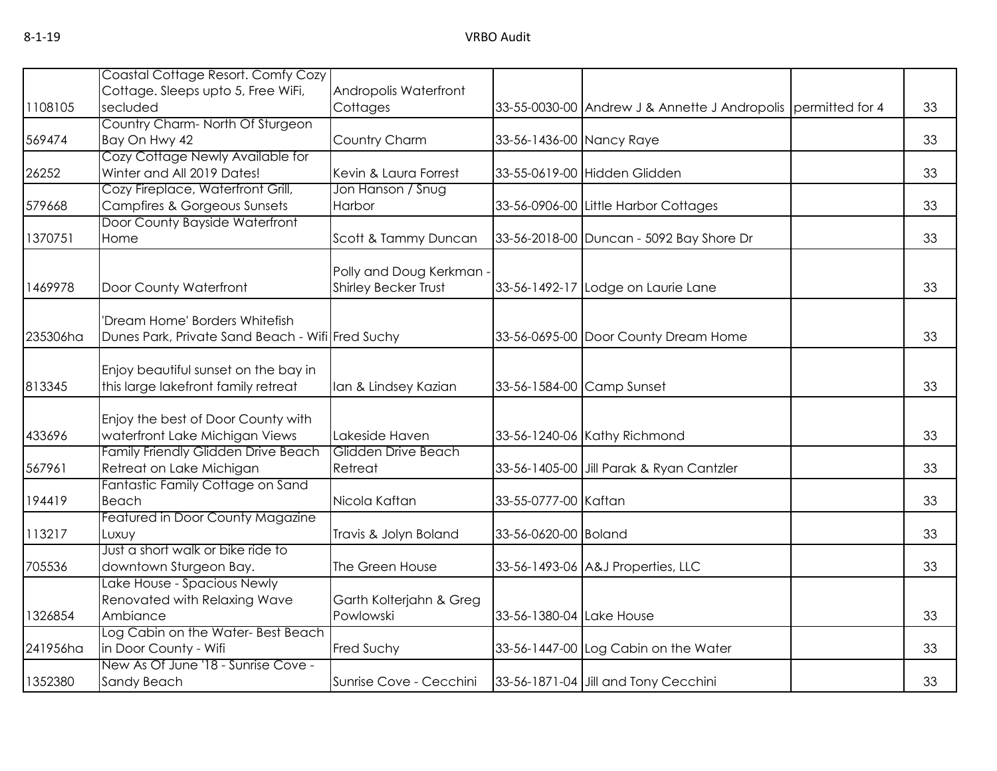|          | Coastal Cottage Resort. Comfy Cozy               |                             |                          |                                                               |    |
|----------|--------------------------------------------------|-----------------------------|--------------------------|---------------------------------------------------------------|----|
|          | Cottage. Sleeps upto 5, Free WiFi,               | Andropolis Waterfront       |                          |                                                               |    |
| 1108105  | secluded                                         | Cottages                    |                          | 33-55-0030-00 Andrew J & Annette J Andropolis permitted for 4 | 33 |
|          | Country Charm-North Of Sturgeon                  |                             |                          |                                                               |    |
| 569474   | Bay On Hwy 42                                    | Country Charm               | 33-56-1436-00 Nancy Raye |                                                               | 33 |
|          | Cozy Cottage Newly Available for                 |                             |                          |                                                               |    |
| 26252    | Winter and All 2019 Dates!                       | Kevin & Laura Forrest       |                          | 33-55-0619-00 Hidden Glidden                                  | 33 |
|          | Cozy Fireplace, Waterfront Grill,                | Jon Hanson / Snug           |                          |                                                               |    |
| 579668   | <b>Campfires &amp; Gorgeous Sunsets</b>          | Harbor                      |                          | 33-56-0906-00 Little Harbor Cottages                          | 33 |
|          | Door County Bayside Waterfront                   |                             |                          |                                                               |    |
| 1370751  | Home                                             | Scott & Tammy Duncan        |                          | 33-56-2018-00 Duncan - 5092 Bay Shore Dr                      | 33 |
|          |                                                  |                             |                          |                                                               |    |
|          |                                                  | Polly and Doug Kerkman      |                          |                                                               |    |
| 1469978  | Door County Waterfront                           | <b>Shirley Becker Trust</b> |                          | 33-56-1492-17 Lodge on Laurie Lane                            | 33 |
|          | 'Dream Home' Borders Whitefish                   |                             |                          |                                                               |    |
| 235306ha | Dunes Park, Private Sand Beach - Wifi Fred Suchy |                             |                          | 33-56-0695-00 Door County Dream Home                          | 33 |
|          |                                                  |                             |                          |                                                               |    |
|          | Enjoy beautiful sunset on the bay in             |                             |                          |                                                               |    |
| 813345   | this large lakefront family retreat              | Ian & Lindsey Kazian        |                          | 33-56-1584-00 Camp Sunset                                     | 33 |
|          |                                                  |                             |                          |                                                               |    |
|          | Enjoy the best of Door County with               |                             |                          |                                                               |    |
| 433696   | waterfront Lake Michigan Views                   | Lakeside Haven              |                          | 33-56-1240-06 Kathy Richmond                                  | 33 |
|          | Family Friendly Glidden Drive Beach              | Glidden Drive Beach         |                          |                                                               |    |
| 567961   | Retreat on Lake Michigan                         | Retreat                     |                          | 33-56-1405-00 Jill Parak & Ryan Cantzler                      | 33 |
|          | Fantastic Family Cottage on Sand                 |                             |                          |                                                               |    |
| 194419   | Beach                                            | Nicola Kaftan               | 33-55-0777-00 Kaftan     |                                                               | 33 |
|          | Featured in Door County Magazine                 |                             |                          |                                                               |    |
| 113217   | Luxuy                                            | Travis & Jolyn Boland       | 33-56-0620-00 Boland     |                                                               | 33 |
|          | Just a short walk or bike ride to                |                             |                          |                                                               |    |
| 705536   | downtown Sturgeon Bay.                           | The Green House             |                          | 33-56-1493-06 A&J Properties, LLC                             | 33 |
|          | Lake House - Spacious Newly                      |                             |                          |                                                               |    |
|          | Renovated with Relaxing Wave                     | Garth Kolterjahn & Greg     |                          |                                                               |    |
| 1326854  | Ambiance                                         | Powlowski                   | 33-56-1380-04 Lake House |                                                               | 33 |
|          | Log Cabin on the Water- Best Beach               |                             |                          |                                                               |    |
| 241956ha | in Door County - Wifi                            | Fred Suchy                  |                          | 33-56-1447-00 Log Cabin on the Water                          | 33 |
|          | New As Of June '18 - Sunrise Cove -              |                             |                          |                                                               |    |
| 1352380  | Sandy Beach                                      | Sunrise Cove - Cecchini     |                          | 33-56-1871-04 Jill and Tony Cecchini                          | 33 |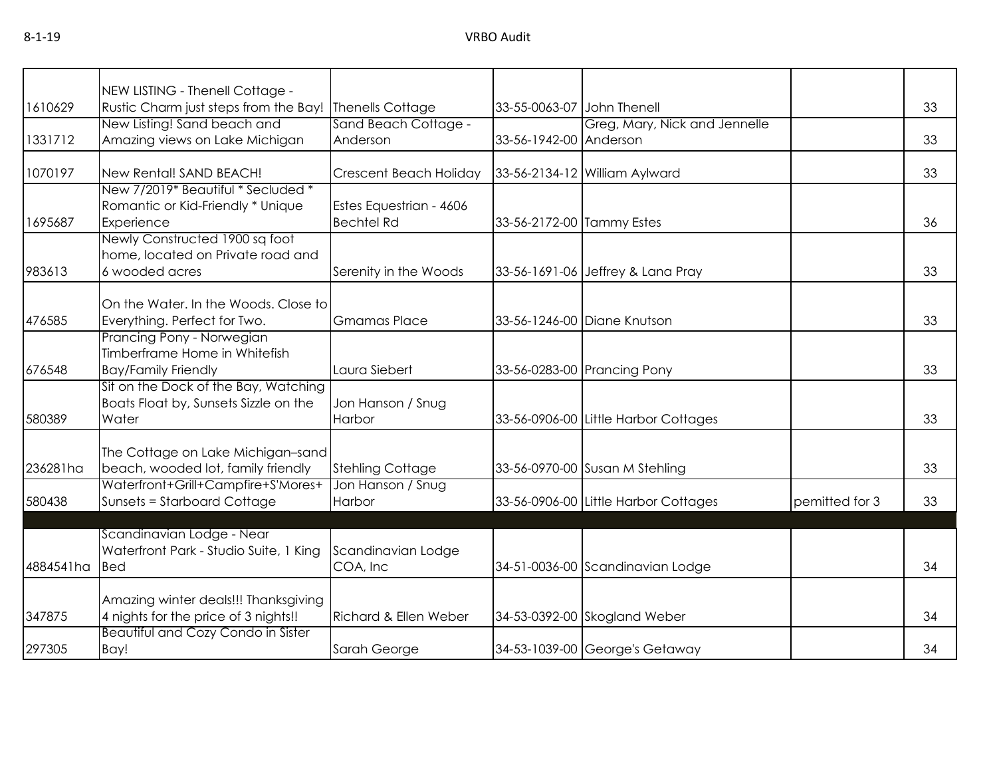| 1610629   | NEW LISTING - Thenell Cottage -<br>Rustic Charm just steps from the Bay! | Thenells Cottage        | 33-55-0063-07 John Thenell |                                      |                | 33 |
|-----------|--------------------------------------------------------------------------|-------------------------|----------------------------|--------------------------------------|----------------|----|
|           | New Listing! Sand beach and                                              | Sand Beach Cottage -    |                            | Greg, Mary, Nick and Jennelle        |                |    |
| 1331712   | Amazing views on Lake Michigan                                           | Anderson                | 33-56-1942-00 Anderson     |                                      |                | 33 |
|           |                                                                          |                         |                            |                                      |                |    |
| 1070197   | New Rental! SAND BEACH!                                                  | Crescent Beach Holiday  |                            | 33-56-2134-12 William Aylward        |                | 33 |
|           | New 7/2019* Beautiful * Secluded *                                       |                         |                            |                                      |                |    |
|           | Romantic or Kid-Friendly * Unique                                        | Estes Equestrian - 4606 |                            |                                      |                |    |
| 1695687   | Experience                                                               | <b>Bechtel Rd</b>       | 33-56-2172-00 Tammy Estes  |                                      |                | 36 |
|           | Newly Constructed 1900 sq foot                                           |                         |                            |                                      |                |    |
|           | home, located on Private road and                                        |                         |                            |                                      |                |    |
| 983613    | 6 wooded acres                                                           | Serenity in the Woods   |                            | 33-56-1691-06 Jeffrey & Lana Pray    |                | 33 |
|           | On the Water, In the Woods, Close to                                     |                         |                            |                                      |                |    |
| 476585    | Everything. Perfect for Two.                                             | <b>Gmamas Place</b>     |                            | 33-56-1246-00 Diane Knutson          |                | 33 |
|           | Prancing Pony - Norwegian                                                |                         |                            |                                      |                |    |
|           | Timberframe Home in Whitefish                                            |                         |                            |                                      |                |    |
| 676548    | <b>Bay/Family Friendly</b>                                               | Laura Siebert           |                            | 33-56-0283-00 Prancing Pony          |                | 33 |
|           | Sit on the Dock of the Bay, Watching                                     |                         |                            |                                      |                |    |
|           | Boats Float by, Sunsets Sizzle on the                                    | Jon Hanson / Snug       |                            |                                      |                |    |
| 580389    | Water                                                                    | Harbor                  |                            | 33-56-0906-00 Little Harbor Cottages |                | 33 |
|           |                                                                          |                         |                            |                                      |                |    |
|           | The Cottage on Lake Michigan-sand                                        |                         |                            |                                      |                |    |
| 236281ha  | beach, wooded lot, family friendly                                       | <b>Stehling Cottage</b> |                            | 33-56-0970-00 Susan M Stehling       |                | 33 |
|           | Waterfront+Grill+Campfire+S'Mores+                                       | Jon Hanson / Snug       |                            |                                      |                |    |
| 580438    | <b>Sunsets = Starboard Cottage</b>                                       | Harbor                  |                            | 33-56-0906-00 Little Harbor Cottages | pemitted for 3 | 33 |
|           | Scandinavian Lodge - Near                                                |                         |                            |                                      |                |    |
|           | Waterfront Park - Studio Suite, 1 King                                   | Scandinavian Lodge      |                            |                                      |                |    |
| 4884541ha | <b>Bed</b>                                                               | COA, Inc                |                            | 34-51-0036-00 Scandinavian Lodge     |                | 34 |
|           |                                                                          |                         |                            |                                      |                |    |
|           | Amazing winter deals!!! Thanksgiving                                     |                         |                            |                                      |                |    |
| 347875    | 4 nights for the price of 3 nights!!                                     | Richard & Ellen Weber   |                            | 34-53-0392-00 Skogland Weber         |                | 34 |
|           | <b>Beautiful and Cozy Condo in Sister</b>                                |                         |                            |                                      |                |    |
| 297305    | Bay!                                                                     | Sarah George            |                            | 34-53-1039-00 George's Getaway       |                | 34 |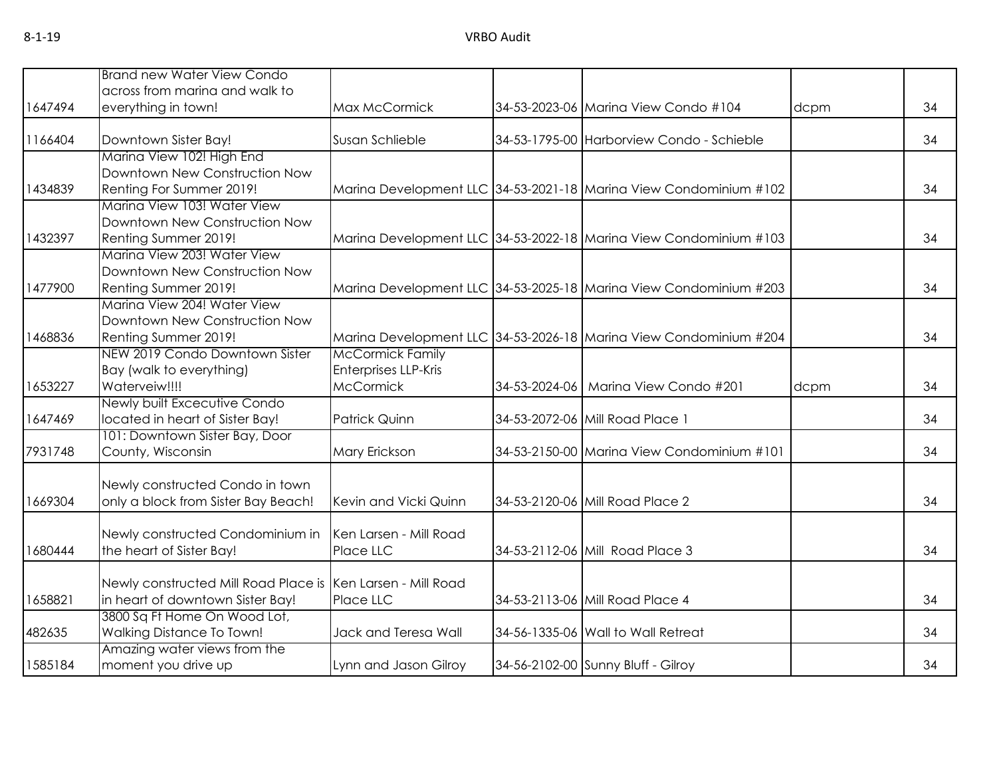|         | <b>Brand new Water View Condo</b>                           |                         |                                                                   |      |    |
|---------|-------------------------------------------------------------|-------------------------|-------------------------------------------------------------------|------|----|
|         | across from marina and walk to                              |                         |                                                                   |      |    |
| 1647494 | everything in town!                                         | Max McCormick           | 34-53-2023-06 Marina View Condo #104                              | dcpm | 34 |
| 1166404 | Downtown Sister Bay!                                        | Susan Schlieble         | 34-53-1795-00 Harborview Condo - Schieble                         |      | 34 |
|         | Marina View 102! High End                                   |                         |                                                                   |      |    |
|         | Downtown New Construction Now                               |                         |                                                                   |      |    |
| 1434839 | Renting For Summer 2019!                                    |                         | Marina Development LLC 34-53-2021-18 Marina View Condominium #102 |      | 34 |
|         | Marina View 103! Water View                                 |                         |                                                                   |      |    |
|         | Downtown New Construction Now                               |                         |                                                                   |      |    |
| 1432397 | Renting Summer 2019!                                        |                         | Marina Development LLC 34-53-2022-18 Marina View Condominium #103 |      | 34 |
|         | Marina View 203! Water View                                 |                         |                                                                   |      |    |
|         | Downtown New Construction Now                               |                         |                                                                   |      |    |
| 1477900 | Renting Summer 2019!                                        |                         | Marina Development LLC 34-53-2025-18 Marina View Condominium #203 |      | 34 |
|         | Marina View 204! Water View                                 |                         |                                                                   |      |    |
|         | Downtown New Construction Now                               |                         |                                                                   |      |    |
| 1468836 | Renting Summer 2019!                                        |                         | Marina Development LLC 34-53-2026-18 Marina View Condominium #204 |      | 34 |
|         | NEW 2019 Condo Downtown Sister                              | <b>McCormick Family</b> |                                                                   |      |    |
|         | Bay (walk to everything)                                    | Enterprises LLP-Kris    |                                                                   |      |    |
| 1653227 | Waterveiw!!!!<br>Newly built Excecutive Condo               | <b>McCormick</b>        | 34-53-2024-06   Marina View Condo #201                            | dcpm | 34 |
| 1647469 | located in heart of Sister Bay!                             | <b>Patrick Quinn</b>    | 34-53-2072-06 Mill Road Place 1                                   |      | 34 |
|         | 101: Downtown Sister Bay, Door                              |                         |                                                                   |      |    |
| 7931748 | County, Wisconsin                                           | Mary Erickson           | 34-53-2150-00 Marina View Condominium #101                        |      | 34 |
|         |                                                             |                         |                                                                   |      |    |
|         | Newly constructed Condo in town                             |                         |                                                                   |      |    |
| 1669304 | only a block from Sister Bay Beach!                         | Kevin and Vicki Quinn   | 34-53-2120-06 Mill Road Place 2                                   |      | 34 |
|         |                                                             |                         |                                                                   |      |    |
|         | Newly constructed Condominium in                            | Ken Larsen - Mill Road  |                                                                   |      |    |
| 1680444 | the heart of Sister Bay!                                    | Place LLC               | 34-53-2112-06 Mill Road Place 3                                   |      | 34 |
|         |                                                             |                         |                                                                   |      |    |
|         | Newly constructed Mill Road Place is Ken Larsen - Mill Road |                         |                                                                   |      |    |
| 1658821 | in heart of downtown Sister Bay!                            | Place LLC               | 34-53-2113-06 Mill Road Place 4                                   |      | 34 |
|         | 3800 Sq Ft Home On Wood Lot,                                |                         |                                                                   |      |    |
| 482635  | Walking Distance To Town!                                   | Jack and Teresa Wall    | 34-56-1335-06 Wall to Wall Retreat                                |      | 34 |
|         | Amazing water views from the                                |                         |                                                                   |      |    |
| 1585184 | moment you drive up                                         | Lynn and Jason Gilroy   | 34-56-2102-00 Sunny Bluff - Gilroy                                |      | 34 |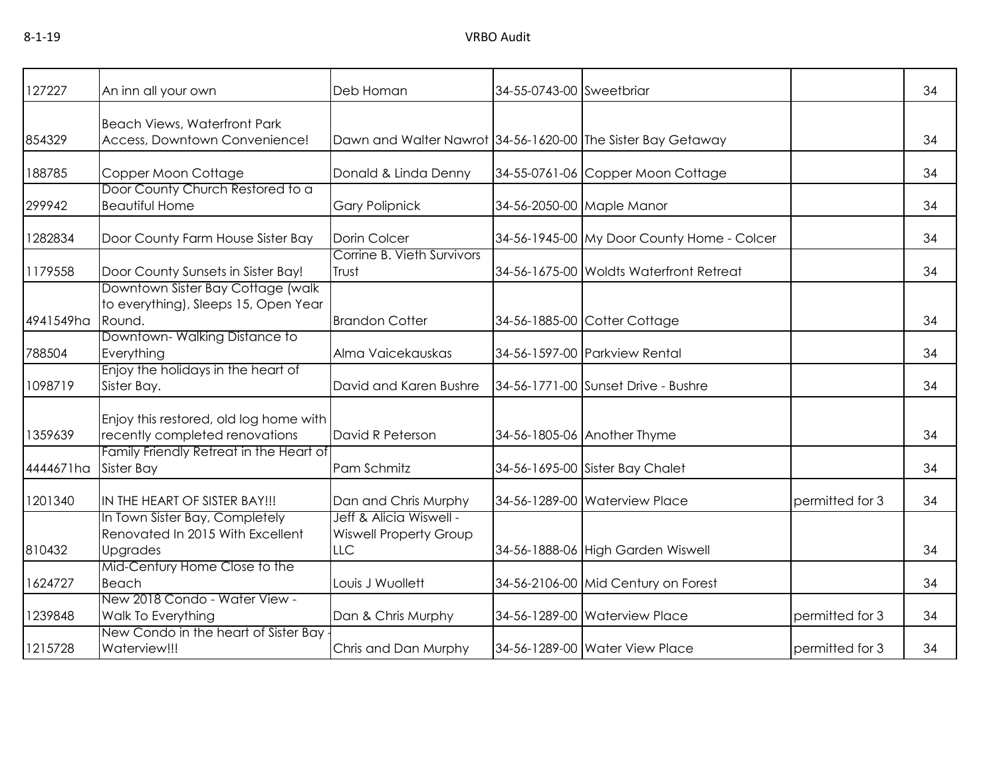| 127227    | An inn all your own                                                                   | Deb Homan                                                              | 34-55-0743-00 Sweetbriar |                                            |                 | 34 |
|-----------|---------------------------------------------------------------------------------------|------------------------------------------------------------------------|--------------------------|--------------------------------------------|-----------------|----|
| 854329    | <b>Beach Views, Waterfront Park</b><br>Access, Downtown Convenience!                  | Dawn and Walter Nawrot 34-56-1620-00 The Sister Bay Getaway            |                          |                                            |                 | 34 |
| 188785    | Copper Moon Cottage                                                                   | Donald & Linda Denny                                                   |                          | 34-55-0761-06 Copper Moon Cottage          |                 | 34 |
| 299942    | Door County Church Restored to a<br><b>Beautiful Home</b>                             | <b>Gary Polipnick</b>                                                  |                          | 34-56-2050-00 Maple Manor                  |                 | 34 |
| 1282834   | Door County Farm House Sister Bay                                                     | Dorin Colcer                                                           |                          | 34-56-1945-00 My Door County Home - Colcer |                 | 34 |
| 1179558   | Door County Sunsets in Sister Bay!                                                    | Corrine B. Vieth Survivors<br>Trust                                    |                          | 34-56-1675-00 Woldts Waterfront Retreat    |                 | 34 |
| 4941549ha | Downtown Sister Bay Cottage (walk<br>to everything), Sleeps 15, Open Year<br>Round.   | <b>Brandon Cotter</b>                                                  |                          | 34-56-1885-00 Cotter Cottage               |                 | 34 |
| 788504    | Downtown-Walking Distance to<br>Everything                                            | Alma Vaicekauskas                                                      |                          | 34-56-1597-00 Parkview Rental              |                 | 34 |
| 1098719   | Enjoy the holidays in the heart of<br>Sister Bay.                                     | David and Karen Bushre                                                 |                          | 34-56-1771-00 Sunset Drive - Bushre        |                 | 34 |
| 1359639   | Enjoy this restored, old log home with<br>recently completed renovations              | David R Peterson                                                       |                          | 34-56-1805-06 Another Thyme                |                 | 34 |
| 4444671ha | Family Friendly Retreat in the Heart of<br><b>Sister Bay</b>                          | Pam Schmitz                                                            |                          | 34-56-1695-00 Sister Bay Chalet            |                 | 34 |
| 1201340   | IN THE HEART OF SISTER BAY!!!                                                         | Dan and Chris Murphy                                                   |                          | 34-56-1289-00 Waterview Place              | permitted for 3 | 34 |
| 810432    | In Town Sister Bay, Completely<br>Renovated In 2015 With Excellent<br><b>Upgrades</b> | Jeff & Alicia Wiswell -<br><b>Wiswell Property Group</b><br><b>LLC</b> |                          | 34-56-1888-06 High Garden Wiswell          |                 | 34 |
| 1624727   | Mid-Century Home Close to the<br><b>Beach</b>                                         | Louis J Wuollett                                                       |                          | 34-56-2106-00 Mid Century on Forest        |                 | 34 |
| 1239848   | New 2018 Condo - Water View -<br>Walk To Everything                                   | Dan & Chris Murphy                                                     |                          | 34-56-1289-00 Waterview Place              | permitted for 3 | 34 |
| 1215728   | New Condo in the heart of Sister Bay<br>Waterview!!!                                  | Chris and Dan Murphy                                                   |                          | 34-56-1289-00 Water View Place             | permitted for 3 | 34 |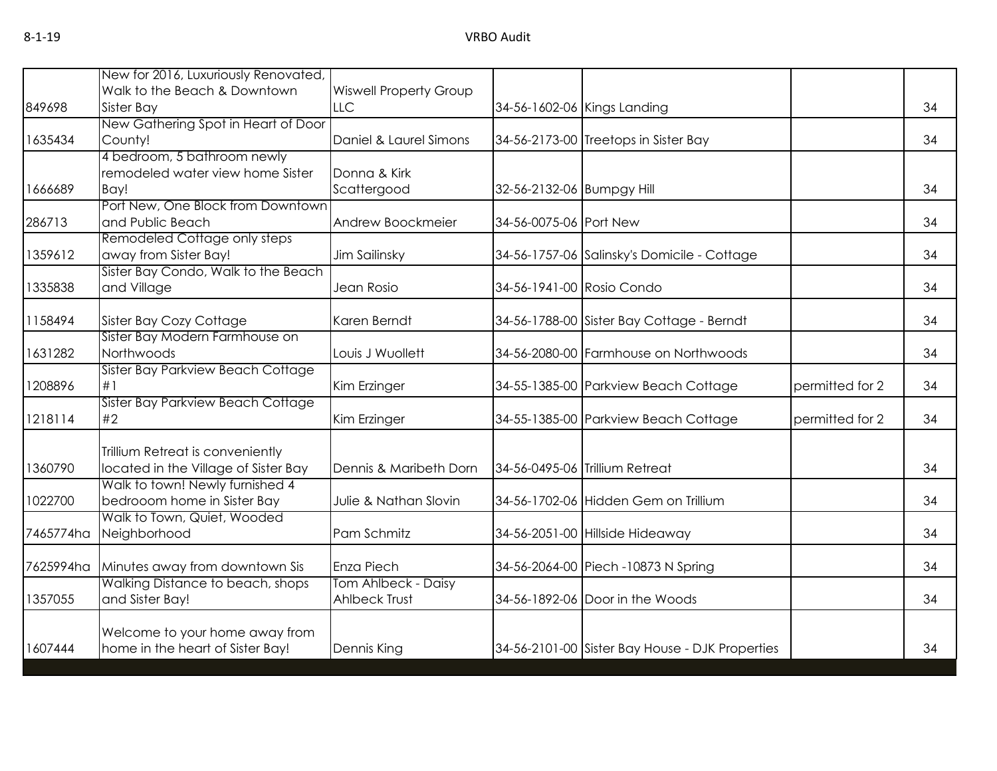|           | New for 2016, Luxuriously Renovated, |                               |                           |                                                 |                 |    |
|-----------|--------------------------------------|-------------------------------|---------------------------|-------------------------------------------------|-----------------|----|
|           | Walk to the Beach & Downtown         | <b>Wiswell Property Group</b> |                           |                                                 |                 |    |
| 849698    | Sister Bay                           | <b>LLC</b>                    |                           | 34-56-1602-06 Kings Landing                     |                 | 34 |
|           | New Gathering Spot in Heart of Door  |                               |                           |                                                 |                 |    |
| 1635434   | County!                              | Daniel & Laurel Simons        |                           | 34-56-2173-00 Treetops in Sister Bay            |                 | 34 |
|           | 4 bedroom, 5 bathroom newly          |                               |                           |                                                 |                 |    |
|           | remodeled water view home Sister     | Donna & Kirk                  |                           |                                                 |                 |    |
| 1666689   | Bay!                                 | Scattergood                   | 32-56-2132-06 Bumpgy Hill |                                                 |                 | 34 |
|           | Port New, One Block from Downtown    |                               |                           |                                                 |                 |    |
| 286713    | and Public Beach                     | Andrew Boockmeier             | 34-56-0075-06 Port New    |                                                 |                 | 34 |
|           | Remodeled Cottage only steps         |                               |                           |                                                 |                 |    |
| 1359612   | away from Sister Bay!                | Jim Sailinsky                 |                           | 34-56-1757-06 Salinsky's Domicile - Cottage     |                 | 34 |
|           | Sister Bay Condo, Walk to the Beach  |                               |                           |                                                 |                 |    |
| 1335838   | and Village                          | Jean Rosio                    | 34-56-1941-00 Rosio Condo |                                                 |                 | 34 |
| 1158494   | Sister Bay Cozy Cottage              | Karen Berndt                  |                           | 34-56-1788-00 Sister Bay Cottage - Berndt       |                 | 34 |
|           | Sister Bay Modern Farmhouse on       |                               |                           |                                                 |                 |    |
| 1631282   | Northwoods                           | Louis J Wuollett              |                           | 34-56-2080-00 Farmhouse on Northwoods           |                 | 34 |
|           | Sister Bay Parkview Beach Cottage    |                               |                           |                                                 |                 |    |
| 1208896   | #1                                   | Kim Erzinger                  |                           | 34-55-1385-00 Parkview Beach Cottage            | permitted for 2 | 34 |
|           | Sister Bay Parkview Beach Cottage    |                               |                           |                                                 |                 |    |
| 1218114   | #2                                   | Kim Erzinger                  |                           | 34-55-1385-00 Parkview Beach Cottage            | permitted for 2 | 34 |
|           | Trillium Retreat is conveniently     |                               |                           |                                                 |                 |    |
| 1360790   | located in the Village of Sister Bay | Dennis & Maribeth Dorn        |                           | 34-56-0495-06 Trillium Retreat                  |                 | 34 |
|           | Walk to town! Newly furnished 4      |                               |                           |                                                 |                 |    |
| 1022700   | bedrooom home in Sister Bay          | Julie & Nathan Slovin         |                           | 34-56-1702-06 Hidden Gem on Trillium            |                 | 34 |
|           | Walk to Town, Quiet, Wooded          |                               |                           |                                                 |                 |    |
| 7465774ha | Neighborhood                         | Pam Schmitz                   |                           | 34-56-2051-00 Hillside Hideaway                 |                 | 34 |
| 7625994ha | Minutes away from downtown Sis       | Enza Piech                    |                           | 34-56-2064-00 Piech -10873 N Spring             |                 | 34 |
|           | Walking Distance to beach, shops     | Tom Ahlbeck - Daisy           |                           |                                                 |                 |    |
| 1357055   | and Sister Bay!                      | Ahlbeck Trust                 |                           | 34-56-1892-06 Door in the Woods                 |                 | 34 |
|           |                                      |                               |                           |                                                 |                 |    |
|           | Welcome to your home away from       |                               |                           |                                                 |                 |    |
| 1607444   | home in the heart of Sister Bay!     | Dennis King                   |                           | 34-56-2101-00 Sister Bay House - DJK Properties |                 | 34 |
|           |                                      |                               |                           |                                                 |                 |    |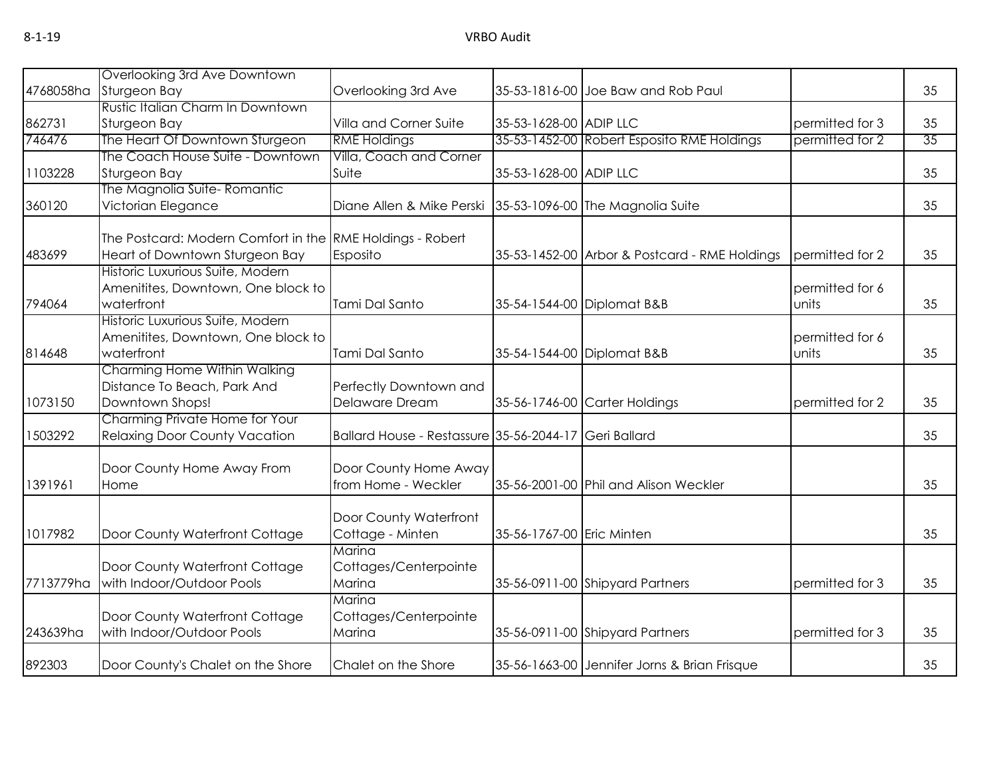|           | Overlooking 3rd Ave Downtown                                           |                                                       |                           |                                               |                          |                 |
|-----------|------------------------------------------------------------------------|-------------------------------------------------------|---------------------------|-----------------------------------------------|--------------------------|-----------------|
| 4768058ha | Sturgeon Bay                                                           | Overlooking 3rd Ave                                   |                           | 35-53-1816-00 Joe Baw and Rob Paul            |                          | 35              |
|           | Rustic Italian Charm In Downtown                                       |                                                       |                           |                                               |                          |                 |
| 862731    | Sturgeon Bay                                                           | Villa and Corner Suite                                | 35-53-1628-00 ADIP LLC    |                                               | permitted for 3          | 35              |
| 746476    | The Heart Of Downtown Sturgeon                                         | <b>RME Holdings</b>                                   |                           | 35-53-1452-00 Robert Esposito RME Holdings    | permitted for 2          | $\overline{35}$ |
|           | The Coach House Suite - Downtown                                       | Villa, Coach and Corner                               |                           |                                               |                          |                 |
| 1103228   | Sturgeon Bay                                                           | Suite                                                 | 35-53-1628-00 ADIP LLC    |                                               |                          | 35              |
|           | The Magnolia Suite-Romantic                                            |                                                       |                           |                                               |                          |                 |
| 360120    | Victorian Elegance                                                     | Diane Allen & Mike Perski                             |                           | 35-53-1096-00 The Magnolia Suite              |                          | 35              |
|           | The Postcard: Modern Comfort in the RME Holdings - Robert              |                                                       |                           |                                               |                          |                 |
| 483699    | Heart of Downtown Sturgeon Bay                                         | Esposito                                              |                           | 35-53-1452-00 Arbor & Postcard - RME Holdings | permitted for 2          | 35              |
|           | Historic Luxurious Suite, Modern<br>Amenitites, Downtown, One block to |                                                       |                           |                                               |                          |                 |
| 794064    | waterfront                                                             | Tami Dal Santo                                        |                           | 35-54-1544-00 Diplomat B&B                    | permitted for 6<br>units | 35              |
|           | Historic Luxurious Suite, Modern                                       |                                                       |                           |                                               |                          |                 |
|           | Amenitites, Downtown, One block to                                     |                                                       |                           |                                               | permitted for 6          |                 |
| 814648    | waterfront                                                             | Tami Dal Santo                                        |                           | 35-54-1544-00 Diplomat B&B                    | units                    | 35              |
|           | Charming Home Within Walking                                           |                                                       |                           |                                               |                          |                 |
|           | Distance To Beach, Park And                                            | Perfectly Downtown and                                |                           |                                               |                          |                 |
| 1073150   | Downtown Shops!                                                        | Delaware Dream                                        |                           | 35-56-1746-00 Carter Holdings                 | permitted for 2          | 35              |
|           | Charming Private Home for Your                                         |                                                       |                           |                                               |                          |                 |
| 1503292   | <b>Relaxing Door County Vacation</b>                                   | Ballard House - Restassure 35-56-2044-17 Geri Ballard |                           |                                               |                          | 35              |
|           | Door County Home Away From                                             | Door County Home Away                                 |                           |                                               |                          |                 |
| 1391961   | Home                                                                   | from Home - Weckler                                   |                           | 35-56-2001-00 Phil and Alison Weckler         |                          | 35              |
|           |                                                                        | Door County Waterfront                                |                           |                                               |                          |                 |
| 1017982   | Door County Waterfront Cottage                                         | Cottage - Minten                                      | 35-56-1767-00 Eric Minten |                                               |                          | 35              |
|           |                                                                        | Marina                                                |                           |                                               |                          |                 |
|           | Door County Waterfront Cottage                                         | Cottages/Centerpointe                                 |                           |                                               |                          |                 |
| 7713779ha | with Indoor/Outdoor Pools                                              | Marina                                                |                           | 35-56-0911-00 Shipyard Partners               | permitted for 3          | 35              |
|           |                                                                        | Marina                                                |                           |                                               |                          |                 |
|           | Door County Waterfront Cottage                                         | Cottages/Centerpointe                                 |                           |                                               |                          |                 |
| 243639ha  | with Indoor/Outdoor Pools                                              | Marina                                                |                           | 35-56-0911-00 Shipyard Partners               | permitted for 3          | 35              |
| 892303    | Door County's Chalet on the Shore                                      | Chalet on the Shore                                   |                           | 35-56-1663-00 Jennifer Jorns & Brian Frisque  |                          | 35              |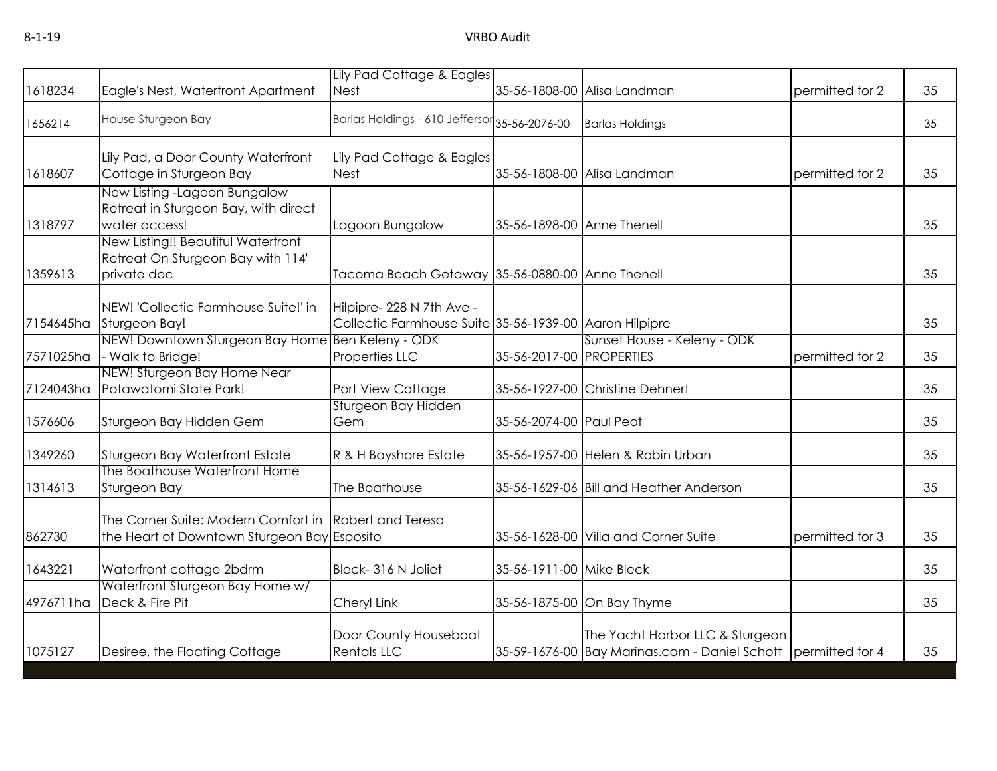|           |                                                                                        | Lily Pad Cottage & Eagles                                                           |                            |                                                                                                  |                 |    |
|-----------|----------------------------------------------------------------------------------------|-------------------------------------------------------------------------------------|----------------------------|--------------------------------------------------------------------------------------------------|-----------------|----|
| 1618234   | Eagle's Nest, Waterfront Apartment                                                     | <b>Nest</b>                                                                         |                            | 35-56-1808-00 Alisa Landman                                                                      | permitted for 2 | 35 |
| 1656214   | House Sturgeon Bay                                                                     | Barlas Holdings - 610 Jeffersor 35-56-2076-00                                       |                            | <b>Barlas Holdings</b>                                                                           |                 | 35 |
| 1618607   | Lily Pad, a Door County Waterfront<br>Cottage in Sturgeon Bay                          | Lily Pad Cottage & Eagles<br><b>Nest</b>                                            |                            | 35-56-1808-00 Alisa Landman                                                                      | permitted for 2 | 35 |
| 1318797   | New Listing -Lagoon Bungalow<br>Retreat in Sturgeon Bay, with direct<br>water access!  | Lagoon Bungalow                                                                     | 35-56-1898-00 Anne Thenell |                                                                                                  |                 | 35 |
| 1359613   | New Listing!! Beautiful Waterfront<br>Retreat On Sturgeon Bay with 114'<br>private doc | Tacoma Beach Getaway 35-56-0880-00 Anne Thenell                                     |                            |                                                                                                  |                 | 35 |
| 7154645ha | NEW! 'Collectic Farmhouse Suite!' in<br>Sturgeon Bay!                                  | Hilpipre- 228 N 7th Ave -<br>Collectic Farmhouse Suite 35-56-1939-00 Aaron Hilpipre |                            |                                                                                                  |                 | 35 |
| 7571025ha | NEW! Downtown Sturgeon Bay Home Ben Keleny - ODK<br>- Walk to Bridge!                  | Properties LLC                                                                      | 35-56-2017-00 PROPERTIES   | Sunset House - Keleny - ODK                                                                      | permitted for 2 | 35 |
| 7124043ha | NEW! Sturgeon Bay Home Near<br>Potawatomi State Park!                                  | Port View Cottage                                                                   |                            | 35-56-1927-00 Christine Dehnert                                                                  |                 | 35 |
| 1576606   | Sturgeon Bay Hidden Gem                                                                | Sturgeon Bay Hidden<br>Gem                                                          | 35-56-2074-00 Paul Peot    |                                                                                                  |                 | 35 |
| 1349260   | Sturgeon Bay Waterfront Estate                                                         | R & H Bayshore Estate                                                               |                            | 35-56-1957-00 Helen & Robin Urban                                                                |                 | 35 |
| 1314613   | The Boathouse Waterfront Home<br>Sturgeon Bay                                          | The Boathouse                                                                       |                            | 35-56-1629-06 Bill and Heather Anderson                                                          |                 | 35 |
| 862730    | The Corner Suite: Modern Comfort in<br>the Heart of Downtown Sturgeon Bay Esposito     | <b>Robert and Teresa</b>                                                            |                            | 35-56-1628-00 Villa and Corner Suite                                                             | permitted for 3 | 35 |
| 1643221   | Waterfront cottage 2bdrm                                                               | Bleck-316 N Joliet                                                                  | 35-56-1911-00 Mike Bleck   |                                                                                                  |                 | 35 |
| 4976711ha | Waterfront Sturgeon Bay Home w/<br>Deck & Fire Pit                                     | Cheryl Link                                                                         |                            | 35-56-1875-00 On Bay Thyme                                                                       |                 | 35 |
| 1075127   | Desiree, the Floating Cottage                                                          | Door County Houseboat<br><b>Rentals LLC</b>                                         |                            | The Yacht Harbor LLC & Sturgeon<br>35-59-1676-00 Bay Marinas.com - Daniel Schott permitted for 4 |                 | 35 |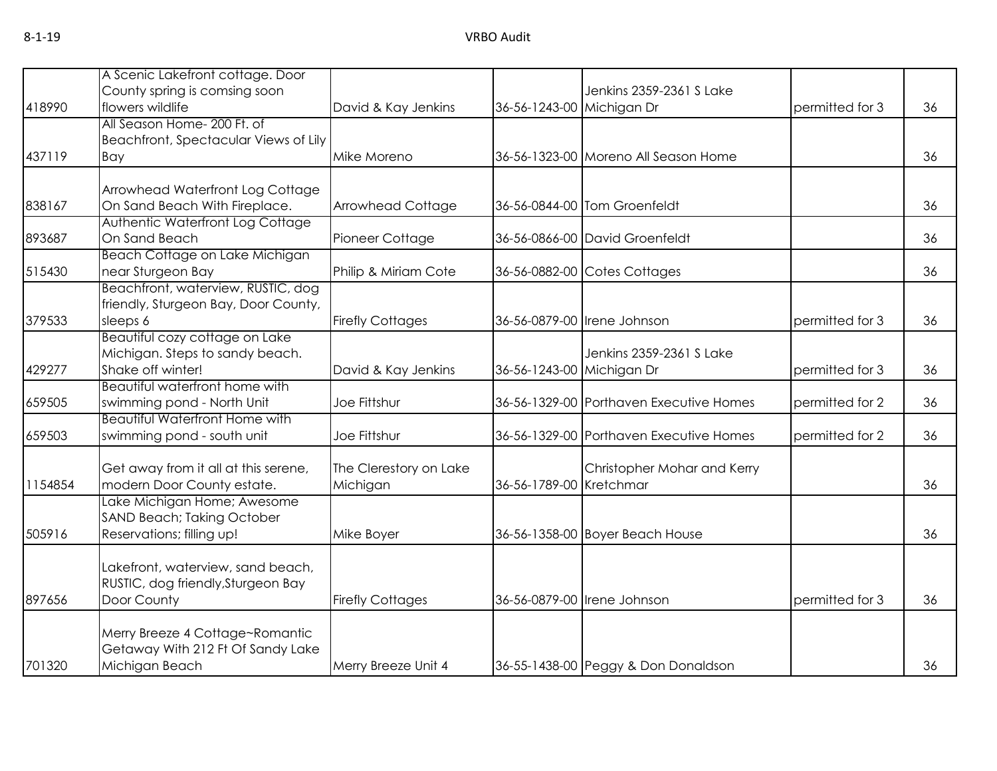|         | A Scenic Lakefront cottage. Door                        |                         |                           |                                         |                 |    |
|---------|---------------------------------------------------------|-------------------------|---------------------------|-----------------------------------------|-----------------|----|
|         | County spring is comsing soon                           |                         |                           | Jenkins 2359-2361 S Lake                |                 |    |
| 418990  | flowers wildlife                                        | David & Kay Jenkins     | 36-56-1243-00 Michigan Dr |                                         | permitted for 3 | 36 |
|         | All Season Home- 200 Ft. of                             |                         |                           |                                         |                 |    |
|         | Beachfront, Spectacular Views of Lily                   |                         |                           |                                         |                 |    |
| 437119  | Bay                                                     | Mike Moreno             |                           | 36-56-1323-00 Moreno All Season Home    |                 | 36 |
|         |                                                         |                         |                           |                                         |                 |    |
|         | Arrowhead Waterfront Log Cottage                        |                         |                           |                                         |                 |    |
| 838167  | On Sand Beach With Fireplace.                           | Arrowhead Cottage       |                           | 36-56-0844-00 Tom Groenfeldt            |                 | 36 |
|         | Authentic Waterfront Log Cottage                        |                         |                           |                                         |                 |    |
| 893687  | On Sand Beach                                           | Pioneer Cottage         |                           | 36-56-0866-00 David Groenfeldt          |                 | 36 |
|         | Beach Cottage on Lake Michigan                          |                         |                           |                                         |                 |    |
| 515430  | near Sturgeon Bay                                       | Philip & Miriam Cote    |                           | 36-56-0882-00 Cotes Cottages            |                 | 36 |
|         | Beachfront, waterview, RUSTIC, dog                      |                         |                           |                                         |                 |    |
|         | friendly, Sturgeon Bay, Door County,                    |                         |                           |                                         |                 |    |
| 379533  | sleeps 6                                                | <b>Firefly Cottages</b> |                           | 36-56-0879-00 Irene Johnson             | permitted for 3 | 36 |
|         | Beautiful cozy cottage on Lake                          |                         |                           |                                         |                 |    |
|         | Michigan. Steps to sandy beach.                         |                         |                           | Jenkins 2359-2361 S Lake                |                 |    |
| 429277  | Shake off winter!                                       | David & Kay Jenkins     | 36-56-1243-00 Michigan Dr |                                         | permitted for 3 | 36 |
|         | Beautiful waterfront home with                          |                         |                           |                                         |                 |    |
| 659505  | swimming pond - North Unit                              | Joe Fittshur            |                           | 36-56-1329-00 Porthaven Executive Homes | permitted for 2 | 36 |
|         | <b>Beautiful Waterfront Home with</b>                   |                         |                           |                                         |                 |    |
| 659503  | swimming pond - south unit                              | Joe Fittshur            |                           | 36-56-1329-00 Porthaven Executive Homes | permitted for 2 | 36 |
|         |                                                         |                         |                           |                                         |                 |    |
|         | Get away from it all at this serene,                    | The Clerestory on Lake  |                           | Christopher Mohar and Kerry             |                 |    |
| 1154854 | modern Door County estate.                              | Michigan                | 36-56-1789-00 Kretchmar   |                                         |                 | 36 |
|         | Lake Michigan Home; Awesome                             |                         |                           |                                         |                 |    |
| 505916  | SAND Beach; Taking October<br>Reservations; filling up! | Mike Boyer              |                           | 36-56-1358-00 Boyer Beach House         |                 | 36 |
|         |                                                         |                         |                           |                                         |                 |    |
|         | Lakefront, waterview, sand beach,                       |                         |                           |                                         |                 |    |
|         | RUSTIC, dog friendly, Sturgeon Bay                      |                         |                           |                                         |                 |    |
| 897656  | Door County                                             | <b>Firefly Cottages</b> |                           | 36-56-0879-00 Irene Johnson             | permitted for 3 | 36 |
|         |                                                         |                         |                           |                                         |                 |    |
|         | Merry Breeze 4 Cottage~Romantic                         |                         |                           |                                         |                 |    |
|         | Getaway With 212 Ft Of Sandy Lake                       |                         |                           |                                         |                 |    |
| 701320  | Michigan Beach                                          | Merry Breeze Unit 4     |                           | 36-55-1438-00 Peggy & Don Donaldson     |                 | 36 |
|         |                                                         |                         |                           |                                         |                 |    |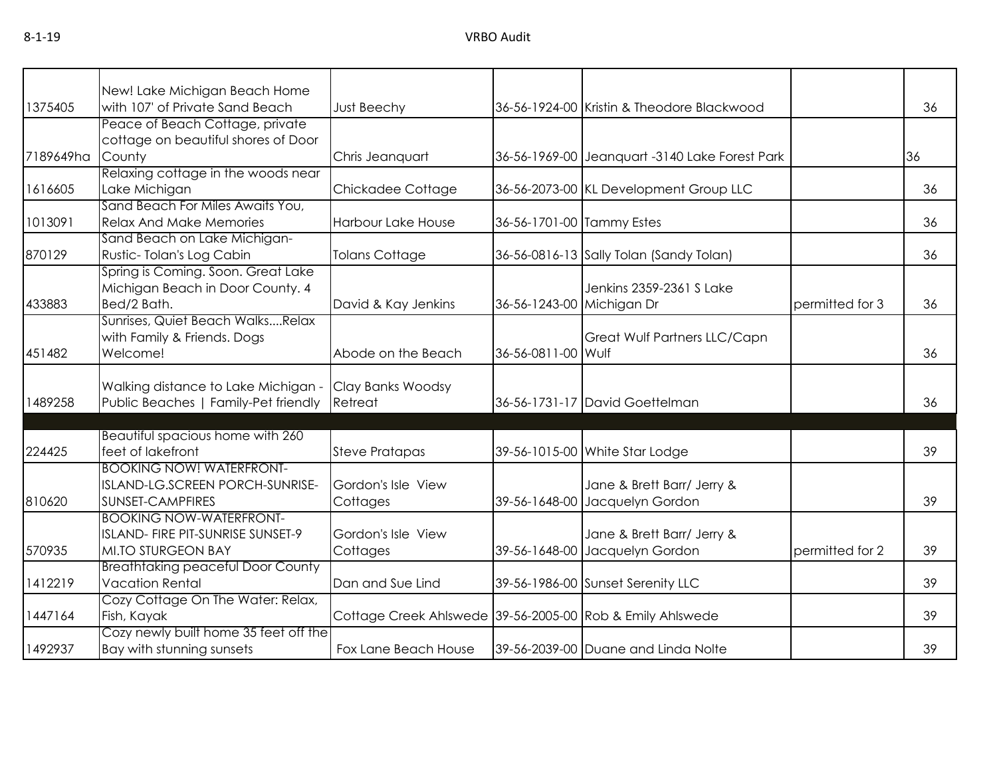|           | New! Lake Michigan Beach Home            |                                                           |                           |                                                |                 |    |
|-----------|------------------------------------------|-----------------------------------------------------------|---------------------------|------------------------------------------------|-----------------|----|
| 1375405   | with 107' of Private Sand Beach          | <b>Just Beechy</b>                                        |                           | 36-56-1924-00 Kristin & Theodore Blackwood     |                 | 36 |
|           | Peace of Beach Cottage, private          |                                                           |                           |                                                |                 |    |
|           | cottage on beautiful shores of Door      |                                                           |                           |                                                |                 |    |
| 7189649ha | County                                   | Chris Jeanquart                                           |                           | 36-56-1969-00 Jeanquart -3140 Lake Forest Park |                 | 36 |
|           | Relaxing cottage in the woods near       |                                                           |                           |                                                |                 |    |
| 1616605   | Lake Michigan                            | Chickadee Cottage                                         |                           | 36-56-2073-00 KL Development Group LLC         |                 | 36 |
|           | Sand Beach For Miles Awaits You,         |                                                           |                           |                                                |                 |    |
| 1013091   | <b>Relax And Make Memories</b>           | Harbour Lake House                                        | 36-56-1701-00 Tammy Estes |                                                |                 | 36 |
|           | Sand Beach on Lake Michigan-             |                                                           |                           |                                                |                 |    |
| 870129    | Rustic-Tolan's Log Cabin                 | <b>Tolans Cottage</b>                                     |                           | 36-56-0816-13 Sally Tolan (Sandy Tolan)        |                 | 36 |
|           | Spring is Coming. Soon. Great Lake       |                                                           |                           |                                                |                 |    |
|           | Michigan Beach in Door County. 4         |                                                           |                           | Jenkins 2359-2361 S Lake                       |                 |    |
| 433883    | Bed/2 Bath.                              | David & Kay Jenkins                                       | 36-56-1243-00 Michigan Dr |                                                | permitted for 3 | 36 |
|           | Sunrises, Quiet Beach WalksRelax         |                                                           |                           |                                                |                 |    |
|           | with Family & Friends. Dogs              |                                                           |                           | Great Wulf Partners LLC/Capn                   |                 |    |
| 451482    | Welcome!                                 | Abode on the Beach                                        | 36-56-0811-00 Wulf        |                                                |                 | 36 |
|           |                                          |                                                           |                           |                                                |                 |    |
|           | Walking distance to Lake Michigan -      | Clay Banks Woodsy                                         |                           |                                                |                 |    |
| 1489258   | Public Beaches   Family-Pet friendly     | Retreat                                                   |                           | 36-56-1731-17 David Goettelman                 |                 | 36 |
|           |                                          |                                                           |                           |                                                |                 |    |
|           | Beautiful spacious home with 260         |                                                           |                           |                                                |                 |    |
| 224425    | feet of lakefront                        | <b>Steve Pratapas</b>                                     |                           | 39-56-1015-00 White Star Lodge                 |                 | 39 |
|           | <b>BOOKING NOW! WATERFRONT-</b>          |                                                           |                           |                                                |                 |    |
|           | ISLAND-LG.SCREEN PORCH-SUNRISE-          | Gordon's Isle View                                        |                           | Jane & Brett Barr/ Jerry &                     |                 |    |
| 810620    | SUNSET-CAMPFIRES                         | Cottages                                                  |                           | 39-56-1648-00 Jacquelyn Gordon                 |                 | 39 |
|           | <b>BOOKING NOW-WATERFRONT-</b>           |                                                           |                           |                                                |                 |    |
|           | ISLAND- FIRE PIT-SUNRISE SUNSET-9        | Gordon's Isle View                                        |                           | Jane & Brett Barr/ Jerry &                     |                 |    |
| 570935    | <b>MI.TO STURGEON BAY</b>                | Cottages                                                  |                           | 39-56-1648-00 Jacquelyn Gordon                 | permitted for 2 | 39 |
|           | <b>Breathtaking peaceful Door County</b> |                                                           |                           |                                                |                 |    |
| 1412219   | <b>Vacation Rental</b>                   | Dan and Sue Lind                                          |                           | 39-56-1986-00 Sunset Serenity LLC              |                 | 39 |
|           | Cozy Cottage On The Water: Relax,        |                                                           |                           |                                                |                 |    |
| 1447164   | Fish, Kayak                              | Cottage Creek Ahlswede 39-56-2005-00 Rob & Emily Ahlswede |                           |                                                |                 | 39 |
|           | Cozy newly built home 35 feet off the    |                                                           |                           |                                                |                 |    |
| 1492937   | Bay with stunning sunsets                | Fox Lane Beach House                                      |                           | 39-56-2039-00 Duane and Linda Nolte            |                 | 39 |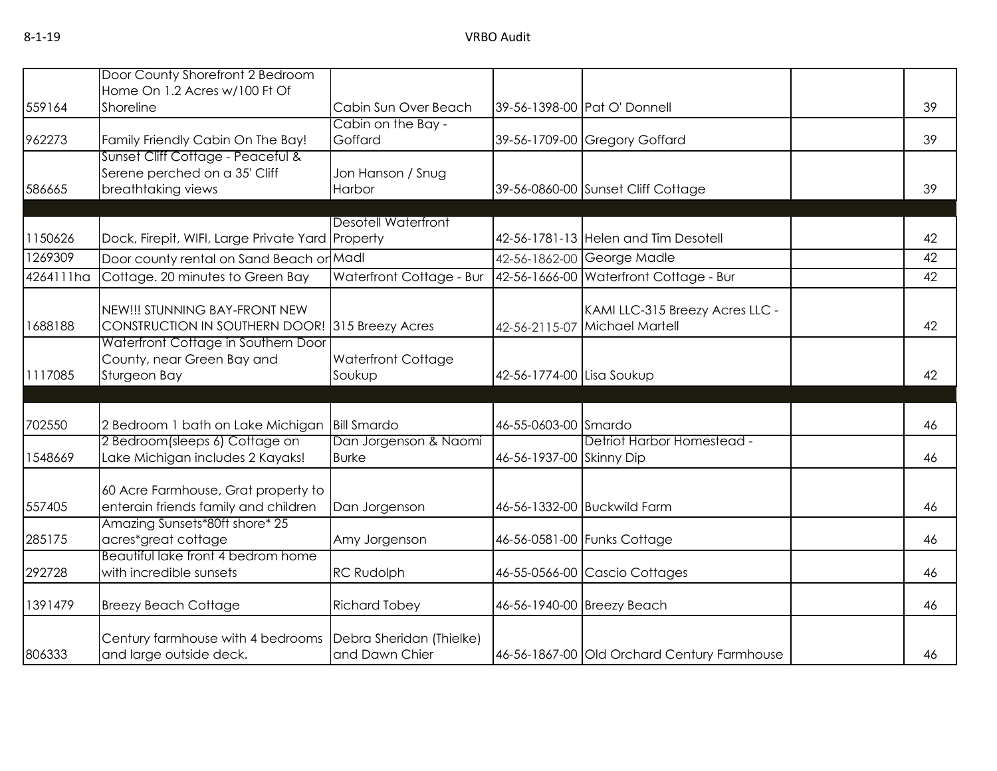|           | Door County Shorefront 2 Bedroom                                            |                                            |                           |                                             |    |
|-----------|-----------------------------------------------------------------------------|--------------------------------------------|---------------------------|---------------------------------------------|----|
|           | Home On 1.2 Acres w/100 Ft Of                                               |                                            |                           |                                             |    |
| 559164    | Shoreline                                                                   | Cabin Sun Over Beach                       |                           | 39-56-1398-00 Pat O' Donnell                | 39 |
|           |                                                                             | Cabin on the Bay -                         |                           |                                             |    |
| 962273    | Family Friendly Cabin On The Bay!                                           | Goffard                                    |                           | 39-56-1709-00 Gregory Goffard               | 39 |
|           | Sunset Cliff Cottage - Peaceful &                                           |                                            |                           |                                             |    |
|           | Serene perched on a 35' Cliff                                               | Jon Hanson / Snug                          |                           |                                             |    |
| 586665    | breathtaking views                                                          | Harbor                                     |                           | 39-56-0860-00 Sunset Cliff Cottage          | 39 |
|           |                                                                             |                                            |                           |                                             |    |
| 1150626   | Dock, Firepit, WIFI, Large Private Yard Property                            | <b>Desotell Waterfront</b>                 |                           | 42-56-1781-13 Helen and Tim Desotell        | 42 |
|           |                                                                             |                                            |                           |                                             |    |
| 1269309   | Door county rental on Sand Beach or Madl                                    |                                            |                           | 42-56-1862-00 George Madle                  | 42 |
| 4264111ha | Cottage. 20 minutes to Green Bay                                            | Waterfront Cottage - Bur                   |                           | 42-56-1666-00 Waterfront Cottage - Bur      | 42 |
|           | NEW!!! STUNNING BAY-FRONT NEW                                               |                                            |                           | KAMI LLC-315 Breezy Acres LLC -             |    |
| 1688188   | CONSTRUCTION IN SOUTHERN DOOR!                                              | 315 Breezy Acres                           |                           | 42-56-2115-07 Michael Martell               | 42 |
|           | Waterfront Cottage in Southern Door                                         |                                            |                           |                                             |    |
|           | County, near Green Bay and                                                  | Waterfront Cottage                         |                           |                                             |    |
| 1117085   | Sturgeon Bay                                                                | Soukup                                     | 42-56-1774-00 Lisa Soukup |                                             | 42 |
|           |                                                                             |                                            |                           |                                             |    |
|           |                                                                             |                                            |                           |                                             |    |
| 702550    | 2 Bedroom 1 bath on Lake Michigan                                           | <b>Bill Smardo</b>                         | 46-55-0603-00 Smardo      |                                             | 46 |
|           | 2 Bedroom(sleeps 6) Cottage on                                              | Dan Jorgenson & Naomi                      |                           | Detriot Harbor Homestead -                  |    |
| 1548669   | Lake Michigan includes 2 Kayaks!                                            | <b>Burke</b>                               | 46-56-1937-00 Skinny Dip  |                                             | 46 |
|           |                                                                             |                                            |                           |                                             |    |
| 557405    | 60 Acre Farmhouse, Grat property to<br>enterain friends family and children |                                            |                           | 46-56-1332-00 Buckwild Farm                 | 46 |
|           | Amazing Sunsets*80ft shore* 25                                              | Dan Jorgenson                              |                           |                                             |    |
| 285175    | acres*great cottage                                                         | Amy Jorgenson                              |                           | 46-56-0581-00 Funks Cottage                 | 46 |
|           | Beautiful lake front 4 bedrom home                                          |                                            |                           |                                             |    |
| 292728    | with incredible sunsets                                                     | <b>RC Rudolph</b>                          |                           | 46-55-0566-00 Cascio Cottages               | 46 |
|           |                                                                             |                                            |                           |                                             |    |
| 1391479   | <b>Breezy Beach Cottage</b>                                                 | <b>Richard Tobey</b>                       |                           | 46-56-1940-00 Breezy Beach                  | 46 |
|           |                                                                             |                                            |                           |                                             |    |
| 806333    | Century farmhouse with 4 bedrooms                                           | Debra Sheridan (Thielke)<br>and Dawn Chier |                           |                                             |    |
|           | and large outside deck.                                                     |                                            |                           | 46-56-1867-00 Old Orchard Century Farmhouse | 46 |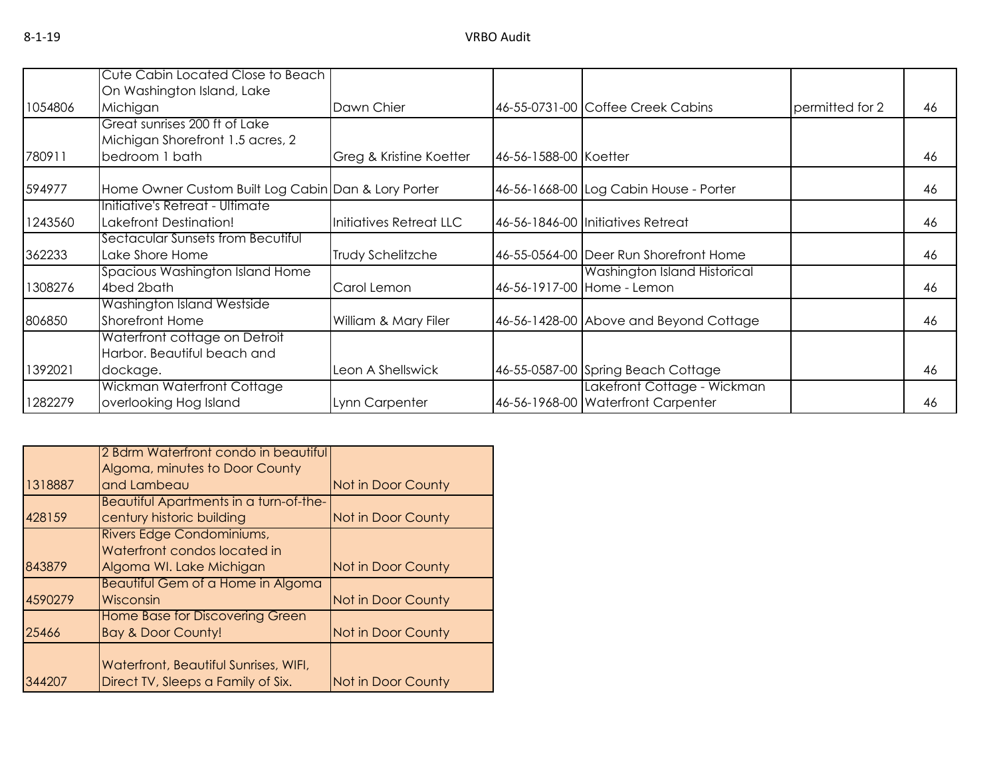|         | Cute Cabin Located Close to Beach                   |                         |                       |                                        |                 |    |
|---------|-----------------------------------------------------|-------------------------|-----------------------|----------------------------------------|-----------------|----|
|         | On Washington Island, Lake                          |                         |                       |                                        |                 |    |
| 1054806 | Michigan                                            | Dawn Chier              |                       | 46-55-0731-00 Coffee Creek Cabins      | permitted for 2 | 46 |
|         | Great sunrises 200 ft of Lake                       |                         |                       |                                        |                 |    |
|         | Michigan Shorefront 1.5 acres, 2                    |                         |                       |                                        |                 |    |
| 780911  | bedroom 1 bath                                      | Greg & Kristine Koetter | 46-56-1588-00 Koetter |                                        |                 | 46 |
| 594977  | Home Owner Custom Built Log Cabin Dan & Lory Porter |                         |                       | 46-56-1668-00 Log Cabin House - Porter |                 | 46 |
|         | Initiative's Retreat - Ultimate                     |                         |                       |                                        |                 |    |
| 1243560 | Lakefront Destination!                              | Initiatives Retreat LLC |                       | 46-56-1846-00 Initiatives Retreat      |                 | 46 |
|         | Sectacular Sunsets from Becutiful                   |                         |                       |                                        |                 |    |
| 362233  | Lake Shore Home                                     | Trudy Schelitzche       |                       | 46-55-0564-00 Deer Run Shorefront Home |                 | 46 |
|         | Spacious Washington Island Home                     |                         |                       | <b>Washington Island Historical</b>    |                 |    |
| 1308276 | 4bed 2bath                                          | Carol Lemon             |                       | 46-56-1917-00 Home - Lemon             |                 | 46 |
|         | Washington Island Westside                          |                         |                       |                                        |                 |    |
| 806850  | <b>Shorefront Home</b>                              | William & Mary Filer    |                       | 46-56-1428-00 Above and Beyond Cottage |                 | 46 |
|         | Waterfront cottage on Detroit                       |                         |                       |                                        |                 |    |
|         | Harbor, Beautiful beach and                         |                         |                       |                                        |                 |    |
| 1392021 | dockage.                                            | Leon A Shellswick       |                       | 46-55-0587-00 Spring Beach Cottage     |                 | 46 |
|         | Wickman Waterfront Cottage                          |                         |                       | Lakefront Cottage - Wickman            |                 |    |
| 1282279 | overlooking Hog Island                              | Lynn Carpenter          |                       | 46-56-1968-00 Waterfront Carpenter     |                 | 46 |

|         | 2 Bdrm Waterfront condo in beautiful   |                    |
|---------|----------------------------------------|--------------------|
|         | Algoma, minutes to Door County         |                    |
| 1318887 | and Lambeau                            | Not in Door County |
|         | Beautiful Apartments in a turn-of-the- |                    |
| 428159  | century historic building              | Not in Door County |
|         | Rivers Edge Condominiums,              |                    |
|         | Waterfront condos located in           |                    |
| 843879  | Algoma WI. Lake Michigan               | Not in Door County |
|         | Beautiful Gem of a Home in Algoma      |                    |
| 4590279 | Wisconsin                              | Not in Door County |
|         | <b>Home Base for Discovering Green</b> |                    |
| 25466   | <b>Bay &amp; Door County!</b>          | Not in Door County |
|         |                                        |                    |
|         | Waterfront, Beautiful Sunrises, WIFI,  |                    |
| 344207  | Direct TV, Sleeps a Family of Six.     | Not in Door County |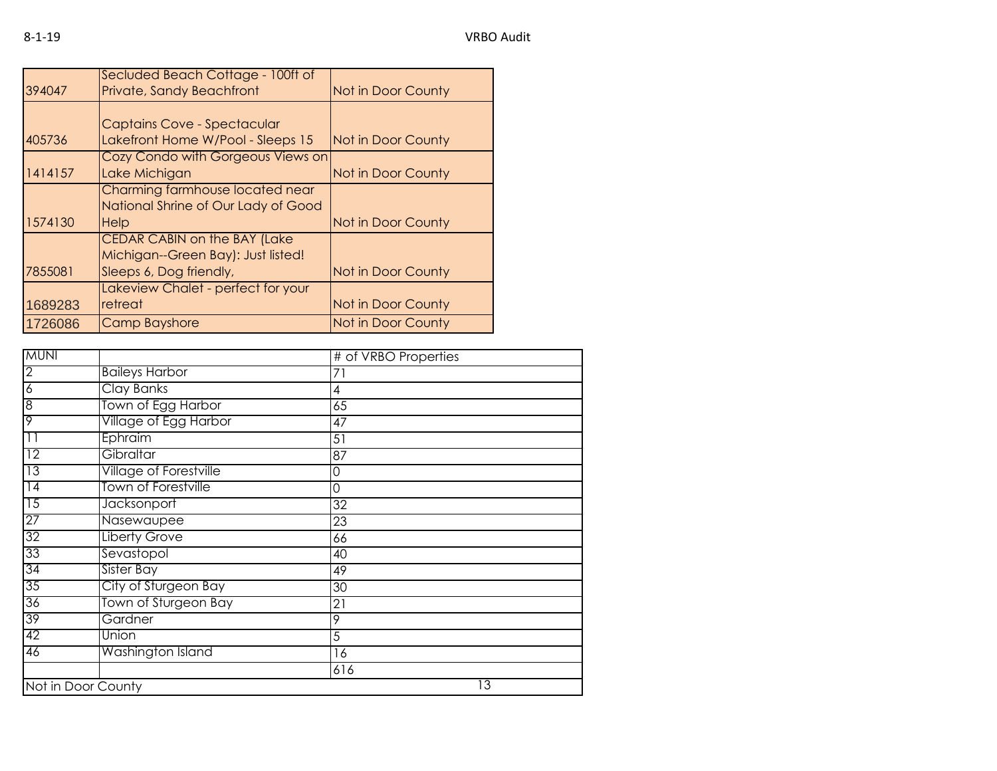|         | Secluded Beach Cottage - 100ft of   |                           |
|---------|-------------------------------------|---------------------------|
| 394047  | <b>Private, Sandy Beachfront</b>    | Not in Door County        |
|         |                                     |                           |
|         | Captains Cove - Spectacular         |                           |
| 405736  | Lakefront Home W/Pool - Sleeps 15   | Not in Door County        |
|         | Cozy Condo with Gorgeous Views on   |                           |
| 1414157 | Lake Michigan                       | <b>Not in Door County</b> |
|         | Charming farmhouse located near     |                           |
|         | National Shrine of Our Lady of Good |                           |
| 1574130 | Help                                | <b>Not in Door County</b> |
|         | <b>CEDAR CABIN on the BAY (Lake</b> |                           |
|         | Michigan--Green Bay): Just listed!  |                           |
| 7855081 | Sleeps 6, Dog friendly,             | Not in Door County        |
|         | Lakeview Chalet - perfect for your  |                           |
| 1689283 | retreat                             | Not in Door County        |
| 1726086 | <b>Camp Bayshore</b>                | <b>Not in Door County</b> |

| <b>MUNI</b>     |                               | # of VRBO Properties |
|-----------------|-------------------------------|----------------------|
| $\overline{2}$  | <b>Baileys Harbor</b>         | 71                   |
| $\overline{6}$  | <b>Clay Banks</b>             | 4                    |
| 8               | Town of Egg Harbor            | 65                   |
| $\overline{9}$  | Village of Egg Harbor         | 47                   |
| $\overline{11}$ | Ephraim                       | 51                   |
| 12              | Gibraltar                     | 87                   |
| 13              | <b>Village of Forestville</b> | 0                    |
| $\overline{14}$ | <b>Town of Forestville</b>    | 0                    |
| $\overline{15}$ | <b>Jacksonport</b>            | $\overline{32}$      |
| $\overline{27}$ | Nasewaupee                    | 23                   |
| $\overline{32}$ | <b>Liberty Grove</b>          | 66                   |
| 33              | Sevastopol                    | 40                   |
| 34              | Sister Bay                    | 49                   |
| 35              | City of Sturgeon Bay          | 30                   |
| 36              | Town of Sturgeon Bay          | 21                   |
| 39              | Gardner                       | 9                    |
| 42              | Union                         | 5                    |
| 46              | Washington Island             | 16                   |
|                 |                               | 616                  |
|                 | Not in Door County            | 13                   |